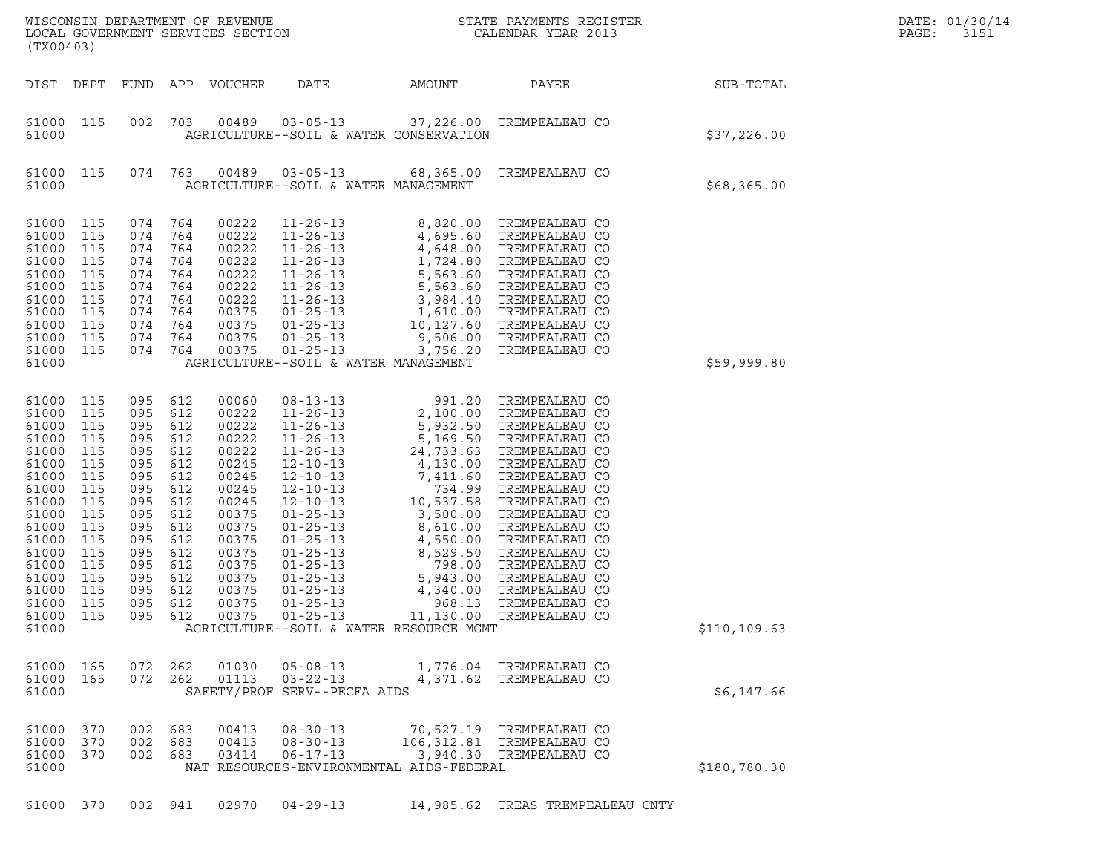| (TX00403)                                                                                                                                                      |                                                                                                                                  |                                                                                                                     |                                                                                                                                | WISCONSIN DEPARTMENT OF REVENUE<br>LOCAL GOVERNMENT SERVICES SECTION                                                                                  |                                                                                                                                                                                                                                                                                                                                                                             |                                                                                                                                                                                                                                                        | STATE PAYMENTS REGISTER<br>CALENDAR YEAR 2013                                                                                                                                                                                                                                                                                              |               | DATE: 01/30/14<br>PAGE:<br>3151 |
|----------------------------------------------------------------------------------------------------------------------------------------------------------------|----------------------------------------------------------------------------------------------------------------------------------|---------------------------------------------------------------------------------------------------------------------|--------------------------------------------------------------------------------------------------------------------------------|-------------------------------------------------------------------------------------------------------------------------------------------------------|-----------------------------------------------------------------------------------------------------------------------------------------------------------------------------------------------------------------------------------------------------------------------------------------------------------------------------------------------------------------------------|--------------------------------------------------------------------------------------------------------------------------------------------------------------------------------------------------------------------------------------------------------|--------------------------------------------------------------------------------------------------------------------------------------------------------------------------------------------------------------------------------------------------------------------------------------------------------------------------------------------|---------------|---------------------------------|
|                                                                                                                                                                | DIST DEPT                                                                                                                        |                                                                                                                     |                                                                                                                                | FUND APP VOUCHER                                                                                                                                      | DATE                                                                                                                                                                                                                                                                                                                                                                        | AMOUNT                                                                                                                                                                                                                                                 | PAYEE                                                                                                                                                                                                                                                                                                                                      | SUB-TOTAL     |                                 |
| 61000                                                                                                                                                          | 61000 115                                                                                                                        | 002                                                                                                                 | 703                                                                                                                            |                                                                                                                                                       | $00489$ $03-05-13$<br>AGRICULTURE--SOIL & WATER CONSERVATION                                                                                                                                                                                                                                                                                                                |                                                                                                                                                                                                                                                        | 37,226.00 TREMPEALEAU CO                                                                                                                                                                                                                                                                                                                   | \$37,226.00   |                                 |
| 61000                                                                                                                                                          | 61000 115                                                                                                                        |                                                                                                                     | 074 763                                                                                                                        | 00489                                                                                                                                                 | $03 - 05 - 13$ 68,365.00<br>AGRICULTURE--SOIL & WATER MANAGEMENT                                                                                                                                                                                                                                                                                                            |                                                                                                                                                                                                                                                        | TREMPEALEAU CO                                                                                                                                                                                                                                                                                                                             | \$68,365.00   |                                 |
| 61000<br>61000<br>61000<br>61000<br>61000<br>61000<br>61000<br>61000<br>61000<br>61000<br>61000<br>61000                                                       | 115<br>115<br>115<br>115<br>115<br>115<br>115<br>115<br>115<br>115<br>115                                                        | 074<br>074<br>074<br>074<br>074<br>074<br>074<br>074<br>074<br>074<br>074 764                                       | 764<br>764<br>764<br>764<br>764<br>764<br>764<br>764<br>764<br>764                                                             | 00222<br>00222<br>00222<br>00222<br>00222<br>00222<br>00222<br>00375<br>00375<br>00375<br>00375                                                       | $11 - 26 - 13$<br>$11 - 26 - 13$<br>$11 - 26 - 13$<br>$11 - 26 - 13$<br>$11 - 26 - 13$<br>$11 - 26 - 13$<br>$11 - 26 - 13$<br>$01 - 25 - 13$<br>$01 - 25 - 13$<br>$01 - 25 - 13$<br>$01 - 25 - 13$<br>AGRICULTURE--SOIL & WATER MANAGEMENT                                                                                                                                  | 8,820.00<br>4,695.60<br>4,648.00<br>1,724.80<br>5,563.60<br>5,563.60<br>3,984.40<br>1,610.00<br>10,127.60<br>9,566.00<br>3.756.20<br>3,756.20                                                                                                          | TREMPEALEAU CO<br>TREMPEALEAU CO<br>TREMPEALEAU CO<br>TREMPEALEAU CO<br>TREMPEALEAU CO<br>TREMPEALEAU CO<br>TREMPEALEAU CO<br>TREMPEALEAU CO<br>TREMPEALEAU CO<br>TREMPEALEAU CO<br>TREMPEALEAU CO                                                                                                                                         | \$59,999.80   |                                 |
| 61000<br>61000<br>61000<br>61000<br>61000<br>61000<br>61000<br>61000<br>61000<br>61000<br>61000<br>61000<br>61000<br>61000<br>61000<br>61000<br>61000<br>61000 | 115<br>115<br>115<br>115<br>115<br>115<br>115<br>115<br>115<br>115<br>115<br>115<br>115<br>115<br>115<br>115<br>115<br>61000 115 | 095<br>095<br>095<br>095<br>095<br>095<br>095<br>095<br>095<br>095<br>095<br>095<br>095<br>095<br>095<br>095<br>095 | 612<br>612<br>612<br>612<br>612<br>612<br>612<br>612<br>612<br>612<br>612<br>612<br>612<br>612<br>612<br>612<br>612<br>095 612 | 00060<br>00222<br>00222<br>00222<br>00222<br>00245<br>00245<br>00245<br>00245<br>00375<br>00375<br>00375<br>00375<br>00375<br>00375<br>00375<br>00375 | $08 - 13 - 13$<br>$11 - 26 - 13$<br>$11 - 26 - 13$<br>$11 - 26 - 13$<br>$11 - 26 - 13$<br>$12 - 10 - 13$<br>$12 - 10 - 13$<br>$12 - 10 - 13$<br>$12 - 10 - 13$<br>$01 - 25 - 13$<br>$01 - 25 - 13$<br>$01 - 25 - 13$<br>$01 - 25 - 13$<br>$01 - 25 - 13$<br>$01 - 25 - 13$<br>$01 - 25 - 13$<br>$01 - 25 - 13$<br>00375 01-25-13<br>AGRICULTURE--SOIL & WATER RESOURCE MGMT | 991.20<br>$\begin{array}{r} 991.20 \\ 2,100.00 \\ 5,932.50 \\ 5,169.50 \\ 24,733.63 \\ 4,130.00 \\ 7,411.60 \\ 734.99 \\ 10,537.58 \\ 3,500.00 \\ 8,610.00 \\ 4,550.00 \\ 7,98.00 \\ 5,943.00 \\ 5,943.00 \\ 4,340.00 \\ 968.13 \end{array}$<br>968.13 | TREMPEALEAU CO<br>TREMPEALEAU CO<br>TREMPEALEAU CO<br>TREMPEALEAU CO<br>TREMPEALEAU CO<br>TREMPEALEAU CO<br>TREMPEALEAU CO<br>TREMPEALEAU CO<br>TREMPEALEAU CO<br>TREMPEALEAU CO<br>TREMPEALEAU CO<br>TREMPEALEAU CO<br>TREMPEALEAU CO<br>TREMPEALEAU CO<br>TREMPEALEAU CO<br>TREMPEALEAU CO<br>TREMPEALEAU CO<br>11,130.00 TREMPEALEAU CO | \$110, 109.63 |                                 |
| 61000                                                                                                                                                          | 61000 165<br>61000 165                                                                                                           | 072                                                                                                                 | 262<br>072 262                                                                                                                 | 01030<br>01113                                                                                                                                        | $05 - 08 - 13$<br>$03 - 22 - 13$<br>SAFETY/PROF SERV--PECFA AIDS                                                                                                                                                                                                                                                                                                            |                                                                                                                                                                                                                                                        | 1,776.04 TREMPEALEAU CO<br>4,371.62 TREMPEALEAU CO                                                                                                                                                                                                                                                                                         | \$6,147.66    |                                 |
| 61000                                                                                                                                                          | 61000 370<br>61000 370<br>61000 370                                                                                              | 002 683<br>002                                                                                                      | 683<br>002 683                                                                                                                 | 00413<br>00413<br>03414                                                                                                                               | $08 - 30 - 13$<br>$08 - 30 - 13$<br>$06 - 17 - 13$<br>NAT RESOURCES-ENVIRONMENTAL AIDS-FEDERAL                                                                                                                                                                                                                                                                              |                                                                                                                                                                                                                                                        | 70,527.19 TREMPEALEAU CO<br>106,312.81 TREMPEALEAU CO<br>3,940.30 TREMPEALEAU CO                                                                                                                                                                                                                                                           | \$180,780.30  |                                 |
|                                                                                                                                                                | 61000 370                                                                                                                        | 002 941                                                                                                             |                                                                                                                                | 02970                                                                                                                                                 | $04 - 29 - 13$                                                                                                                                                                                                                                                                                                                                                              |                                                                                                                                                                                                                                                        | 14,985.62 TREAS TREMPEALEAU CNTY                                                                                                                                                                                                                                                                                                           |               |                                 |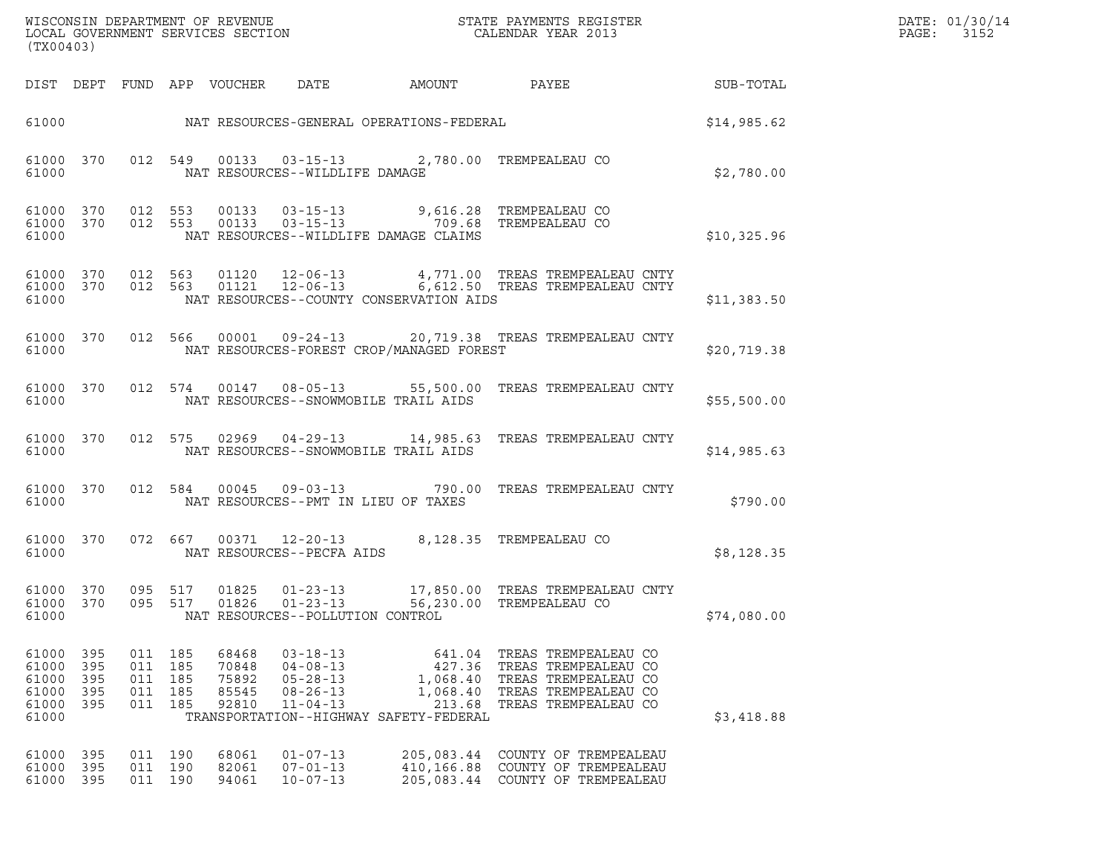| DATE: | 01/30/14 |
|-------|----------|
| PAGE: | 3152     |

| (TX00403)                                          |                                 |                                                     |         |                                           |                                                                                  |                                          |                                                                                                                                                                                                                        |             | DATE: 01/30/14<br>PAGE: 3152 |
|----------------------------------------------------|---------------------------------|-----------------------------------------------------|---------|-------------------------------------------|----------------------------------------------------------------------------------|------------------------------------------|------------------------------------------------------------------------------------------------------------------------------------------------------------------------------------------------------------------------|-------------|------------------------------|
|                                                    |                                 |                                                     |         | DIST DEPT FUND APP VOUCHER DATE           |                                                                                  |                                          |                                                                                                                                                                                                                        |             |                              |
|                                                    |                                 |                                                     |         |                                           |                                                                                  |                                          |                                                                                                                                                                                                                        | \$14,985.62 |                              |
| 61000                                              |                                 |                                                     |         |                                           | NAT RESOURCES--WILDLIFE DAMAGE                                                   |                                          | 61000 370 012 549 00133 03-15-13 2,780.00 TREMPEALEAU CO                                                                                                                                                               | \$2,780.00  |                              |
| 61000                                              |                                 |                                                     |         |                                           |                                                                                  | NAT RESOURCES--WILDLIFE DAMAGE CLAIMS    | 61000 370 012 553 00133 03-15-13 9,616.28 TREMPEALEAU CO 61000 370 012 553 00133 03-15-13 709.68 TREMPEALEAU CO                                                                                                        | \$10,325.96 |                              |
| 61000                                              |                                 |                                                     |         |                                           |                                                                                  | NAT RESOURCES--COUNTY CONSERVATION AIDS  | $\begin{array}{cccccc} 61000 & 370 & 012 & 563 & 01120 & 12-06-13 & & 4,771.00 & \text{TREAS TREMPEALEAU CNTY} \\ 61000 & 370 & 012 & 563 & 01121 & 12-06-13 & & 6,612.50 & \text{TREAS TREMPEALEAU CNTY} \end{array}$ | \$11,383.50 |                              |
| 61000                                              |                                 |                                                     |         |                                           |                                                                                  | NAT RESOURCES-FOREST CROP/MANAGED FOREST | 61000 370 012 566 00001 09-24-13 20,719.38 TREAS TREMPEALEAU CNTY                                                                                                                                                      | \$20.719.38 |                              |
| 61000                                              |                                 |                                                     |         |                                           |                                                                                  | NAT RESOURCES--SNOWMOBILE TRAIL AIDS     | 61000 370 012 574 00147 08-05-13 55,500.00 TREAS TREMPEALEAU CNTY                                                                                                                                                      | \$55,500.00 |                              |
| 61000                                              |                                 |                                                     |         |                                           |                                                                                  | NAT RESOURCES--SNOWMOBILE TRAIL AIDS     | 61000 370 012 575 02969 04-29-13 14,985.63 TREAS TREMPEALEAU CNTY                                                                                                                                                      | \$14,985.63 |                              |
| 61000                                              |                                 |                                                     |         |                                           | NAT RESOURCES--PMT IN LIEU OF TAXES                                              |                                          | 61000 370 012 584 00045 09-03-13 790.00 TREAS TREMPEALEAU CNTY                                                                                                                                                         | \$790.00    |                              |
| 61000                                              |                                 |                                                     |         |                                           | NAT RESOURCES--PECFA AIDS                                                        |                                          | 61000 370 072 667 00371 12-20-13 8,128.35 TREMPEALEAU CO                                                                                                                                                               | \$8,128.35  |                              |
| 61000                                              |                                 |                                                     |         |                                           | NAT RESOURCES--POLLUTION CONTROL                                                 |                                          | 61000 370 095 517 01825 01-23-13 17,850.00 TREAS TREMPEALEAU CNTY<br>61000 370 095 517 01826 01-23-13 56,230.00 TREMPEALEAU CO                                                                                         | \$74,080.00 |                              |
| 61000<br>61000<br>61000<br>61000<br>61000<br>61000 | 395<br>395<br>395<br>395<br>395 | 011 185<br>011 185<br>011 185<br>011 185<br>011 185 |         | 68468<br>70848<br>75892<br>85545<br>92810 | $03 - 18 - 13$<br>$04 - 08 - 13$<br>$05 - 28 - 13$<br>08-26-13<br>$11 - 04 - 13$ | TRANSPORTATION--HIGHWAY SAFETY-FEDERAL   | 641.04 TREAS TREMPEALEAU CO<br>427.36 TREAS TREMPEALEAU CO<br>1,068.40 TREAS TREMPEALEAU CO<br>1,068.40 TREAS TREMPEALEAU CO<br>213.68 TREAS TREMPEALEAU CO                                                            | \$3,418.88  |                              |
| 61000 395<br>61000<br>61000                        | 395<br>395                      | 011 190<br>011 190                                  | 011 190 | 68061<br>82061<br>94061                   | $01 - 07 - 13$<br>$07 - 01 - 13$<br>$10 - 07 - 13$                               |                                          | 205,083.44 COUNTY OF TREMPEALEAU<br>410,166.88 COUNTY OF TREMPEALEAU<br>205,083.44 COUNTY OF TREMPEALEAU                                                                                                               |             |                              |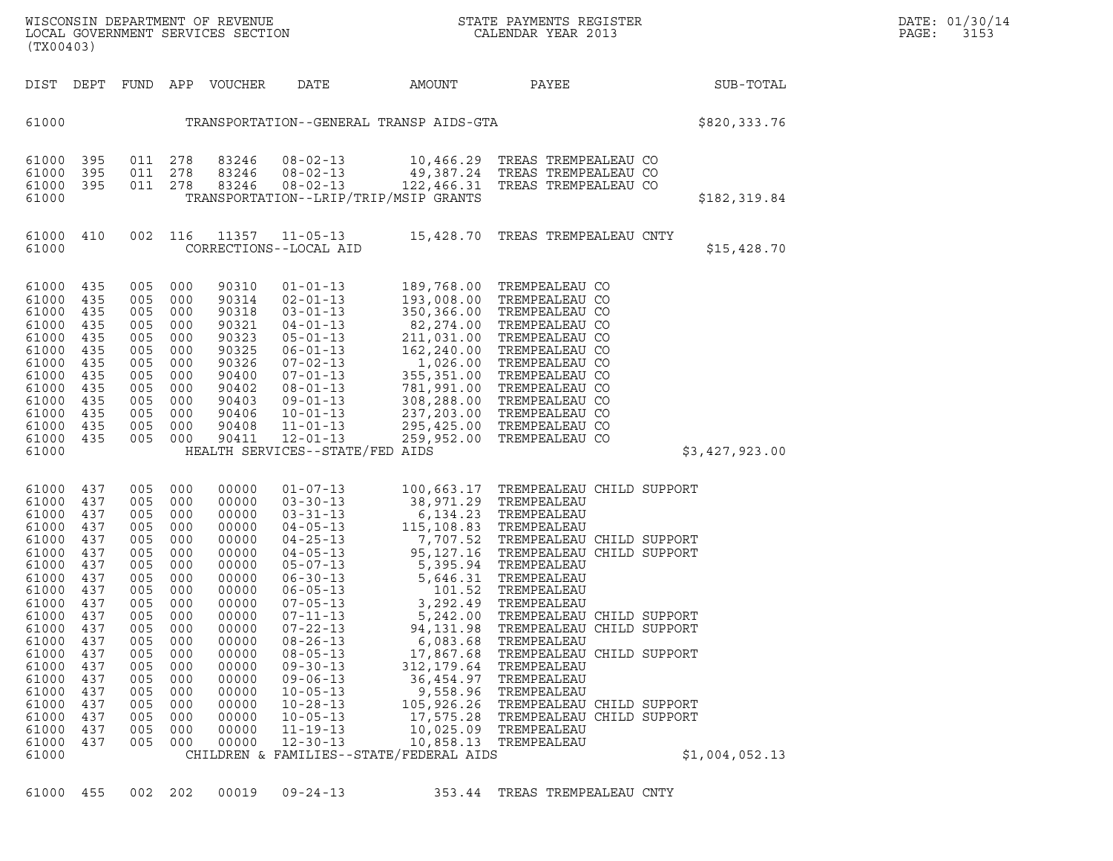|                                                                                                                                          | WISCONSIN DEPARTMENT OF REVENUE                                                                                                                                                           | $\mathbf{M}$                                                                                                                                                                                                                                                                                                                                                               |                                                                                                                                             | STATE PAYMENTS REGISTER                                                                |                                                                                                                                                                                                                                                                                                                                                                                                                                                                                                                                                                                                                                                                                             | DATE: 01/30/14<br>3153<br>PAGE:                                                                                                                                                                                                                                                                                                                                                                               |
|------------------------------------------------------------------------------------------------------------------------------------------|-------------------------------------------------------------------------------------------------------------------------------------------------------------------------------------------|----------------------------------------------------------------------------------------------------------------------------------------------------------------------------------------------------------------------------------------------------------------------------------------------------------------------------------------------------------------------------|---------------------------------------------------------------------------------------------------------------------------------------------|----------------------------------------------------------------------------------------|---------------------------------------------------------------------------------------------------------------------------------------------------------------------------------------------------------------------------------------------------------------------------------------------------------------------------------------------------------------------------------------------------------------------------------------------------------------------------------------------------------------------------------------------------------------------------------------------------------------------------------------------------------------------------------------------|---------------------------------------------------------------------------------------------------------------------------------------------------------------------------------------------------------------------------------------------------------------------------------------------------------------------------------------------------------------------------------------------------------------|
|                                                                                                                                          |                                                                                                                                                                                           | DATE                                                                                                                                                                                                                                                                                                                                                                       | AMOUNT                                                                                                                                      | PAYEE                                                                                  | SUB-TOTAL                                                                                                                                                                                                                                                                                                                                                                                                                                                                                                                                                                                                                                                                                   |                                                                                                                                                                                                                                                                                                                                                                                                               |
|                                                                                                                                          |                                                                                                                                                                                           |                                                                                                                                                                                                                                                                                                                                                                            |                                                                                                                                             |                                                                                        | \$820,333.76                                                                                                                                                                                                                                                                                                                                                                                                                                                                                                                                                                                                                                                                                |                                                                                                                                                                                                                                                                                                                                                                                                               |
|                                                                                                                                          | 83246<br>83246<br>83246                                                                                                                                                                   | $08 - 02 - 13$                                                                                                                                                                                                                                                                                                                                                             |                                                                                                                                             |                                                                                        | \$182,319.84                                                                                                                                                                                                                                                                                                                                                                                                                                                                                                                                                                                                                                                                                |                                                                                                                                                                                                                                                                                                                                                                                                               |
| 002                                                                                                                                      |                                                                                                                                                                                           |                                                                                                                                                                                                                                                                                                                                                                            |                                                                                                                                             |                                                                                        | \$15,428.70                                                                                                                                                                                                                                                                                                                                                                                                                                                                                                                                                                                                                                                                                 |                                                                                                                                                                                                                                                                                                                                                                                                               |
| 005<br>005<br>005<br>005<br>005<br>005<br>005<br>005<br>005<br>005                                                                       | 90310<br>90314<br>90318<br>90321<br>90323<br>90325<br>90326<br>90400<br>90402<br>90403<br>90406<br>90408<br>90411                                                                         | $01 - 01 - 13$<br>$02 - 01 - 13$<br>$03 - 01 - 13$<br>04-01-13<br>$05 - 01 - 13$<br>$06 - 01 - 13$<br>$07 - 02 - 13$<br>$07 - 01 - 13$<br>$08 - 01 - 13$<br>09-01-13<br>$10 - 01 - 13$<br>$11 - 01 - 13$<br>$12 - 01 - 13$                                                                                                                                                 | 259,952.00                                                                                                                                  | TREMPEALEAU CO                                                                         | \$3,427,923.00                                                                                                                                                                                                                                                                                                                                                                                                                                                                                                                                                                                                                                                                              |                                                                                                                                                                                                                                                                                                                                                                                                               |
| 005<br>005<br>005<br>005<br>005<br>005<br>005<br>005<br>005<br>005<br>005<br>005<br>005<br>005<br>005<br>005<br>005<br>005<br>005<br>005 | 00000<br>00000<br>00000<br>00000<br>00000<br>00000<br>00000<br>00000<br>00000<br>00000<br>00000<br>00000<br>00000<br>00000<br>00000<br>00000<br>00000<br>00000<br>00000<br>00000<br>00000 | $01 - 07 - 13$<br>$03 - 30 - 13$<br>$03 - 31 - 13$<br>04-05-13<br>$04 - 25 - 13$<br>04-05-13<br>$05 - 07 - 13$<br>$06 - 30 - 13$<br>$06 - 05 - 13$<br>$07 - 05 - 13$<br>$07 - 11 - 13$<br>$07 - 22 - 13$<br>$08 - 26 - 13$<br>$08 - 05 - 13$<br>$09 - 30 - 13$<br>$09 - 06 - 13$<br>$10 - 05 - 13$<br>$10 - 28 - 13$<br>$10 - 05 - 13$<br>$11 - 19 - 13$<br>$12 - 30 - 13$ | 5,242.00<br>94,131.98<br>6,083.68<br>17,867.68<br>312, 179.64<br>36,454.97<br>9,558.96<br>105,926.26<br>17,575.28<br>10,025.09<br>10,858.13 | TREMPEALEAU<br>TREMPEALEAU<br>TREMPEALEAU<br>TREMPEALEAU<br>TREMPEALEAU<br>TREMPEALEAU | \$1,004,052.13                                                                                                                                                                                                                                                                                                                                                                                                                                                                                                                                                                                                                                                                              |                                                                                                                                                                                                                                                                                                                                                                                                               |
|                                                                                                                                          |                                                                                                                                                                                           | FUND APP VOUCHER<br>011 278<br>011 278<br>011 278<br>116<br>000<br>000<br>000<br>000<br>000<br>000<br>000<br>000<br>000<br>005 000<br>000<br>005 000<br>005 000<br>000<br>000<br>000<br>000<br>000<br>000<br>000<br>000<br>000<br>005 000<br>000<br>000<br>000<br>000<br>000<br>000<br>000<br>000<br>000<br>000<br>000                                                     | LOCAL GOVERNMENT SERVICES SECTION<br>$08 - 02 - 13$<br>$08 - 02 - 13$<br>11357   11-05-13<br>CORRECTIONS--LOCAL AID                         | TRANSPORTATION--LRIP/TRIP/MSIP GRANTS<br>HEALTH SERVICES--STATE/FED AIDS               | CALENDAR YEAR 2013<br>TRANSPORTATION--GENERAL TRANSP AIDS-GTA<br>189,768.00 TREMPEALEAU CO<br>193,008.00 TREMPEALEAU CO<br>350,366.00 TREMPEALEAU CO<br>82,274.00 TREMPEALEAU CO<br>82, 274.00 IREMPEALEAU CO<br>211, 031.00 TREMPEALEAU CO<br>162, 240.00 TREMPEALEAU CO<br>1, 026.00 TREMPEALEAU CO<br>355, 351.00 TREMPEALEAU CO<br>781, 991.00 TREMPEALEAU CO<br>308, 288.00 TREMPEALEAU CO<br>237, 203.00 TREMPEALEAU CO<br>295, 425.<br>295,425.00 TREMPEALEAU CO<br>38,971.29 TREMPEALEAU<br>6,134.23 TREMPEALEAU<br>115,108.83 TREMPEALEAU<br>5,395.94 TREMPEALEAU<br>5,646.31 TREMPEALEAU<br>101.52 TREMPEALEAU<br>3,292.49 TREMPEALEAU<br>CHILDREN & FAMILIES--STATE/FEDERAL AIDS | 10,466.29 TREAS TREMPEALEAU CO<br>49,387.24 TREAS TREMPEALEAU CO<br>122,466.31 TREAS TREMPEALEAU CO<br>15,428.70 TREAS TREMPEALEAU CNTY<br>100,663.17 TREMPEALEAU CHILD SUPPORT<br>7,707.52 TREMPEALEAU CHILD SUPPORT<br>95,127.16 TREMPEALEAU CHILD SUPPORT<br>TREMPEALEAU CHILD SUPPORT<br>TREMPEALEAU CHILD SUPPORT<br>TREMPEALEAU CHILD SUPPORT<br>TREMPEALEAU CHILD SUPPORT<br>TREMPEALEAU CHILD SUPPORT |

61000 455 002 202 00019 09-24-13 353.44 TREAS TREMPEALEAU CNTY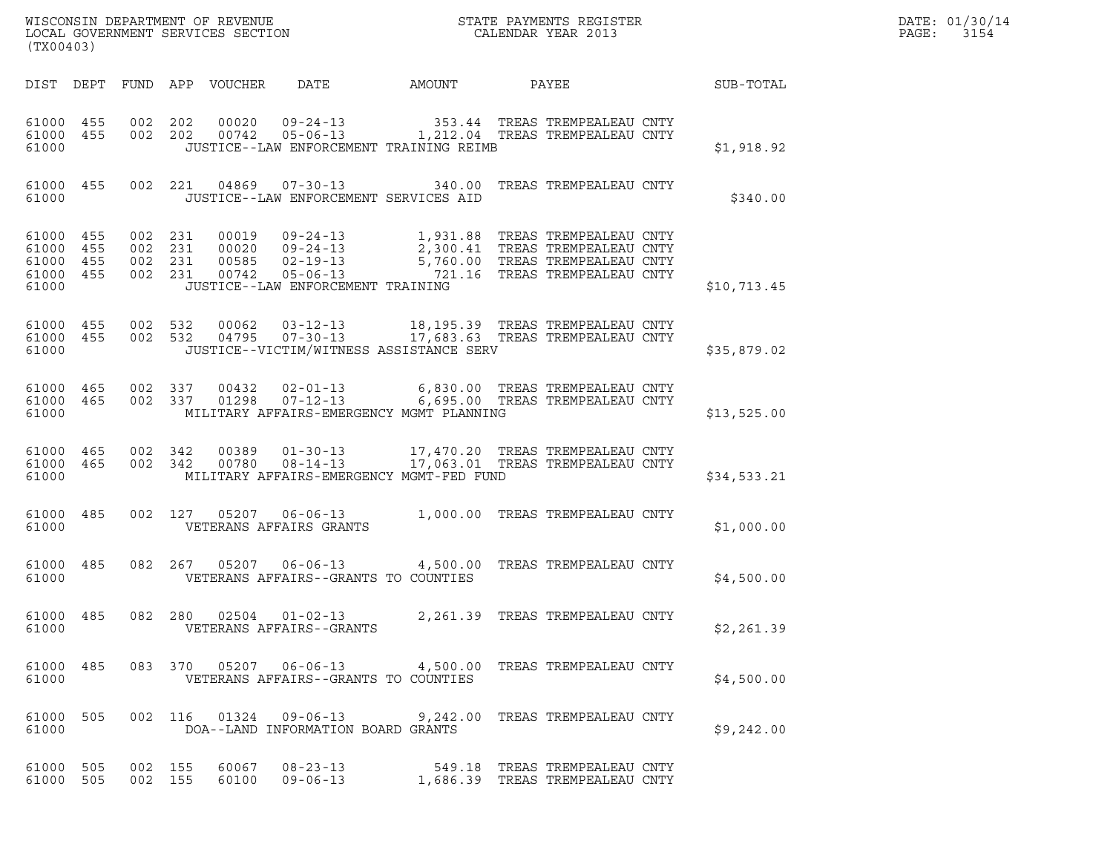| (TX00403)                                             |     |         |                    |                                 |                                                              |                                                                                                                                                                                                                                                                                                                                                                             |       |                                                                  |              | DATE: 01/30/14<br>PAGE:<br>3154 |
|-------------------------------------------------------|-----|---------|--------------------|---------------------------------|--------------------------------------------------------------|-----------------------------------------------------------------------------------------------------------------------------------------------------------------------------------------------------------------------------------------------------------------------------------------------------------------------------------------------------------------------------|-------|------------------------------------------------------------------|--------------|---------------------------------|
|                                                       |     |         |                    | DIST DEPT FUND APP VOUCHER DATE |                                                              | AMOUNT                                                                                                                                                                                                                                                                                                                                                                      | PAYEE |                                                                  | SUB-TOTAL    |                                 |
| 61000                                                 |     |         |                    |                                 |                                                              | 61000 455 002 202 00020 09-24-13 353.44 TREAS TREMPEALEAU CNTY<br>61000 455 002 202 00742 05-06-13 1,212.04 TREAS TREMPEALEAU CNTY<br>JUSTICE--LAW ENFORCEMENT TRAINING REIMB                                                                                                                                                                                               |       |                                                                  | \$1,918.92   |                                 |
| 61000 455<br>61000                                    |     |         |                    |                                 | JUSTICE--LAW ENFORCEMENT SERVICES AID                        | 002 221 04869 07-30-13 340.00 TREAS TREMPEALEAU CNTY                                                                                                                                                                                                                                                                                                                        |       |                                                                  | \$340.00     |                                 |
| 61000 455<br>61000 455<br>61000<br>61000 455<br>61000 | 455 | 002 231 | 002 231<br>002 231 |                                 | JUSTICE--LAW ENFORCEMENT TRAINING                            | $\begin{array}{cccc} 002 & 231 & 00019 & 09\texttt{-}24\texttt{-}13 & 1,931.88 & \texttt{TREAS} & \texttt{TREMPEALEAU} & \texttt{CNTY} \\ 002 & 231 & 00020 & 09\texttt{-}24\texttt{-}13 & 2,300.41 & \texttt{TREAS} & \texttt{TREMPEALEAU} & \texttt{CNTY} \\ 002 & 231 & 00585 & 02\texttt{-}19\texttt{-}13 & 5,760.00 & \texttt{TREAS} & \texttt{TREMPEALEAU} & \texttt$ |       |                                                                  | \$10, 713.45 |                                 |
| 61000                                                 |     |         |                    |                                 |                                                              | 61000 455 002 532 00062 03-12-13 18,195.39 TREAS TREMPEALEAU CNTY<br>61000 455 002 532 04795 07-30-13 17,683.63 TREAS TREMPEALEAU CNTY<br>JUSTICE--VICTIM/WITNESS ASSISTANCE SERV                                                                                                                                                                                           |       |                                                                  | \$35,879.02  |                                 |
| 61000 465 002 337<br>61000                            |     |         |                    |                                 |                                                              | 00432  02-01-13   6,830.00   TREAS TREMPEALEAU CNTY<br>61000 465 002 337 01298 07-12-13 6,695.00 TREAS TREMPEALEAU CNTY<br>MILITARY AFFAIRS-EMERGENCY MGMT PLANNING                                                                                                                                                                                                         |       |                                                                  | \$13,525.00  |                                 |
| 61000 465<br>61000                                    |     |         | 002 342            |                                 |                                                              | 61000 465 002 342 00389 01-30-13 17,470.20 TREAS TREMPEALEAU CNTY<br>00780  08-14-13    17,063.01 TREAS TREMPEALEAU CNTY<br>MILITARY AFFAIRS-EMERGENCY MGMT-FED FUND                                                                                                                                                                                                        |       |                                                                  | \$34,533.21  |                                 |
| 61000 485<br>61000                                    |     |         |                    |                                 | VETERANS AFFAIRS GRANTS                                      | 002 127 05207 06-06-13 1,000.00 TREAS TREMPEALEAU CNTY                                                                                                                                                                                                                                                                                                                      |       |                                                                  | \$1,000.00   |                                 |
| 61000 485<br>61000                                    |     |         |                    |                                 | VETERANS AFFAIRS--GRANTS TO COUNTIES                         | 082  267  05207  06-06-13  4,500.00  TREAS TREMPEALEAU CNTY                                                                                                                                                                                                                                                                                                                 |       |                                                                  | \$4,500.00   |                                 |
| 61000                                                 |     |         |                    |                                 | 61000 485 082 280 02504 01-02-13<br>VETERANS AFFAIRS--GRANTS |                                                                                                                                                                                                                                                                                                                                                                             |       | 2,261.39 TREAS TREMPEALEAU CNTY                                  | \$2,261.39   |                                 |
| 61000 485<br>61000                                    |     |         |                    |                                 | VETERANS AFFAIRS--GRANTS TO COUNTIES                         | 083 370 05207 06-06-13 4,500.00 TREAS TREMPEALEAU CNTY                                                                                                                                                                                                                                                                                                                      |       |                                                                  | \$4,500.00   |                                 |
| 61000 505<br>61000                                    |     |         |                    |                                 | DOA--LAND INFORMATION BOARD GRANTS                           | 002 116 01324 09-06-13 9,242.00 TREAS TREMPEALEAU CNTY                                                                                                                                                                                                                                                                                                                      |       |                                                                  | \$9,242.00   |                                 |
| 61000 505<br>61000 505                                |     |         | 002 155            |                                 | 60067 08-23-13<br>002 155 60100 09-06-13                     |                                                                                                                                                                                                                                                                                                                                                                             |       | 549.18 TREAS TREMPEALEAU CNTY<br>1,686.39 TREAS TREMPEALEAU CNTY |              |                                 |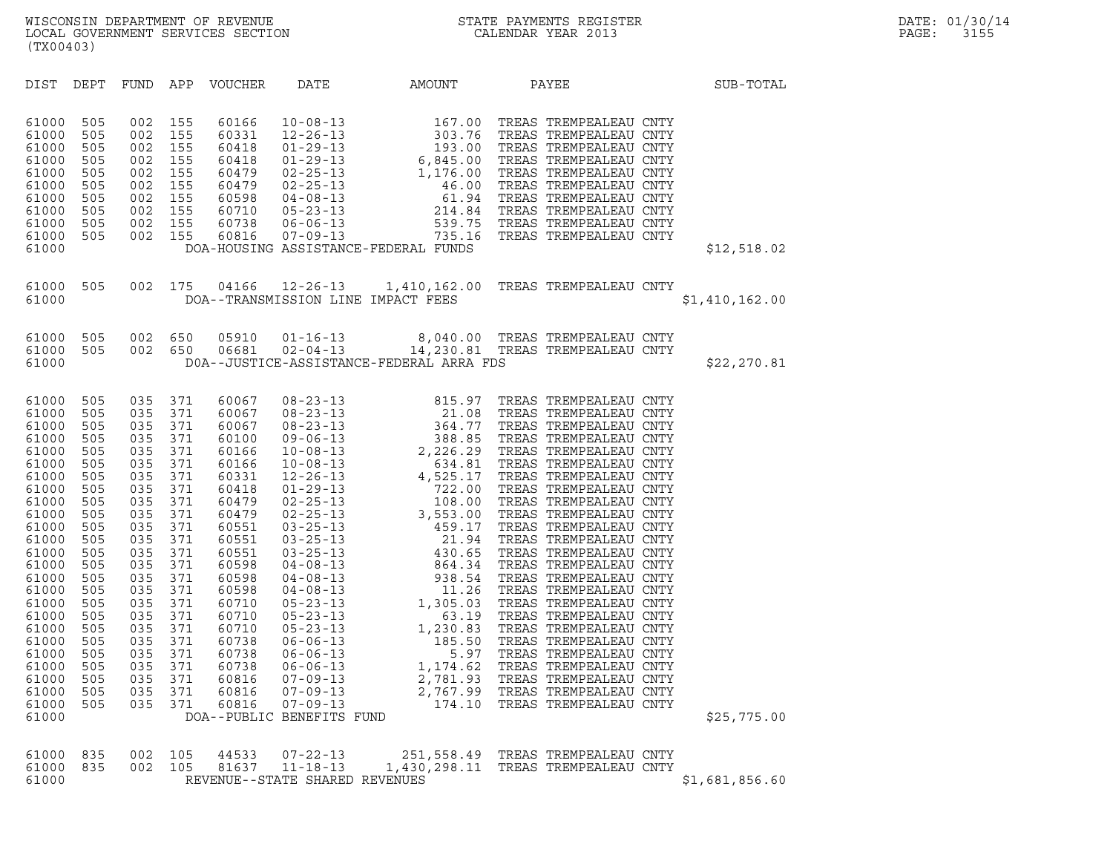| (TX00403)                                                                                                                                                                                                                        |                  |                                        |                       |                        |                                          |                                                                                                                                                             |                |
|----------------------------------------------------------------------------------------------------------------------------------------------------------------------------------------------------------------------------------|------------------|----------------------------------------|-----------------------|------------------------|------------------------------------------|-------------------------------------------------------------------------------------------------------------------------------------------------------------|----------------|
| <b>DIST</b>                                                                                                                                                                                                                      |                  |                                        | DEPT FUND APP VOUCHER | DATE                   | AMOUNT                                   | PAYEE                                                                                                                                                       | SUB-TOTAL      |
| 61000<br>61000<br>61000<br>61000<br>61000<br>61000<br>61000<br>61000<br>61000<br>61000<br>61000                                                                                                                                  |                  |                                        |                       |                        |                                          |                                                                                                                                                             | \$12,518.02    |
| 61000                                                                                                                                                                                                                            |                  |                                        |                       |                        | DOA--TRANSMISSION LINE IMPACT FEES       | 61000 505 002 175 04166 12-26-13 1,410,162.00 TREAS TREMPEALEAU CNTY                                                                                        | \$1,410,162.00 |
| 61000<br>61000<br>61000                                                                                                                                                                                                          |                  |                                        |                       |                        | DOA--JUSTICE-ASSISTANCE-FEDERAL ARRA FDS | 505 002 650 05910 01-16-13 8,040.00 TREAS TREMPEALEAU CNTY<br>505 002 650 06681 02-04-13 14,230.81 TREAS TREMPEALEAU CNTY                                   | \$22, 270.81   |
| 61000 505<br>61000 505<br>61000<br>61000<br>61000 505<br>61000<br>61000<br>61000<br>61000<br>61000<br>61000<br>61000<br>61000<br>61000<br>61000<br>61000<br>61000<br>61000<br>61000<br>61000<br>61000<br>61000<br>61000<br>61000 |                  | 61000 505 035 371<br>61000 505 035 371 |                       |                        |                                          |                                                                                                                                                             | \$25,775.00    |
| 61000                                                                                                                                                                                                                            | 835<br>61000 835 |                                        |                       | 002 105 44533 07-22-13 |                                          | 251,558.49 TREAS TREMPEALEAU CNTY<br>002 105 44533 07-22-13 251,558.49 TREAS TREMPEALEAU CNTY<br>002 105 81637 11-18-13 1,430,298.11 TREAS TREMPEALEAU CNTY |                |

|       |  |  | 61000 835 002 105 44533 07-22-13 | 251,558.49 TREAS TREMPEALEAU CNTY   |                |
|-------|--|--|----------------------------------|-------------------------------------|----------------|
|       |  |  | 61000 835 002 105 81637 11-18-13 | 1,430,298.11 TREAS TREMPEALEAU CNTY |                |
| 61000 |  |  | REVENUE--STATE SHARED REVENUES   |                                     | \$1,681,856.60 |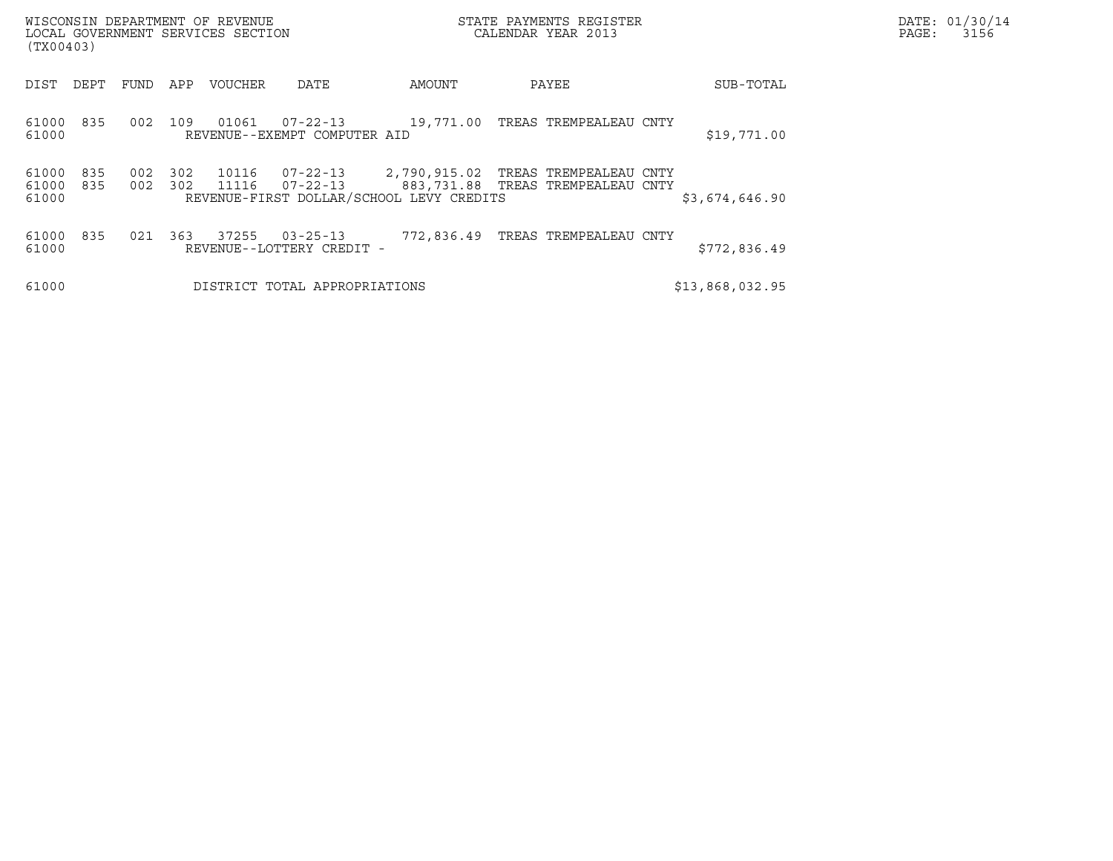| (TX00403)               |            |            |            | WISCONSIN DEPARTMENT OF REVENUE<br>LOCAL GOVERNMENT SERVICES SECTION |                                             |                                                          | STATE PAYMENTS REGISTER<br>CALENDAR YEAR 2013               |  | DATE: 01/30/14<br>PAGE:<br>3156 |  |  |
|-------------------------|------------|------------|------------|----------------------------------------------------------------------|---------------------------------------------|----------------------------------------------------------|-------------------------------------------------------------|--|---------------------------------|--|--|
| DIST                    | DEPT       | FUND       | APP        | <b>VOUCHER</b>                                                       | DATE                                        | AMOUNT                                                   | PAYEE                                                       |  | SUB-TOTAL                       |  |  |
| 61000<br>61000          | 835        | 002        | 109        | 01061                                                                | 07-22-13<br>REVENUE--EXEMPT COMPUTER AID    | 19,771.00                                                | TREAS TREMPEALEAU CNTY                                      |  | \$19,771.00                     |  |  |
| 61000<br>61000<br>61000 | 835<br>835 | 002<br>002 | 302<br>302 | 10116<br>11116                                                       | 07-22-13<br>$07 - 22 - 13$                  | 2,790,915.02<br>REVENUE-FIRST DOLLAR/SCHOOL LEVY CREDITS | TREAS TREMPEALEAU CNTY<br>883,731.88 TREAS TREMPEALEAU CNTY |  | \$3,674,646.90                  |  |  |
| 61000<br>61000          | 835        | 021        | 363        | 37255                                                                | $03 - 25 - 13$<br>REVENUE--LOTTERY CREDIT - |                                                          | 772,836.49 TREAS TREMPEALEAU CNTY                           |  | \$772,836.49                    |  |  |
| 61000                   |            |            |            |                                                                      | DISTRICT TOTAL APPROPRIATIONS               |                                                          |                                                             |  | \$13,868,032.95                 |  |  |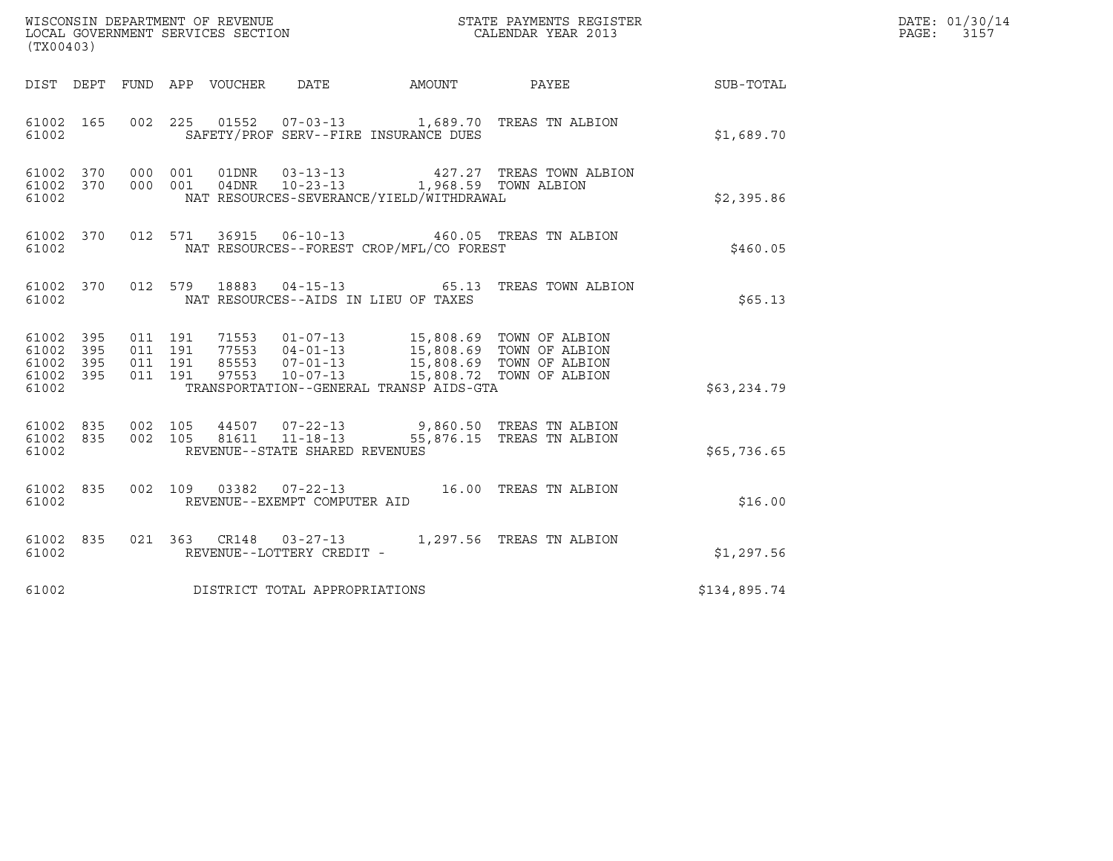| (TX00403)                                                    |                                                                                                                                                                                                                                                                                                     |                                        | DATE: 01/30/14<br>PAGE:<br>3157 |
|--------------------------------------------------------------|-----------------------------------------------------------------------------------------------------------------------------------------------------------------------------------------------------------------------------------------------------------------------------------------------------|----------------------------------------|---------------------------------|
|                                                              | DIST DEPT FUND APP VOUCHER DATE<br>AMOUNT                                                                                                                                                                                                                                                           | PAYEE SUB-TOTAL                        |                                 |
| 61002 165<br>61002                                           | 002 225 01552 07-03-13 1,689.70 TREAS TN ALBION<br>SAFETY/PROF SERV--FIRE INSURANCE DUES                                                                                                                                                                                                            | \$1,689.70                             |                                 |
| 61002 370 000 001<br>61002 370<br>61002                      | 000 001<br>NAT RESOURCES-SEVERANCE/YIELD/WITHDRAWAL                                                                                                                                                                                                                                                 | 427.27 TREAS TOWN ALBION<br>\$2,395.86 |                                 |
| 61002 370<br>61002                                           | 012 571 36915 06-10-13 460.05 TREAS TN ALBION<br>NAT RESOURCES--FOREST CROP/MFL/CO FOREST                                                                                                                                                                                                           | \$460.05                               |                                 |
| 61002 370<br>61002                                           | 18883  04-15-13  65.13  TREAS TOWN ALBION<br>012 579<br>NAT RESOURCES--AIDS IN LIEU OF TAXES                                                                                                                                                                                                        | \$65.13                                |                                 |
| 61002 395<br>395<br>61002<br>61002 395<br>61002 395<br>61002 | 71553    01-07-13    15,808.69    TOWN OF ALBION<br>77553    04-01-13    15,808.69    TOWN OF ALBION<br>85553    07-01-13    15,808.69    TOWN OF ALBION<br>97553    10-07-13    15,808.72    TOWN OF ALBION<br>011 191<br>011 191<br>011 191<br>011 191<br>TRANSPORTATION--GENERAL TRANSP AIDS-GTA | \$63,234.79                            |                                 |
| 61002 835<br>61002 835<br>61002                              | 002 105 44507 07-22-13 9,860.50 TREAS TN ALBION<br>002 105 81611 11-18-13 55,876.15 TREAS TN ALBION<br>REVENUE--STATE SHARED REVENUES                                                                                                                                                               | \$65,736.65                            |                                 |
| 61002 835<br>61002                                           | 002 109 03382 07-22-13 16.00 TREAS TN ALBION<br>REVENUE--EXEMPT COMPUTER AID                                                                                                                                                                                                                        | \$16.00                                |                                 |
| 61002 835<br>61002                                           | 021 363 CR148 03-27-13 1,297.56 TREAS TN ALBION<br>REVENUE--LOTTERY CREDIT -                                                                                                                                                                                                                        | \$1,297.56                             |                                 |
| 61002                                                        | DISTRICT TOTAL APPROPRIATIONS                                                                                                                                                                                                                                                                       | \$134,895.74                           |                                 |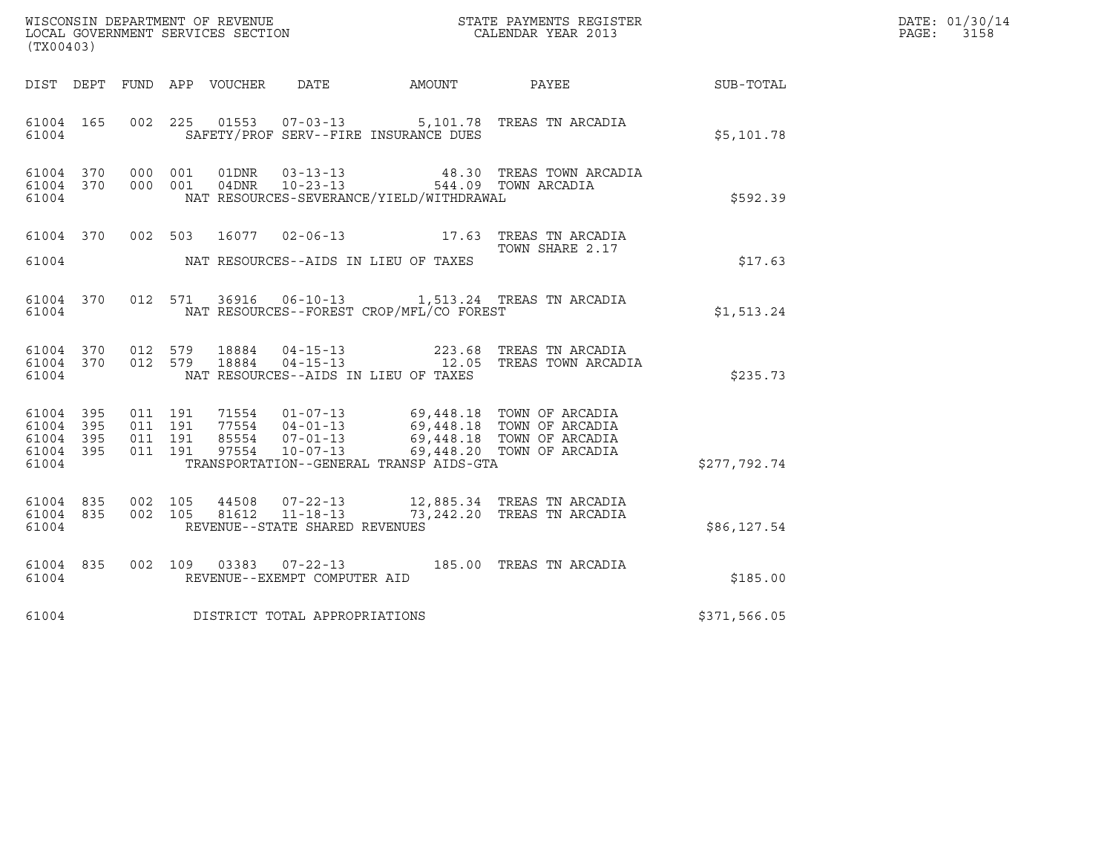| (TX00403)                                             |     |                                          |                |                                                                    |                                                                              |                                                                                                                                                                                 |              | DATE: 01/30/14<br>$\mathtt{PAGE:}$<br>3158 |
|-------------------------------------------------------|-----|------------------------------------------|----------------|--------------------------------------------------------------------|------------------------------------------------------------------------------|---------------------------------------------------------------------------------------------------------------------------------------------------------------------------------|--------------|--------------------------------------------|
|                                                       |     |                                          |                |                                                                    | DIST DEPT FUND APP VOUCHER DATE AMOUNT PAYEE                                 |                                                                                                                                                                                 | SUB-TOTAL    |                                            |
| 61004 165<br>61004                                    |     |                                          |                |                                                                    | SAFETY/PROF SERV--FIRE INSURANCE DUES                                        | 002 225 01553 07-03-13 5,101.78 TREAS TN ARCADIA                                                                                                                                | \$5,101.78   |                                            |
| 61004 370 000 001<br>61004 370<br>61004               |     | 000 001                                  | 04DNR          |                                                                    | $10-23-13$ $544.09$ TOWN ARCADIA<br>NAT RESOURCES-SEVERANCE/YIELD/WITHDRAWAL | 48.30 TREAS TOWN ARCADIA                                                                                                                                                        | \$592.39     |                                            |
| 61004                                                 |     |                                          |                |                                                                    | NAT RESOURCES--AIDS IN LIEU OF TAXES                                         | 61004 370 002 503 16077 02-06-13 17.63 TREAS TN ARCADIA<br>TOWN SHARE 2.17                                                                                                      | \$17.63      |                                            |
| 61004                                                 |     |                                          |                |                                                                    | NAT RESOURCES--FOREST CROP/MFL/CO FOREST                                     | 61004 370 012 571 36916 06-10-13 1,513.24 TREAS TN ARCADIA                                                                                                                      | \$1,513.24   |                                            |
| 61004 370 012 579<br>61004 370<br>61004               |     | 012 579                                  | 18884<br>18884 |                                                                    | NAT RESOURCES--AIDS IN LIEU OF TAXES                                         | 04-15-13 223.68 TREAS TN ARCADIA<br>04-15-13 12.05 TREAS TOWN ARCADIA                                                                                                           | \$235.73     |                                            |
| 61004 395<br>61004<br>61004 395<br>61004 395<br>61004 | 395 | 011 191<br>011 191<br>011 191<br>011 191 | 97554          | $10 - 07 - 13$                                                     | TRANSPORTATION--GENERAL TRANSP AIDS-GTA                                      | 71554   01-07-13   69,448.18   TOWN OF ARCADIA<br>77554   04-01-13   69,448.18   TOWN OF ARCADIA<br>85554   07-01-13   69,448.18   TOWN OF ARCADIA<br>69,448.20 TOWN OF ARCADIA | \$277,792.74 |                                            |
| 61004 835<br>61004 835<br>61004                       |     | 002 105<br>002 105                       | 44508<br>81612 | $07 - 22 - 13$<br>$11 - 18 - 13$<br>REVENUE--STATE SHARED REVENUES |                                                                              | 12,885.34 TREAS TN ARCADIA<br>73,242.20 TREAS TN ARCADIA                                                                                                                        | \$86,127.54  |                                            |
| 61004 835<br>61004                                    |     |                                          |                | REVENUE--EXEMPT COMPUTER AID                                       |                                                                              | 002 109 03383 07-22-13 185.00 TREAS TN ARCADIA                                                                                                                                  | \$185.00     |                                            |
| 61004                                                 |     |                                          |                | DISTRICT TOTAL APPROPRIATIONS                                      |                                                                              |                                                                                                                                                                                 | \$371,566.05 |                                            |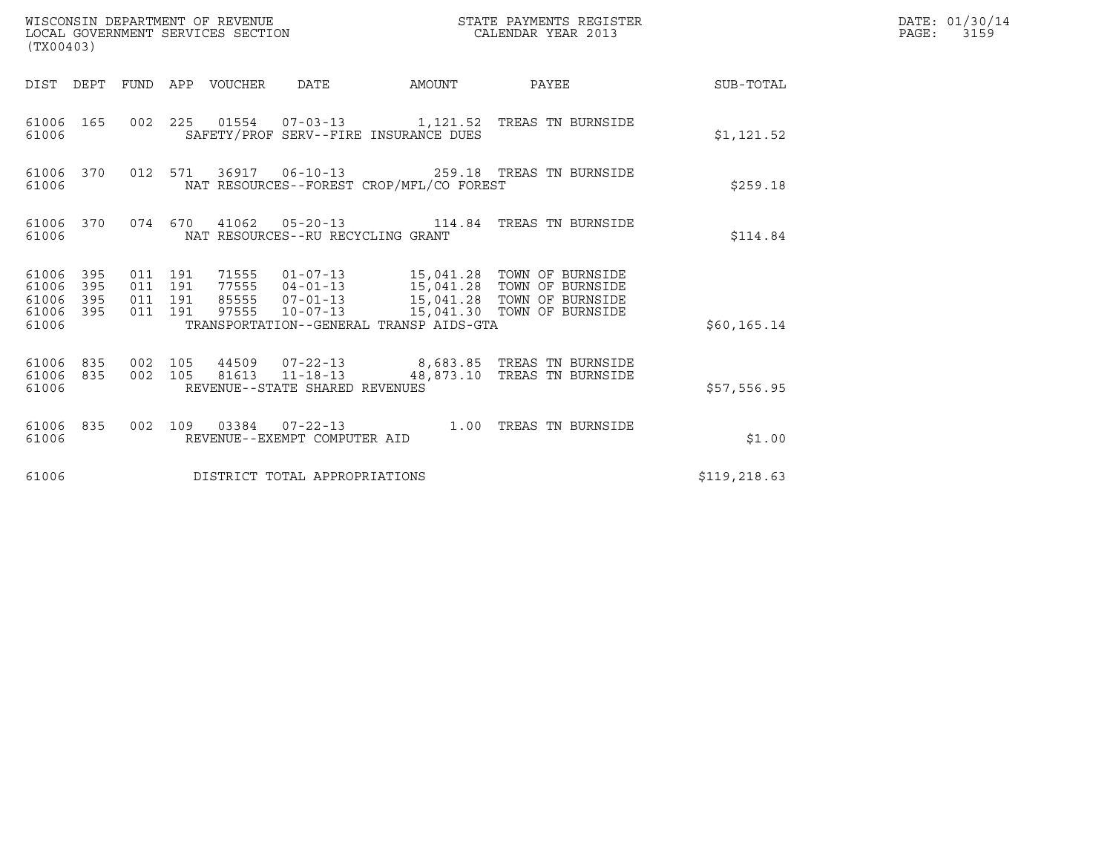| WISCONSIN DEPARTMENT OF REVENUE<br>LOCAL GOVERNMENT SERVICES SECTION<br>(TX00403) |                                          |                                                                                                                                      |              | STATE PAYMENTS REGISTER<br>CALENDAR YEAR 2013 |                  | DATE: 01/30/14<br>PAGE: 3159 |
|-----------------------------------------------------------------------------------|------------------------------------------|--------------------------------------------------------------------------------------------------------------------------------------|--------------|-----------------------------------------------|------------------|------------------------------|
|                                                                                   |                                          | DIST DEPT FUND APP VOUCHER DATE                                                                                                      | AMOUNT PAYEE |                                               | <b>SUB-TOTAL</b> |                              |
| 61006 165<br>61006                                                                |                                          | 002  225  01554  07-03-13  1,121.52  TREAS TN BURNSIDE<br>SAFETY/PROF SERV--FIRE INSURANCE DUES                                      |              |                                               | \$1,121.52       |                              |
| 61006 370<br>61006                                                                |                                          | 012 571 36917 06-10-13 259.18 TREAS TN BURNSIDE<br>NAT RESOURCES--FOREST CROP/MFL/CO FOREST                                          |              |                                               | \$259.18         |                              |
| 61006 370<br>61006                                                                |                                          | 074  670  41062  05-20-13  114.84  TREAS TN BURNSIDE<br>NAT RESOURCES--RU RECYCLING GRANT                                            |              |                                               | \$114.84         |                              |
| 395<br>61006<br>61006<br>395<br>61006<br>395<br>61006<br>395<br>61006             | 011 191<br>011 191<br>011 191<br>011 191 | 85555  07-01-13  15,041.28  TOWN OF BURNSIDE<br>97555 10-07-13 15,041.30 TOWN OF BURNSIDE<br>TRANSPORTATION--GENERAL TRANSP AIDS-GTA |              |                                               | \$60, 165.14     |                              |
| 61006 835<br>61006 835<br>61006                                                   | 002 105<br>002 105                       | 44509  07-22-13  8,683.85  TREAS TN BURNSIDE<br>81613  11-18-13<br>REVENUE--STATE SHARED REVENUES                                    |              | 48,873.10 TREAS TN BURNSIDE                   | \$57,556.95      |                              |
| 61006 835<br>61006                                                                |                                          | 002 109 03384 07-22-13 1.00 TREAS TN BURNSIDE<br>REVENUE--EXEMPT COMPUTER AID                                                        |              |                                               | \$1.00           |                              |
| 61006                                                                             |                                          | DISTRICT TOTAL APPROPRIATIONS                                                                                                        |              |                                               | \$119, 218.63    |                              |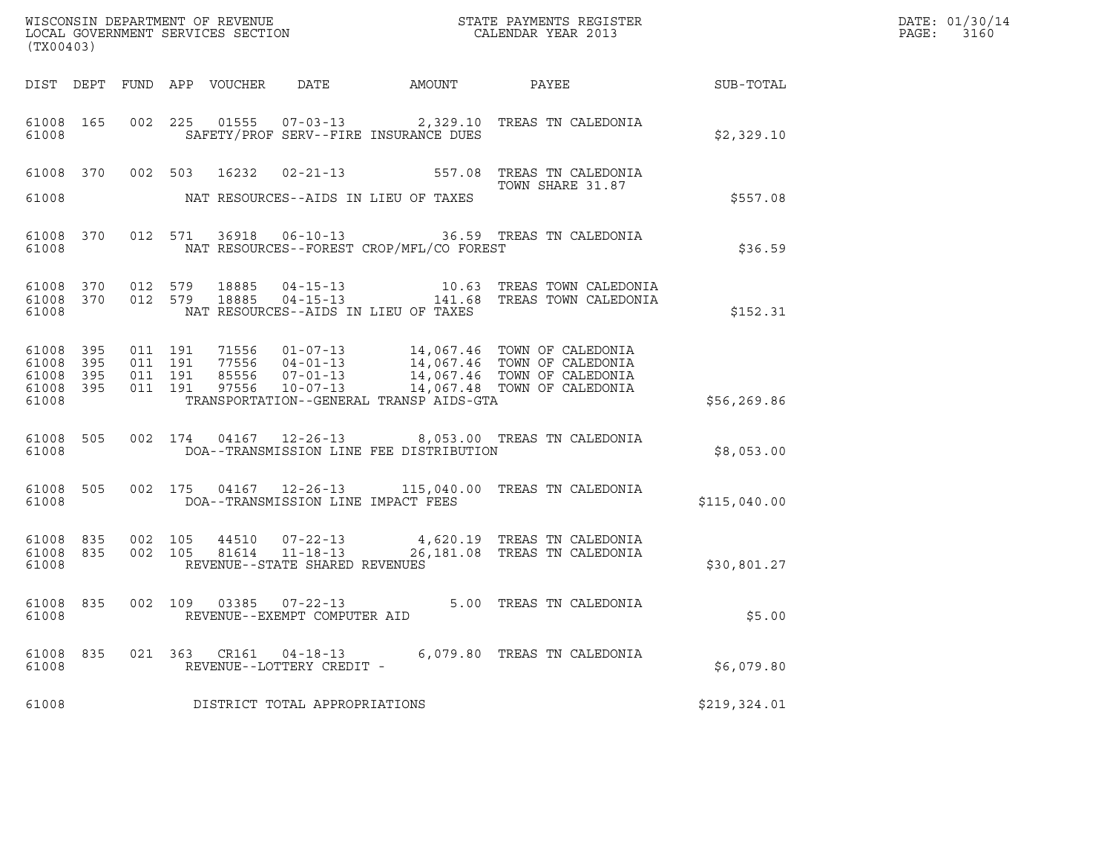| (TX00403)                                     |                          |                    |                    |                         |                                                        |                                          |                                                                                                                                                                                                  |              | DATE: 01/30/14<br>PAGE:<br>3160 |
|-----------------------------------------------|--------------------------|--------------------|--------------------|-------------------------|--------------------------------------------------------|------------------------------------------|--------------------------------------------------------------------------------------------------------------------------------------------------------------------------------------------------|--------------|---------------------------------|
|                                               |                          |                    |                    |                         |                                                        |                                          |                                                                                                                                                                                                  |              |                                 |
| 61008                                         | 61008 165                |                    |                    |                         |                                                        | SAFETY/PROF SERV--FIRE INSURANCE DUES    | 002  225  01555  07-03-13  2,329.10 TREAS TN CALEDONIA                                                                                                                                           | \$2,329.10   |                                 |
|                                               |                          |                    |                    | 61008 370 002 503 16232 |                                                        |                                          | 02-21-13 557.08 TREAS TN CALEDONIA<br>TOWN SHARE 31.87                                                                                                                                           |              |                                 |
| 61008                                         |                          |                    |                    |                         |                                                        | NAT RESOURCES--AIDS IN LIEU OF TAXES     |                                                                                                                                                                                                  | \$557.08     |                                 |
| 61008                                         | 61008 370                |                    |                    |                         |                                                        | NAT RESOURCES--FOREST CROP/MFL/CO FOREST | 012 571 36918 06-10-13 36.59 TREAS TN CALEDONIA                                                                                                                                                  | \$36.59      |                                 |
| 61008<br>61008                                | 370 012 579<br>61008 370 |                    |                    | 18885<br>012 579 18885  |                                                        | NAT RESOURCES--AIDS IN LIEU OF TAXES     | 04-15-13 10.63 TREAS TOWN CALEDONIA<br>04-15-13 141.68 TREAS TOWN CALEDONIA                                                                                                                      | \$152.31     |                                 |
| 61008 395<br>61008<br>61008<br>61008<br>61008 | 395<br>395<br>395        | 011 191<br>011 191 | 011 191<br>011 191 |                         |                                                        | TRANSPORTATION--GENERAL TRANSP AIDS-GTA  | 71556  01-07-13  14,067.46  TOWN OF CALEDONIA<br>77556  04-01-13  14,067.46  TOWN OF CALEDONIA<br>85556  07-01-13  14,067.46  TOWN OF CALEDONIA<br>97556  10-07-13  14,067.48  TOWN OF CALEDONIA | \$56, 269.86 |                                 |
| 61008 505<br>61008                            |                          |                    |                    |                         |                                                        | DOA--TRANSMISSION LINE FEE DISTRIBUTION  | 002 174 04167 12-26-13 8,053.00 TREAS TN CALEDONIA                                                                                                                                               | \$8,053.00   |                                 |
| 61008                                         | 61008 505                |                    |                    |                         |                                                        | DOA--TRANSMISSION LINE IMPACT FEES       | 002 175 04167 12-26-13 115,040.00 TREAS TN CALEDONIA                                                                                                                                             | \$115,040.00 |                                 |
| 61008<br>61008 835<br>61008                   | 835                      | 002 105            |                    | 44510                   | REVENUE--STATE SHARED REVENUES                         |                                          | 07-22-13 4,620.19 TREAS TN CALEDONIA<br>002 105 81614 11-18-13 26,181.08 TREAS TN CALEDONIA                                                                                                      | \$30,801.27  |                                 |
| 61008 835<br>61008                            |                          |                    |                    |                         | 002 109 03385 07-22-13<br>REVENUE--EXEMPT COMPUTER AID |                                          | 5.00 TREAS TN CALEDONIA                                                                                                                                                                          | \$5.00       |                                 |
| 61008<br>61008                                | 835                      | 021 363            |                    |                         | CR161 04-18-13<br>REVENUE--LOTTERY CREDIT -            |                                          | 6,079.80 TREAS TN CALEDONIA                                                                                                                                                                      | \$6,079.80   |                                 |
| 61008                                         |                          |                    |                    |                         | DISTRICT TOTAL APPROPRIATIONS                          |                                          |                                                                                                                                                                                                  | \$219,324.01 |                                 |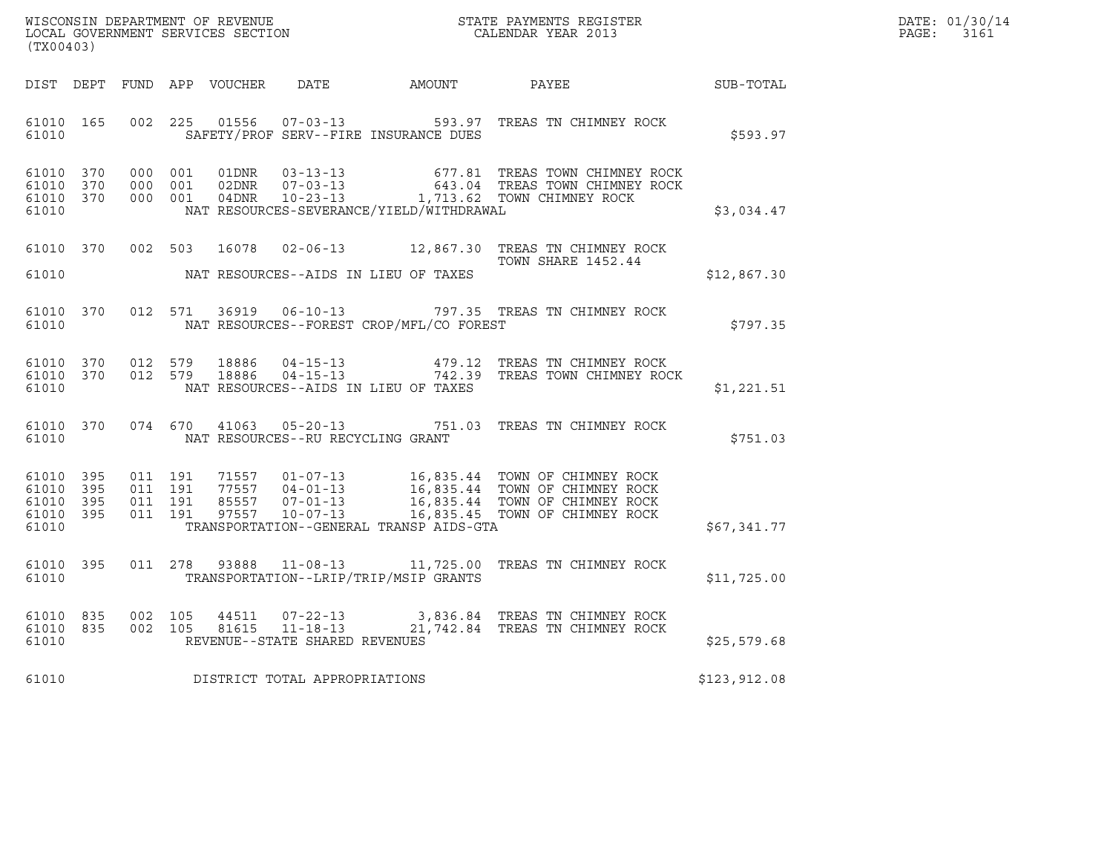| WISCONSIN DEPARTMENT OF REVENUE   | STATE PAYMENTS REGISTER | DATE: 01/30/14 |
|-----------------------------------|-------------------------|----------------|
| LOCAL GOVERNMENT SERVICES SECTION | CALENDAR YEAR 2013      | PAGE:<br>3161  |

| (TX00403)          |                                     |  |                                      |                                                |                                                                                                                                                                                                                                  | R            | DATE: 01/30/14<br>PAGE:<br>3161 |
|--------------------|-------------------------------------|--|--------------------------------------|------------------------------------------------|----------------------------------------------------------------------------------------------------------------------------------------------------------------------------------------------------------------------------------|--------------|---------------------------------|
|                    |                                     |  |                                      |                                                | DIST DEPT FUND APP VOUCHER DATE AMOUNT PAYEE SUB-TOTAL                                                                                                                                                                           |              |                                 |
|                    |                                     |  |                                      | 61010 SAFETY/PROF SERV--FIRE INSURANCE DUES    | 61010 165 002 225 01556 07-03-13 593.97 TREAS TN CHIMNEY ROCK                                                                                                                                                                    | \$593.97     |                                 |
| 61010              |                                     |  |                                      | NAT RESOURCES-SEVERANCE/YIELD/WITHDRAWAL       |                                                                                                                                                                                                                                  | \$3,034.47   |                                 |
|                    |                                     |  |                                      | 61010 NAT RESOURCES--AIDS IN LIEU OF TAXES     | 61010 370 002 503 16078 02-06-13 12,867.30 TREAS TN CHIMNEY ROCK $\overline{1000}$ 370 002 503 16078 02-06-13                                                                                                                    | \$12,867.30  |                                 |
|                    |                                     |  |                                      | 61010 NAT RESOURCES--FOREST CROP/MFL/CO FOREST | 61010 370 012 571 36919 06-10-13 797.35 TREAS TN CHIMNEY ROCK                                                                                                                                                                    | \$797.35     |                                 |
|                    |                                     |  |                                      | 61010 NAT RESOURCES--AIDS IN LIEU OF TAXES     | 61010 370 012 579 18886 04-15-13 479.12 TREAS TN CHIMNEY ROCK 61010 370 012 579 18886 04-15-13 742.39 TREAS TOWN CHIMNEY ROCK                                                                                                    | \$1,221.51   |                                 |
|                    |                                     |  |                                      | 61010 NAT RESOURCES--RU RECYCLING GRANT        | 61010 370 074 670 41063 05-20-13 751.03 TREAS TN CHIMNEY ROCK                                                                                                                                                                    | \$751.03     |                                 |
| 61010 395<br>61010 | 61010 395<br>61010 395<br>61010 395 |  |                                      | TRANSPORTATION--GENERAL TRANSP AIDS-GTA        | 011 191 71557 01-07-13 16,835.44 TOWN OF CHIMNEY ROCK<br>011 191 77557 04-01-13 16,835.44 TOWN OF CHIMNEY ROCK<br>011 191 85557 07-01-13 16,835.44 TOWN OF CHIMNEY ROCK<br>011 191 97557 10-07-13 16,835.45 TOWN OF CHIMNEY ROCK | \$67,341.77  |                                 |
|                    |                                     |  |                                      |                                                | 61010 395 011 278 93888 11-08-13 11,725.00 TREAS TN CHIMNEY ROCK<br>61010 TRANSPORTATION--LRIP/TRIP/MSIP GRANTS                                                                                                                  | \$11,725.00  |                                 |
|                    | 61010 835 002 105<br>61010 835      |  | 61010 REVENUE--STATE SHARED REVENUES |                                                | 002   105   44511   07-22-13   3,836.84   TREAS TN CHIMNEY ROCK   002   105   81615   11-18-13   21,742.84   TREAS TN CHIMNEY ROCK                                                                                               | \$25,579.68  |                                 |
|                    |                                     |  | 61010 DISTRICT TOTAL APPROPRIATIONS  |                                                |                                                                                                                                                                                                                                  | \$123,912.08 |                                 |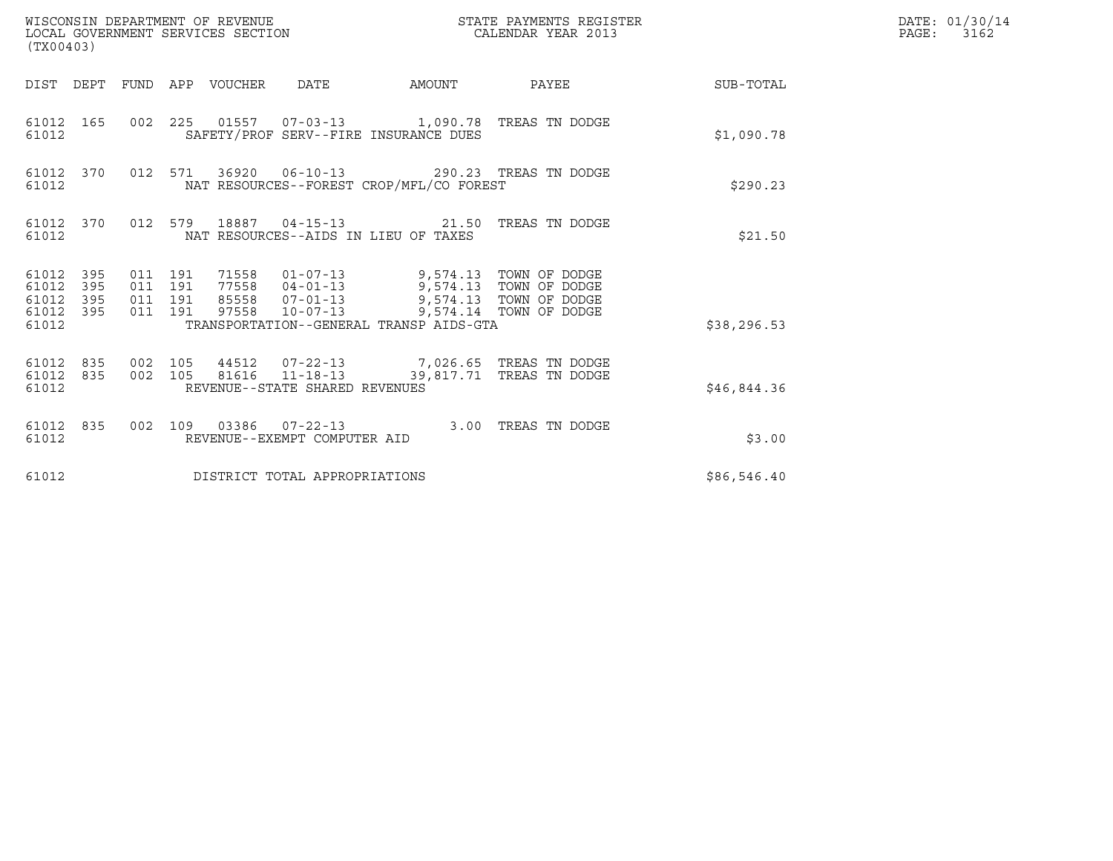| WISCONSIN DEPARTMENT OF REVENUE<br>(TX00403)                    | STATE PAYMENTS REGISTER<br>LOCAL GOVERNMENT SERVICES SECTION<br>CALENDAR YEAR 2013                                                                                          |                        | DATE: 01/30/14<br>PAGE: 3162 |
|-----------------------------------------------------------------|-----------------------------------------------------------------------------------------------------------------------------------------------------------------------------|------------------------|------------------------------|
|                                                                 | DIST DEPT FUND APP VOUCHER DATE                                                                                                                                             | AMOUNT PAYEE SUB-TOTAL |                              |
| 61012 165<br>61012                                              | 002 225 01557 07-03-13 1,090.78 TREAS TN DODGE<br>SAFETY/PROF SERV--FIRE INSURANCE DUES                                                                                     | \$1,090.78             |                              |
| 61012 370<br>61012                                              | 012 571 36920 06-10-13 290.23 TREAS TN DODGE<br>NAT RESOURCES--FOREST CROP/MFL/CO FOREST                                                                                    | \$290.23               |                              |
| 61012 370<br>61012                                              | 012 579 18887 04-15-13 21.50 TREAS TN DODGE<br>NAT RESOURCES--AIDS IN LIEU OF TAXES                                                                                         | \$21.50                |                              |
| 61012 395<br>61012<br>395<br>61012<br>395<br>61012 395<br>61012 | 011 191<br>011 191<br>85558  07-01-13  9,574.13  TOWN OF DODGE<br>011 191<br>97558 10-07-13<br>011 191<br>9,574.14 TOWN OF DODGE<br>TRANSPORTATION--GENERAL TRANSP AIDS-GTA | \$38, 296.53           |                              |
| 61012 835<br>61012 835<br>61012                                 | 44512 07-22-13 7,026.65 TREAS TN DODGE<br>002 105<br>002 105 81616 11-18-13<br>39,817.71 TREAS TN DODGE<br>REVENUE--STATE SHARED REVENUES                                   | \$46,844.36            |                              |
| 61012 835<br>61012                                              | 002 109 03386 07-22-13 3.00 TREAS TN DODGE<br>REVENUE--EXEMPT COMPUTER AID                                                                                                  | \$3.00                 |                              |
| 61012                                                           | DISTRICT TOTAL APPROPRIATIONS                                                                                                                                               | \$86,546.40            |                              |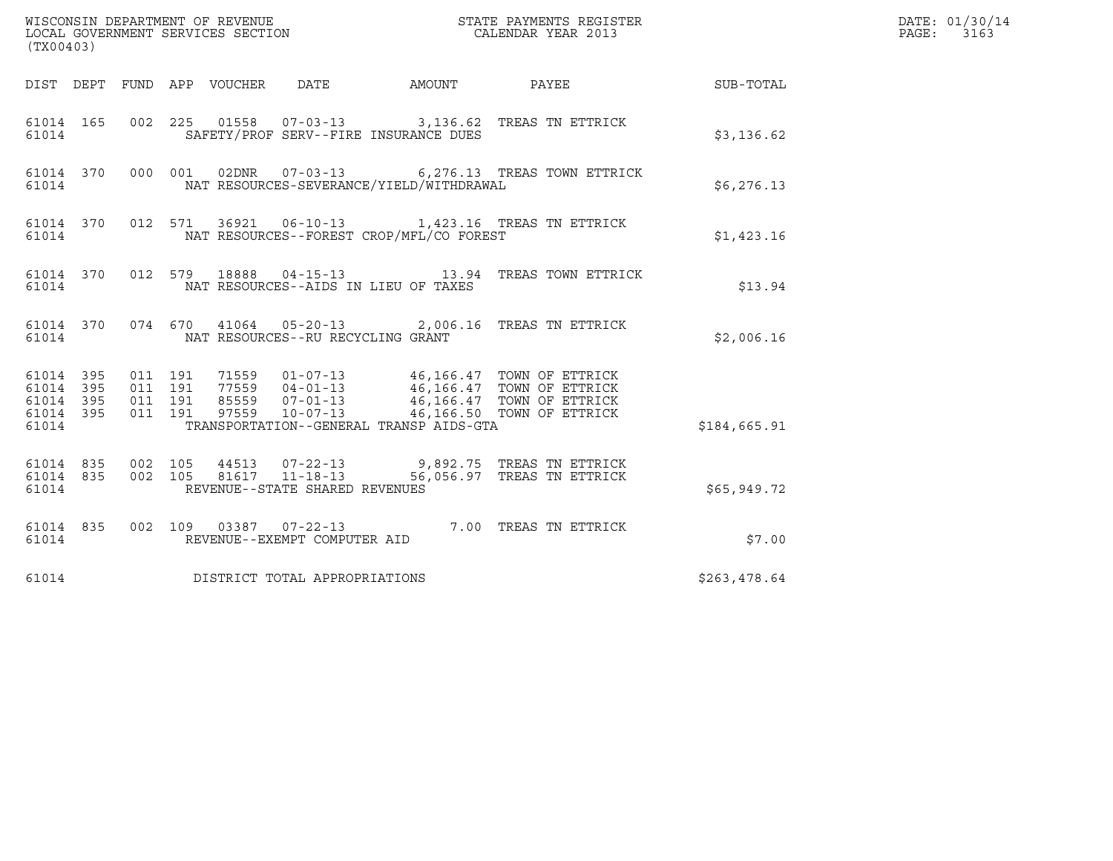| (TX00403)                                             |     |                                          |  |                                          |                                                                                                                                                                                                                  |              | DATE: 01/30/14<br>PAGE:<br>3163 |
|-------------------------------------------------------|-----|------------------------------------------|--|------------------------------------------|------------------------------------------------------------------------------------------------------------------------------------------------------------------------------------------------------------------|--------------|---------------------------------|
|                                                       |     |                                          |  |                                          | DIST DEPT FUND APP VOUCHER DATE AMOUNT PAYEE SUB-TOTAL                                                                                                                                                           |              |                                 |
| 61014 165<br>61014                                    |     |                                          |  | SAFETY/PROF SERV--FIRE INSURANCE DUES    | 002 225 01558 07-03-13 3,136.62 TREAS TN ETTRICK                                                                                                                                                                 | \$3,136.62   |                                 |
| 61014                                                 |     |                                          |  | NAT RESOURCES-SEVERANCE/YIELD/WITHDRAWAL | 61014 370 000 001 02DNR 07-03-13 6,276.13 TREAS TOWN ETTRICK                                                                                                                                                     | \$6,276.13   |                                 |
| 61014                                                 |     |                                          |  | NAT RESOURCES--FOREST CROP/MFL/CO FOREST | 61014 370 012 571 36921 06-10-13 1,423.16 TREAS TN ETTRICK                                                                                                                                                       | \$1,423.16   |                                 |
| 61014                                                 |     |                                          |  | NAT RESOURCES--AIDS IN LIEU OF TAXES     | 61014 370 012 579 18888 04-15-13 13.94 TREAS TOWN ETTRICK                                                                                                                                                        | \$13.94      |                                 |
| 61014                                                 |     |                                          |  | NAT RESOURCES--RU RECYCLING GRANT        | 61014 370 074 670 41064 05-20-13 2,006.16 TREAS TN ETTRICK                                                                                                                                                       | \$2,006.16   |                                 |
| 61014 395<br>61014 395<br>61014<br>61014 395<br>61014 | 395 | 011 191<br>011 191<br>011 191<br>011 191 |  | TRANSPORTATION--GENERAL TRANSP AIDS-GTA  | 71559    01-07-13    46,166.47    TOWN OF ETTRICK<br>77559    04-01-13    46,166.47    TOWN OF ETTRICK<br>85559    07-01-13    46,166.47    TOWN OF ETTRICK<br>97559    10-07-13    46,166.50    TOWN OF ETTRICK | \$184,665.91 |                                 |
| 61014                                                 |     |                                          |  | REVENUE--STATE SHARED REVENUES           | 61014  835  002  105  44513  07-22-13  9,892.75  TREAS TN ETTRICK<br>61014  835  002  105  81617  11-18-13  56,056.97  TREAS TN ETTRICK                                                                          | \$65,949.72  |                                 |
| 61014 835<br>61014                                    |     |                                          |  | REVENUE--EXEMPT COMPUTER AID             | 002 109 03387 07-22-13 7.00 TREAS TN ETTRICK                                                                                                                                                                     | \$7.00       |                                 |
| 61014                                                 |     |                                          |  | DISTRICT TOTAL APPROPRIATIONS            |                                                                                                                                                                                                                  | \$263,478.64 |                                 |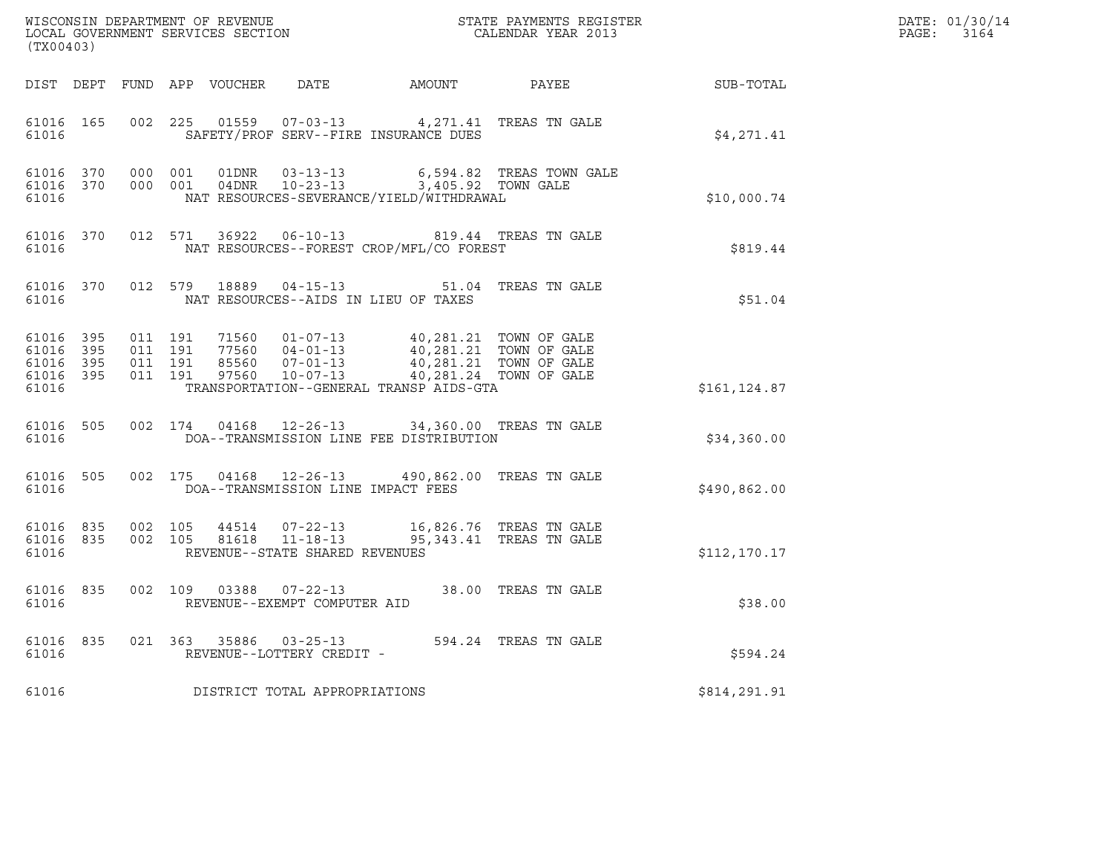| (TX00403)          |                    |         | WISCONSIN DEPARTMENT OF REVENUE<br>LOCAL GOVERNMENT SERVICES SECTION |                                    |                                          | STATE PAYMENTS REGISTER<br>CALENDAR YEAR 2013                                                                    |              | DATE: 01/30/14<br>PAGE: 3164 |
|--------------------|--------------------|---------|----------------------------------------------------------------------|------------------------------------|------------------------------------------|------------------------------------------------------------------------------------------------------------------|--------------|------------------------------|
|                    |                    |         |                                                                      |                                    |                                          | DIST DEPT FUND APP VOUCHER DATE AMOUNT PAYEE SUB-TOTAL                                                           |              |                              |
| 61016              |                    |         |                                                                      |                                    | SAFETY/PROF SERV--FIRE INSURANCE DUES    | 61016 165 002 225 01559 07-03-13 4,271.41 TREAS TN GALE                                                          | \$4,271.41   |                              |
| 61016              |                    |         |                                                                      |                                    | NAT RESOURCES-SEVERANCE/YIELD/WITHDRAWAL | 61016 370 000 001 01DNR 03-13-13 6,594.82 TREAS TOWN GALE<br>61016 370 000 001 04DNR 10-23-13 3,405.92 TOWN GALE | \$10,000.74  |                              |
| 61016              |                    |         |                                                                      |                                    | NAT RESOURCES--FOREST CROP/MFL/CO FOREST | 61016 370 012 571 36922 06-10-13 819.44 TREAS TN GALE                                                            | \$819.44     |                              |
| 61016              |                    |         |                                                                      | 61016 370 012 579 18889 04-15-13   | NAT RESOURCES--AIDS IN LIEU OF TAXES     | 51.04 TREAS TN GALE                                                                                              | \$51.04      |                              |
| 61016              |                    |         |                                                                      |                                    | TRANSPORTATION--GENERAL TRANSP AIDS-GTA  |                                                                                                                  | \$161,124.87 |                              |
| 61016              | 61016 505          |         |                                                                      |                                    | DOA--TRANSMISSION LINE FEE DISTRIBUTION  | 002 174 04168 12-26-13 34,360.00 TREAS TN GALE                                                                   | \$34,360.00  |                              |
| 61016              |                    |         |                                                                      | DOA--TRANSMISSION LINE IMPACT FEES |                                          | 61016 505 002 175 04168 12-26-13 490,862.00 TREAS TN GALE                                                        | \$490,862.00 |                              |
| 61016 835<br>61016 | 61016 835 002 105  | 002 105 |                                                                      | REVENUE--STATE SHARED REVENUES     |                                          |                                                                                                                  | \$112,170.17 |                              |
|                    | 61016 835<br>61016 |         |                                                                      | REVENUE--EXEMPT COMPUTER AID       |                                          | 002 109 03388 07-22-13 38.00 TREAS TN GALE                                                                       | \$38.00      |                              |
| 61016              |                    |         |                                                                      | REVENUE--LOTTERY CREDIT -          |                                          | 61016 835 021 363 35886 03-25-13 594.24 TREAS TN GALE                                                            | \$594.24     |                              |
| 61016              |                    |         |                                                                      | DISTRICT TOTAL APPROPRIATIONS      |                                          |                                                                                                                  | \$814,291.91 |                              |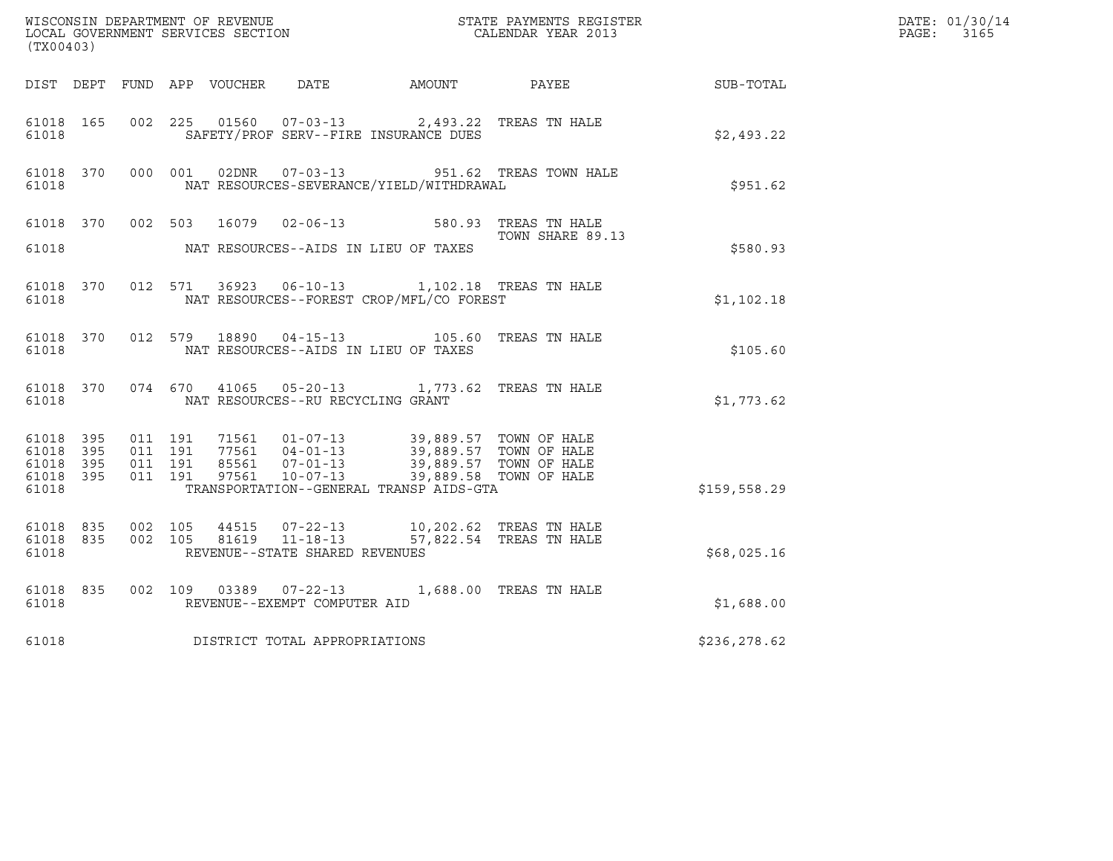| (TX00403)                                                 |                                          |       |                                   |                                                                                                                                                                                      | WISCONSIN DEPARTMENT OF REVENUE<br>LOCAL GOVERNMENT SERVICES SECTION<br>CALENDAR YEAR 2013 |               | DATE: 01/30/14<br>PAGE: 3165 |
|-----------------------------------------------------------|------------------------------------------|-------|-----------------------------------|--------------------------------------------------------------------------------------------------------------------------------------------------------------------------------------|--------------------------------------------------------------------------------------------|---------------|------------------------------|
|                                                           |                                          |       |                                   |                                                                                                                                                                                      | DIST DEPT FUND APP VOUCHER DATE AMOUNT PAYEE TO SUB-TOTAL                                  |               |                              |
| 61018 165<br>61018                                        |                                          |       |                                   | 002 225 01560 07-03-13 2,493.22 TREAS TN HALE<br>SAFETY/PROF SERV--FIRE INSURANCE DUES                                                                                               |                                                                                            | \$2,493.22    |                              |
| 61018 370<br>61018                                        |                                          |       |                                   | NAT RESOURCES-SEVERANCE/YIELD/WITHDRAWAL                                                                                                                                             | 000 001 02DNR 07-03-13 951.62 TREAS TOWN HALE                                              | \$951.62      |                              |
| 61018                                                     |                                          |       |                                   | 61018 370 002 503 16079 02-06-13 580.93 TREAS TN HALE<br>NAT RESOURCES--AIDS IN LIEU OF TAXES                                                                                        | TOWN SHARE 89.13                                                                           | \$580.93      |                              |
| 61018 370<br>61018                                        |                                          |       |                                   | 012 571 36923 06-10-13 1,102.18 TREAS TN HALE<br>NAT RESOURCES--FOREST CROP/MFL/CO FOREST                                                                                            |                                                                                            | \$1,102.18    |                              |
| 61018 370<br>61018                                        |                                          |       |                                   | 012 579 18890 04-15-13 105.60 TREAS TN HALE<br>NAT RESOURCES--AIDS IN LIEU OF TAXES                                                                                                  |                                                                                            | \$105.60      |                              |
| 61018 370<br>61018                                        |                                          |       | NAT RESOURCES--RU RECYCLING GRANT | 074 670 41065 05-20-13 1,773.62 TREAS TN HALE                                                                                                                                        |                                                                                            | \$1,773.62    |                              |
| 61018 395<br>61018 395<br>61018 395<br>61018 395<br>61018 | 011 191<br>011 191<br>011 191<br>011 191 |       | 97561 10-07-13                    | 71561   01-07-13   39,889.57   TOWN OF HALE<br>77561   04-01-13   39,889.57   TOWN OF HALE<br>85561   07-01-13   39,889.57   TOWN OF HALE<br>TRANSPORTATION--GENERAL TRANSP AIDS-GTA | 39,889.58 TOWN OF HALE                                                                     | \$159, 558.29 |                              |
| 61018 835<br>61018 835<br>61018                           | 002 105<br>002 105                       | 44515 | REVENUE--STATE SHARED REVENUES    | 07-22-13 10,202.62 TREAS TN HALE<br>81619  11-18-13  57,822.54  TREAS TN HALE                                                                                                        |                                                                                            | \$68,025.16   |                              |
| 61018 835<br>61018                                        |                                          |       | REVENUE--EXEMPT COMPUTER AID      | 002 109 03389 07-22-13 1,688.00 TREAS TN HALE                                                                                                                                        |                                                                                            | \$1,688.00    |                              |
| 61018                                                     |                                          |       | DISTRICT TOTAL APPROPRIATIONS     |                                                                                                                                                                                      |                                                                                            | \$236, 278.62 |                              |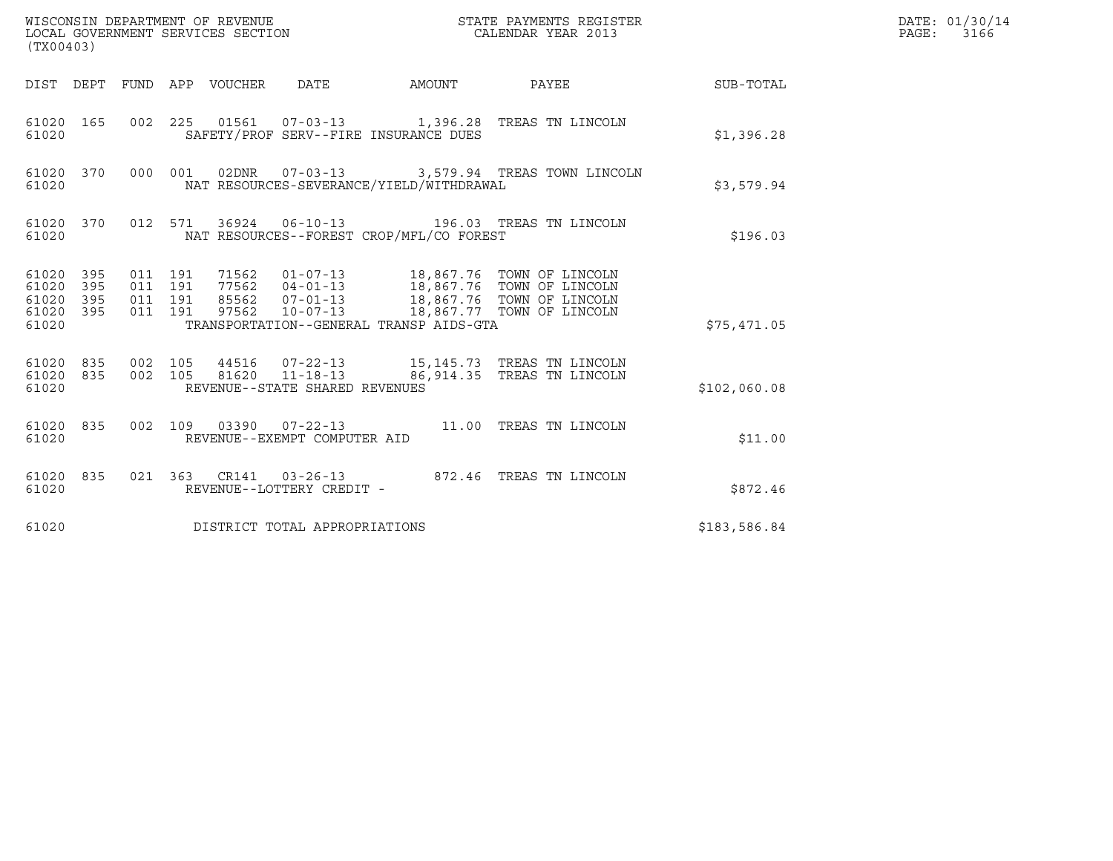| (TX00403)                                                       |                                          | WISCONSIN DEPARTMENT OF REVENUE<br>LOCAL GOVERNMENT SERVICES SECTION                                                                  | $\overline{N}$ | STATE PAYMENTS REGISTER<br>CALENDAR YEAR 2013 |              | DATE: 01/30/14<br>PAGE: 3166 |
|-----------------------------------------------------------------|------------------------------------------|---------------------------------------------------------------------------------------------------------------------------------------|----------------|-----------------------------------------------|--------------|------------------------------|
|                                                                 |                                          | DIST DEPT FUND APP VOUCHER DATE                                                                                                       | AMOUNT         | PAYEE                                         | SUB-TOTAL    |                              |
| 61020 165<br>61020                                              |                                          | 002 225 01561 07-03-13 1,396.28 TREAS TN LINCOLN<br>SAFETY/PROF SERV--FIRE INSURANCE DUES                                             |                |                                               | \$1,396.28   |                              |
| 61020 370<br>61020                                              |                                          | 000 001 02DNR 07-03-13 3,579.94 TREAS TOWN LINCOLN<br>NAT RESOURCES-SEVERANCE/YIELD/WITHDRAWAL                                        |                |                                               | \$3,579.94   |                              |
| 61020 370<br>61020                                              |                                          | 012 571 36924 06-10-13 196.03 TREAS TN LINCOLN<br>NAT RESOURCES--FOREST CROP/MFL/CO FOREST                                            |                |                                               | \$196.03     |                              |
| 61020 395<br>61020<br>395<br>61020<br>395<br>61020 395<br>61020 | 011 191<br>011 191<br>011 191<br>011 191 | 85562  07-01-13  18,867.76  TOWN OF LINCOLN<br>97562 10-07-13 18,867.77 TOWN OF LINCOLN<br>TRANSPORTATION--GENERAL TRANSP AIDS-GTA    |                |                                               | \$75,471.05  |                              |
| 61020 835 002 105<br>61020 835<br>61020                         |                                          | 44516  07-22-13   15,145.73   TREAS TN LINCOLN<br>002 105 81620 11-18-13 86,914.35 TREAS TN LINCOLN<br>REVENUE--STATE SHARED REVENUES |                |                                               | \$102,060.08 |                              |
| 61020 835<br>61020                                              |                                          | 002 109 03390 07-22-13 11.00 TREAS TN LINCOLN<br>REVENUE--EXEMPT COMPUTER AID                                                         |                |                                               | \$11.00      |                              |
| 61020 835<br>61020                                              |                                          | 021  363  CR141  03-26-13  872.46  TREAS TN LINCOLN<br>REVENUE--LOTTERY CREDIT -                                                      |                |                                               | \$872.46     |                              |
| 61020                                                           |                                          | DISTRICT TOTAL APPROPRIATIONS                                                                                                         |                |                                               | \$183,586.84 |                              |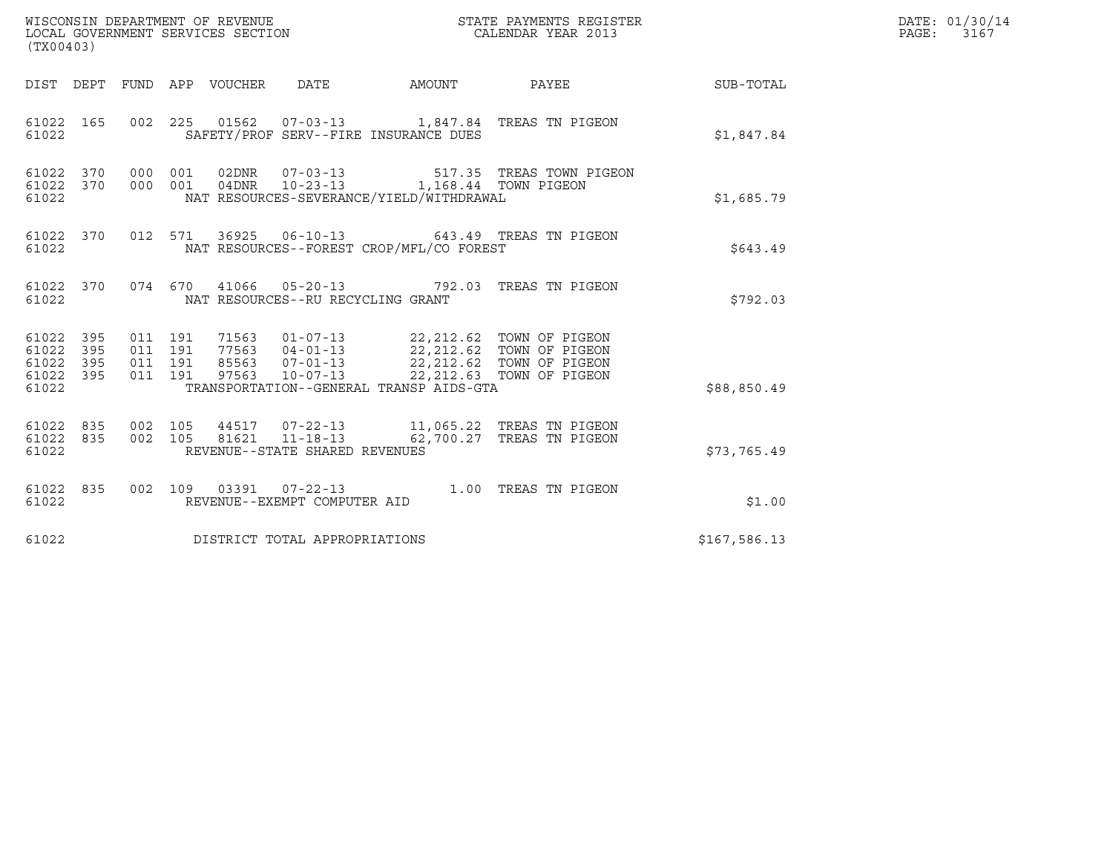| (TX00403)                                                 |                                          |                                                                                                                                                                                                                                 |                                                              |              | DATE: 01/30/14<br>PAGE: 3167 |
|-----------------------------------------------------------|------------------------------------------|---------------------------------------------------------------------------------------------------------------------------------------------------------------------------------------------------------------------------------|--------------------------------------------------------------|--------------|------------------------------|
|                                                           |                                          |                                                                                                                                                                                                                                 | DIST DEPT FUND APP VOUCHER DATE AMOUNT PAYEE PAYER SUB-TOTAL |              |                              |
| 61022 165<br>61022                                        |                                          | 002 225 01562 07-03-13 1,847.84 TREAS TN PIGEON<br>SAFETY/PROF SERV--FIRE INSURANCE DUES                                                                                                                                        |                                                              | \$1,847.84   |                              |
| 61022 370 000 001<br>61022 370<br>61022                   |                                          | 000 001 02DNR 07-03-13 517.35 TREAS TOWN PIGEON 000 001 04DNR 10-23-13 1,168.44 TOWN PIGEON<br>NAT RESOURCES-SEVERANCE/YIELD/WITHDRAWAL                                                                                         |                                                              | \$1,685.79   |                              |
| 61022                                                     |                                          | 61022 370 012 571 36925 06-10-13 643.49 TREAS TN PIGEON<br>NAT RESOURCES--FOREST CROP/MFL/CO FOREST                                                                                                                             |                                                              | \$643.49     |                              |
| 61022                                                     |                                          | 61022 370 074 670 41066 05-20-13 792.03 TREAS TN PIGEON<br>NAT RESOURCES--RU RECYCLING GRANT                                                                                                                                    |                                                              | \$792.03     |                              |
| 61022 395<br>61022 395<br>61022 395<br>61022 395<br>61022 | 011 191<br>011 191<br>011 191<br>011 191 | 71563  01-07-13  22,212.62  TOWN OF PIGEON<br>77563  04-01-13  22,212.62  TOWN OF PIGEON<br>85563  07-01-13  22,212.62  TOWN OF PIGEON<br>97563  10-07-13  22,212.63  TOWN OF PIGEON<br>TRANSPORTATION--GENERAL TRANSP AIDS-GTA |                                                              | \$88,850.49  |                              |
| 61022 835<br>61022                                        | 002 105                                  | 61022 835 002 105 44517 07-22-13 11,065.22 TREAS TN PIGEON<br>81621  11-18-13  62,700.27 TREAS TN PIGEON<br>REVENUE--STATE SHARED REVENUES                                                                                      |                                                              | \$73,765.49  |                              |
| 61022 835<br>61022                                        |                                          | 002 109 03391 07-22-13 1.00 TREAS TN PIGEON<br>REVENUE--EXEMPT COMPUTER AID                                                                                                                                                     |                                                              | \$1.00       |                              |
| 61022                                                     |                                          | DISTRICT TOTAL APPROPRIATIONS                                                                                                                                                                                                   |                                                              | \$167,586.13 |                              |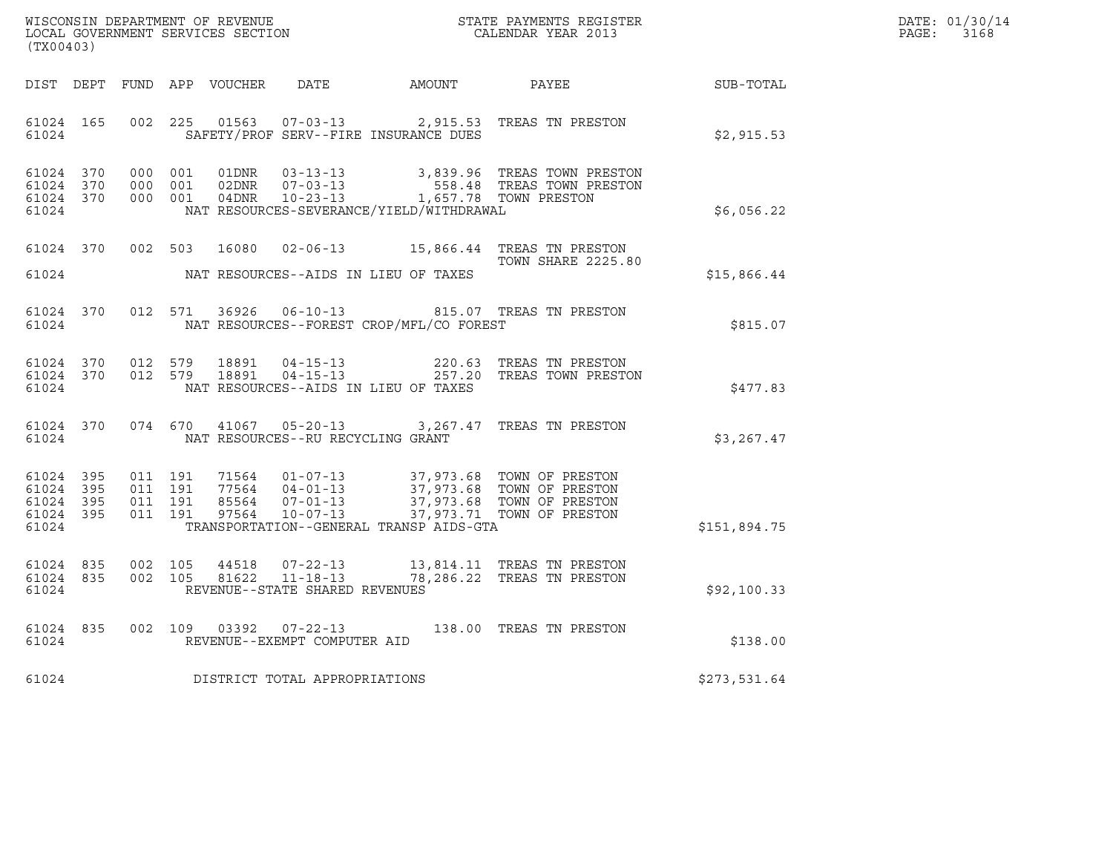| WISCONSIN DEPARTMENT OF REVENUE   | STATE PAYMENTS REGISTER | DATE: 01/30/14            |
|-----------------------------------|-------------------------|---------------------------|
| LOCAL GOVERNMENT SERVICES SECTION | CALENDAR YEAR 2013      | $\mathtt{PAGE}$ :<br>3168 |

| %WISCONSIN DEPARTMENT OF REVENUE $$\tt STATE$ PAYMENTS REGISTER LOCAL GOVERNMENT SERVICES SECTION $$\tt CALENDAR$ YEAR 2013<br>(TX00403) |  |  |  |  |                                         |                                                |                                                                                                                                                                                                              | R            | DATE: 01/30/14<br>PAGE:<br>3168 |
|------------------------------------------------------------------------------------------------------------------------------------------|--|--|--|--|-----------------------------------------|------------------------------------------------|--------------------------------------------------------------------------------------------------------------------------------------------------------------------------------------------------------------|--------------|---------------------------------|
|                                                                                                                                          |  |  |  |  |                                         |                                                | DIST DEPT FUND APP VOUCHER DATE AMOUNT PAYEE SUB-TOTAL                                                                                                                                                       |              |                                 |
|                                                                                                                                          |  |  |  |  |                                         | 61024 SAFETY/PROF SERV--FIRE INSURANCE DUES    | 61024 165 002 225 01563 07-03-13 2,915.53 TREAS TN PRESTON                                                                                                                                                   | \$2,915.53   |                                 |
|                                                                                                                                          |  |  |  |  |                                         | 61024 NAT RESOURCES-SEVERANCE/YIELD/WITHDRAWAL |                                                                                                                                                                                                              | \$6,056.22   |                                 |
|                                                                                                                                          |  |  |  |  |                                         | 61024 NAT RESOURCES--AIDS IN LIEU OF TAXES     | 61024 370 002 503 16080 02-06-13 15,866.44 TREAS TN PRESTON<br><b>TOWN SHARE 2225.80</b>                                                                                                                     | \$15,866.44  |                                 |
|                                                                                                                                          |  |  |  |  |                                         |                                                | $\begin{array}{cccc} 61024 & 370 & 012 & 571 & 36926 & 06-10-13 & 815.07 & \text{TREAS TN PRESTON} \\ 61024 & \text{NAT RESOURCES--FOREST CROP/MFL/CO FOREST} & \\ \end{array}$                              |              |                                 |
|                                                                                                                                          |  |  |  |  |                                         | 61024 NAT RESOURCES--AIDS IN LIEU OF TAXES     | 61024 370 012 579 18891 04-15-13 220.63 TREAS TN PRESTON<br>61024 370 012 579 18891 04-15-13 257.20 TREAS TOWN PRESTON                                                                                       | \$477.83     |                                 |
|                                                                                                                                          |  |  |  |  | 61024 NAT RESOURCES--RU RECYCLING GRANT |                                                | 61024 370 074 670 41067 05-20-13 3,267.47 TREAS TN PRESTON                                                                                                                                                   | \$3,267.47   |                                 |
| 61024 395<br>61024 395<br>61024 395<br>61024 395<br>61024                                                                                |  |  |  |  |                                         | TRANSPORTATION--GENERAL TRANSP AIDS-GTA        | 011 191 71564 01-07-13 37,973.68 TOWN OF PRESTON<br>011 191 77564 04-01-13 37,973.68 TOWN OF PRESTON<br>011 191 85564 07-01-13 37,973.68 TOWN OF PRESTON<br>011 191 97564 10-07-13 37,973.71 TOWN OF PRESTON | \$151,894.75 |                                 |
|                                                                                                                                          |  |  |  |  | 61024 REVENUE--STATE SHARED REVENUES    |                                                | 61024 835 002 105 44518 07-22-13 13,814.11 TREAS TN PRESTON<br>61024 835 002 105 81622 11-18-13 78,286.22 TREAS TN PRESTON                                                                                   | \$92,100.33  |                                 |
|                                                                                                                                          |  |  |  |  | 61024 REVENUE--EXEMPT COMPUTER AID      |                                                | 61024 835 002 109 03392 07-22-13 138.00 TREAS TN PRESTON                                                                                                                                                     | \$138.00     |                                 |
|                                                                                                                                          |  |  |  |  | 61024 DISTRICT TOTAL APPROPRIATIONS     |                                                |                                                                                                                                                                                                              | \$273,531.64 |                                 |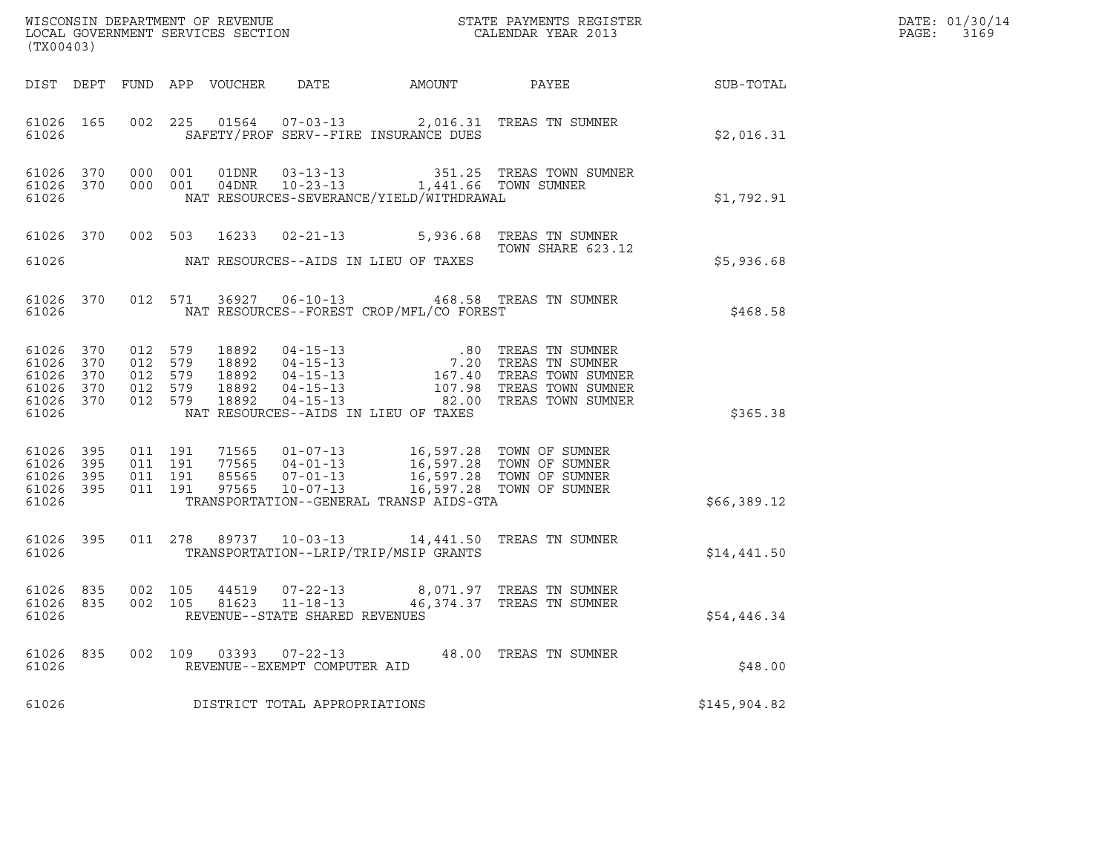| (TX00403)                                                          |                   |                                          |         |                                                  | WISCONSIN DEPARTMENT OF REVENUE<br>LOCAL GOVERNMENT SERVICES SECTION TERM COLLENDAR YEAR 2013                                                                                                                                   |                                                                                                                                                                                                           | DATE: 01/30/14<br>PAGE:<br>3169 |  |
|--------------------------------------------------------------------|-------------------|------------------------------------------|---------|--------------------------------------------------|---------------------------------------------------------------------------------------------------------------------------------------------------------------------------------------------------------------------------------|-----------------------------------------------------------------------------------------------------------------------------------------------------------------------------------------------------------|---------------------------------|--|
|                                                                    |                   |                                          |         |                                                  |                                                                                                                                                                                                                                 | DIST DEPT FUND APP VOUCHER DATE AMOUNT PAYEE SUB-TOTAL                                                                                                                                                    |                                 |  |
| 61026                                                              |                   |                                          |         |                                                  | SAFETY/PROF SERV--FIRE INSURANCE DUES                                                                                                                                                                                           | 61026 165 002 225 01564 07-03-13 2,016.31 TREAS TN SUMNER                                                                                                                                                 | \$2,016.31                      |  |
| 61026                                                              |                   |                                          |         |                                                  | NAT RESOURCES-SEVERANCE/YIELD/WITHDRAWAL                                                                                                                                                                                        | 61026 370 000 001 01DNR 03-13-13 351.25 TREAS TOWN SUMNER 61026 370 000 001 04DNR 10-23-13 1,441.66 TOWN SUMNER                                                                                           | \$1,792.91                      |  |
| 61026                                                              |                   |                                          |         |                                                  | NAT RESOURCES--AIDS IN LIEU OF TAXES                                                                                                                                                                                            | 61026 370 002 503 16233 02-21-13 5,936.68 TREAS TN SUMNER<br>TOWN SHARE 623.12                                                                                                                            | \$5,936.68                      |  |
| 61026                                                              |                   |                                          |         |                                                  | NAT RESOURCES--FOREST CROP/MFL/CO FOREST                                                                                                                                                                                        | 61026 370 012 571 36927 06-10-13 468.58 TREAS TN SUMNER                                                                                                                                                   | \$468.58                        |  |
| 61026 370<br>61026<br>61026<br>61026<br>61026 370 012 579<br>61026 | 370<br>370<br>370 | 012 579<br>012 579<br>012 579<br>012 579 |         |                                                  | NAT RESOURCES--AIDS IN LIEU OF TAXES                                                                                                                                                                                            | 18892 04-15-13 .80 TREAS TN SUMNER<br>18892 04-15-13 7.20 TREAS TN SUMNER<br>18892 04-15-13 167.40 TREAS TOWN SUMNER<br>18892 04-15-13 107.98 TREAS TOWN SUMNER<br>18892 04-15-13 82.00 TREAS TOWN SUMNER | \$365.38                        |  |
| 61026 395<br>61026<br>61026 395<br>61026 395<br>61026              | 395               | 011 191<br>011 191<br>011 191            | 011 191 |                                                  | 71565  01-07-13  16,597.28  TOWN OF SUMNER<br>77565  04-01-13  16,597.28  TOWN OF SUMNER<br>85565  07-01-13  16,597.28  TOWN OF SUMNER<br>97565  10-07-13  16,597.28  TOWN OF SUMNER<br>TRANSPORTATION--GENERAL TRANSP AIDS-GTA |                                                                                                                                                                                                           | \$66,389.12                     |  |
| 61026 800                                                          |                   |                                          |         |                                                  | TRANSPORTATION--LRIP/TRIP/MSIP GRANTS                                                                                                                                                                                           | 61026 395 011 278 89737 10-03-13 14,441.50 TREAS TN SUMNER                                                                                                                                                | \$14,441.50                     |  |
| 61026 835<br>61026 835<br>61026                                    |                   | 002 105<br>002 105                       |         | 81623 11-18-13<br>REVENUE--STATE SHARED REVENUES |                                                                                                                                                                                                                                 | 44519  07-22-13  8,071.97  TREAS TN SUMNER<br>46,374.37 TREAS TN SUMNER                                                                                                                                   | \$54,446.34                     |  |
| 61026 835<br>61026                                                 |                   | 002 109                                  |         | 03393 07-22-13<br>REVENUE--EXEMPT COMPUTER AID   |                                                                                                                                                                                                                                 | 48.00 TREAS TN SUMNER                                                                                                                                                                                     | \$48.00                         |  |
| 61026                                                              |                   |                                          |         | DISTRICT TOTAL APPROPRIATIONS                    |                                                                                                                                                                                                                                 |                                                                                                                                                                                                           | \$145,904.82                    |  |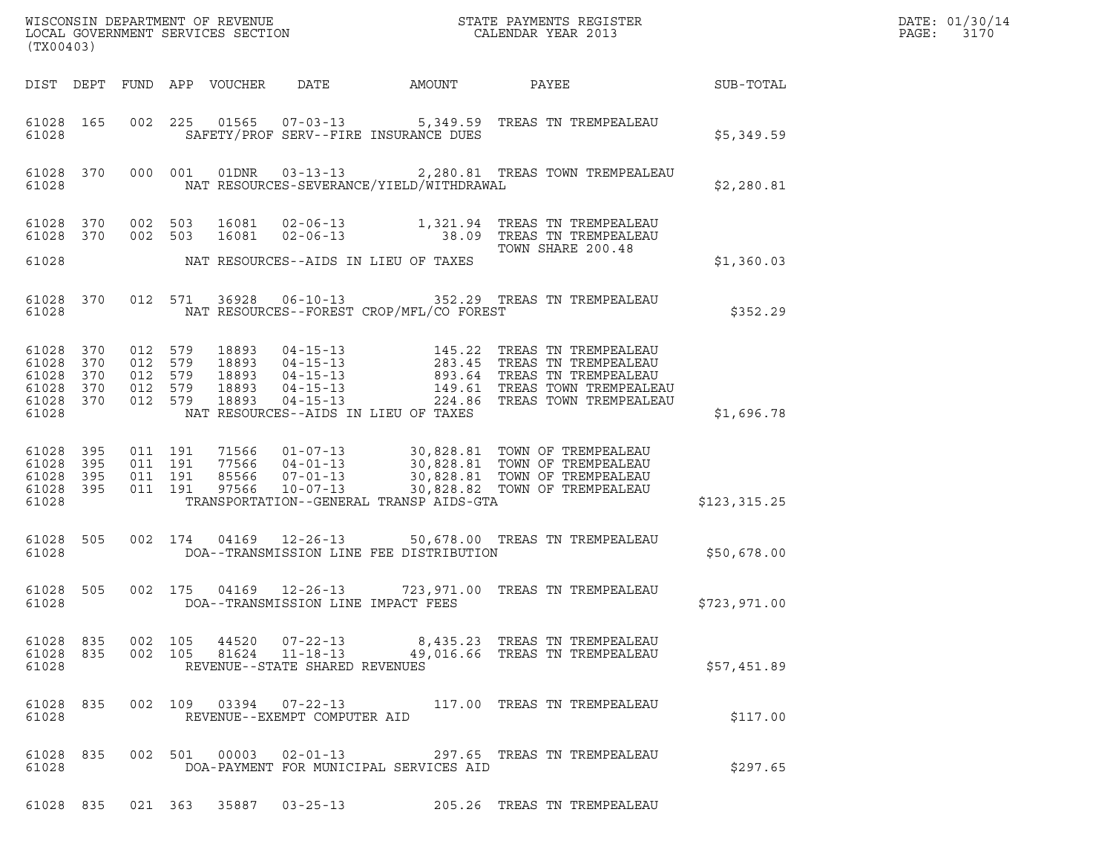| WISCONSIN DEPARTMENT OF REVENUE<br>LOCAL GOVERNMENT SERVICES SECTION<br>CALENDAR YEAR 2013<br>(TX00403)                                                                                                                                                                                                                                                                                                                   |              | DATE: 01/30/14<br>PAGE:<br>3170 |
|---------------------------------------------------------------------------------------------------------------------------------------------------------------------------------------------------------------------------------------------------------------------------------------------------------------------------------------------------------------------------------------------------------------------------|--------------|---------------------------------|
| DIST DEPT FUND APP VOUCHER DATE AMOUNT<br>PAYEE SUB-TOTAL                                                                                                                                                                                                                                                                                                                                                                 |              |                                 |
| 002 225 01565 07-03-13 5,349.59 TREAS TN TREMPEALEAU<br>61028 165<br>SAFETY/PROF SERV--FIRE INSURANCE DUES<br>61028                                                                                                                                                                                                                                                                                                       | \$5,349.59   |                                 |
| 61028 370 000 001 01DNR 03-13-13 2,280.81 TREAS TOWN TREMPEALEAU<br>61028 MAT RESOURCES-SEVERANCE/YIELD/WITHDRAWAL                                                                                                                                                                                                                                                                                                        | \$2,280.81   |                                 |
| 16081  02-06-13  1,321.94 TREAS TN TREMPEALEAU<br>16081  02-06-13  18.09 TREAS TN TREMPEALEAU<br>002 503<br>61028 370<br>61028 370<br>002 503<br>TOWN SHARE 200.48                                                                                                                                                                                                                                                        |              |                                 |
| 61028 NAT RESOURCES--AIDS IN LIEU OF TAXES                                                                                                                                                                                                                                                                                                                                                                                | \$1,360.03   |                                 |
| 61028 370 012 571 36928 06-10-13 352.29 TREAS TN TREMPEALEAU<br>61028 NAT RESOURCES--FOREST CROP/MFL/CO FOREST                                                                                                                                                                                                                                                                                                            | \$352.29     |                                 |
| 18893  04-15-13  145.22  TREAS TN TREMPEALEAU<br>18893  04-15-13  283.45  TREAS TN TREMPEALEAU<br>18893  04-15-13  1893.64  TREAS TN TREMPEALEAU<br>18893  04-15-13  149.61  TREAS TOWN TREMPEALEAU<br>18893  04-15-13  149.61  TREAS TOWN<br>61028 370<br>012 579<br>61028 370<br>012 579<br>61028 370<br>012 579<br>61028 370<br>012 579<br>012 579 18893<br>61028 370<br>61028<br>NAT RESOURCES--AIDS IN LIEU OF TAXES | \$1,696.78   |                                 |
| 011 191 71566 01-07-13 30,828.81 TOWN OF TREMPEALEAU<br>011 191 77566 04-01-13 30,828.81 TOWN OF TREMPEALEAU<br>011 191 85566 07-01-13 30,828.81 TOWN OF TREMPEALEAU<br>011 191 97566 10-07-13 30,828.82 TOWN OF TREMPEALEAU<br>61028 395<br>61028 395<br>61028 395<br>61028 395<br>61028<br>TRANSPORTATION--GENERAL TRANSP AIDS-GTA                                                                                      | \$123,315.25 |                                 |
| 002 174 04169 12-26-13 50,678.00 TREAS TN TREMPEALEAU<br>61028 505<br>61028 DOA--TRANSMISSION LINE FEE DISTRIBUTION                                                                                                                                                                                                                                                                                                       | \$50,678.00  |                                 |
| 002 175 04169 12-26-13 723, 971.00 TREAS TN TREMPEALEAU<br>61028 505<br>61028<br>DOA--TRANSMISSION LINE IMPACT FEES                                                                                                                                                                                                                                                                                                       | \$723,971.00 |                                 |
| 002 105 44520 07-22-13 8,435.23 TREAS TN TREMPEALEAU<br>002 105 81624 11-18-13 49,016.66 TREAS TN TREMPEALEAU<br>61028 835<br>61028 835<br>REVENUE--STATE SHARED REVENUES<br>61028                                                                                                                                                                                                                                        | \$57,451.89  |                                 |
| 61028 835<br>002 109 03394 07-22-13 117.00 TREAS TN TREMPEALEAU<br>61028<br>REVENUE--EXEMPT COMPUTER AID                                                                                                                                                                                                                                                                                                                  | \$117.00     |                                 |
| 61028 835 002 501 00003 02-01-13 297.65 TREAS TN TREMPEALEAU<br>DOA-PAYMENT FOR MUNICIPAL SERVICES AID<br>61028                                                                                                                                                                                                                                                                                                           | \$297.65     |                                 |
| 61028 835 021 363 35887 03-25-13<br>205.26 TREAS TN TREMPEALEAU                                                                                                                                                                                                                                                                                                                                                           |              |                                 |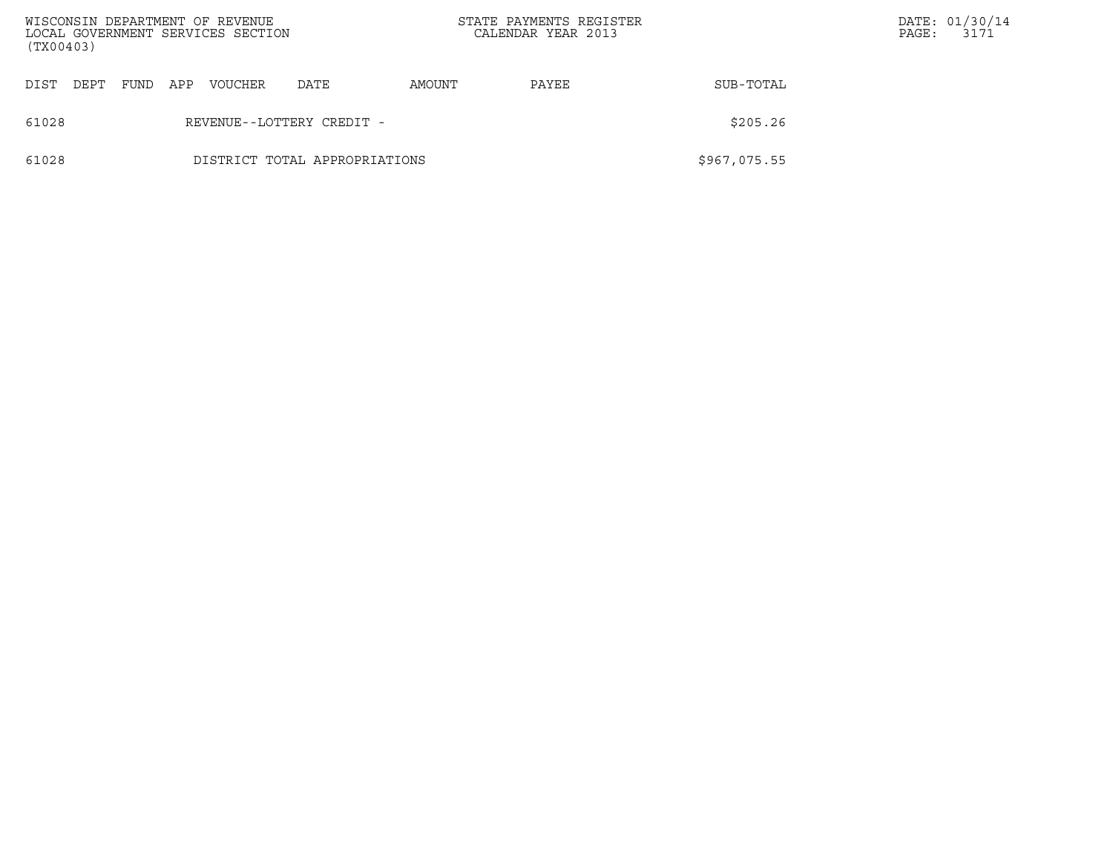| WISCONSIN DEPARTMENT OF REVENUE<br>LOCAL GOVERNMENT SERVICES SECTION<br>(TX00403) |                               |      |     |                |                           |        | STATE PAYMENTS REGISTER<br>CALENDAR YEAR 2013 |              | PAGE: | DATE: 01/30/14<br>3171 |
|-----------------------------------------------------------------------------------|-------------------------------|------|-----|----------------|---------------------------|--------|-----------------------------------------------|--------------|-------|------------------------|
| DIST                                                                              | DEPT                          | FUND | APP | <b>VOUCHER</b> | DATE                      | AMOUNT | PAYEE                                         | SUB-TOTAL    |       |                        |
| 61028                                                                             |                               |      |     |                | REVENUE--LOTTERY CREDIT - |        |                                               | \$205.26     |       |                        |
| 61028                                                                             | DISTRICT TOTAL APPROPRIATIONS |      |     |                |                           |        |                                               | \$967,075.55 |       |                        |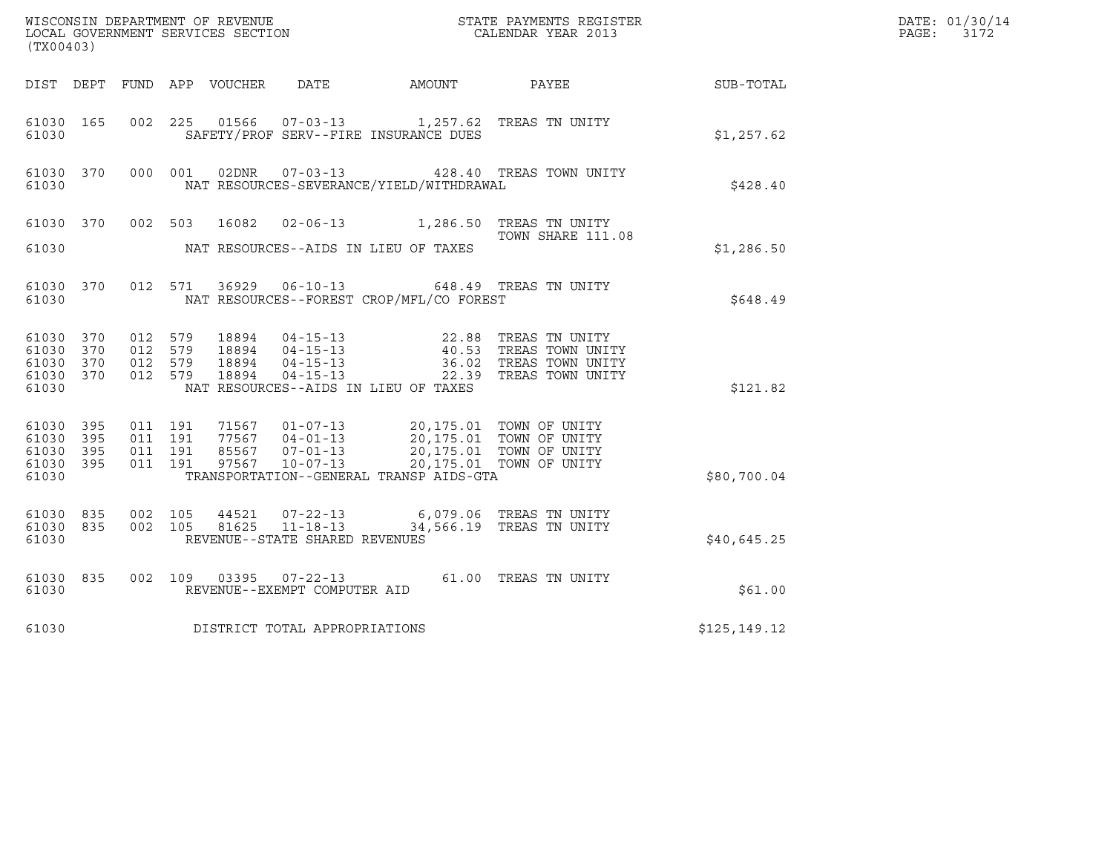| (TX00403)                                                 |           |                                          |         |                |                                |                                                                                                                                                                                                                             |                                                                                                                                                                        |               | DATE: 01/30/14<br>$\mathtt{PAGE}$ :<br>3172 |
|-----------------------------------------------------------|-----------|------------------------------------------|---------|----------------|--------------------------------|-----------------------------------------------------------------------------------------------------------------------------------------------------------------------------------------------------------------------------|------------------------------------------------------------------------------------------------------------------------------------------------------------------------|---------------|---------------------------------------------|
|                                                           |           |                                          |         |                |                                |                                                                                                                                                                                                                             | DIST DEPT FUND APP VOUCHER DATE AMOUNT PAYEE SUB-TOTAL                                                                                                                 |               |                                             |
| 61030 165<br>61030                                        |           |                                          |         |                |                                | 002 225 01566 07-03-13 1,257.62 TREAS TN UNITY<br>SAFETY/PROF SERV--FIRE INSURANCE DUES                                                                                                                                     |                                                                                                                                                                        | \$1,257.62    |                                             |
| 61030                                                     | 61030 370 |                                          | 000 001 |                | 02DNR        07-03-13          | NAT RESOURCES-SEVERANCE/YIELD/WITHDRAWAL                                                                                                                                                                                    | 428.40 TREAS TOWN UNITY                                                                                                                                                | \$428.40      |                                             |
|                                                           |           |                                          |         |                |                                | 61030 370 002 503 16082 02-06-13 1,286.50 TREAS TN UNITY                                                                                                                                                                    | TOWN SHARE 111.08                                                                                                                                                      |               |                                             |
| 61030                                                     |           |                                          |         |                |                                | NAT RESOURCES--AIDS IN LIEU OF TAXES                                                                                                                                                                                        |                                                                                                                                                                        | \$1,286.50    |                                             |
| 61030                                                     | 61030 370 |                                          | 012 571 |                |                                | 36929  06-10-13  648.49  TREAS TN UNITY<br>NAT RESOURCES--FOREST CROP/MFL/CO FOREST                                                                                                                                         |                                                                                                                                                                        | \$648.49      |                                             |
| 61030 370<br>61030 370<br>61030 370<br>61030 370<br>61030 |           | 012 579<br>012 579<br>012 579<br>012 579 |         |                |                                | NAT RESOURCES--AIDS IN LIEU OF TAXES                                                                                                                                                                                        | 18894  04-15-13  22.88 TREAS TN UNITY<br>18894  04-15-13  40.53 TREAS TOWN UNITY<br>18894  04-15-13  36.02 TREAS TOWN UNITY<br>18894  04-15-13  22.39 TREAS TOWN UNITY | \$121.82      |                                             |
| 61030 395<br>61030 395<br>61030 395<br>61030 395<br>61030 |           | 011 191<br>011 191<br>011 191<br>011 191 |         |                |                                | 71567  01-07-13  20,175.01  TOWN OF UNITY<br>77567  04-01-13  20,175.01  TOWN OF UNITY<br>85567  07-01-13  20,175.01  TOWN OF UNITY<br>97567  10-07-13  20,175.01  TOWN OF UNITY<br>TRANSPORTATION--GENERAL TRANSP AIDS-GTA |                                                                                                                                                                        | \$80,700.04   |                                             |
| 61030 835<br>61030 835<br>61030                           |           | 002 105<br>002 105                       |         | 44521<br>81625 | REVENUE--STATE SHARED REVENUES | 07-22-13 6,079.06 TREAS TN UNITY<br>11-18-13 34,566.19 TREAS TN UNITY                                                                                                                                                       |                                                                                                                                                                        | \$40,645.25   |                                             |
| 61030                                                     | 61030 835 |                                          |         |                | REVENUE--EXEMPT COMPUTER AID   | 002 109 03395 07-22-13 61.00 TREAS TN UNITY                                                                                                                                                                                 |                                                                                                                                                                        | \$61.00       |                                             |
| 61030                                                     |           |                                          |         |                | DISTRICT TOTAL APPROPRIATIONS  |                                                                                                                                                                                                                             |                                                                                                                                                                        | \$125, 149.12 |                                             |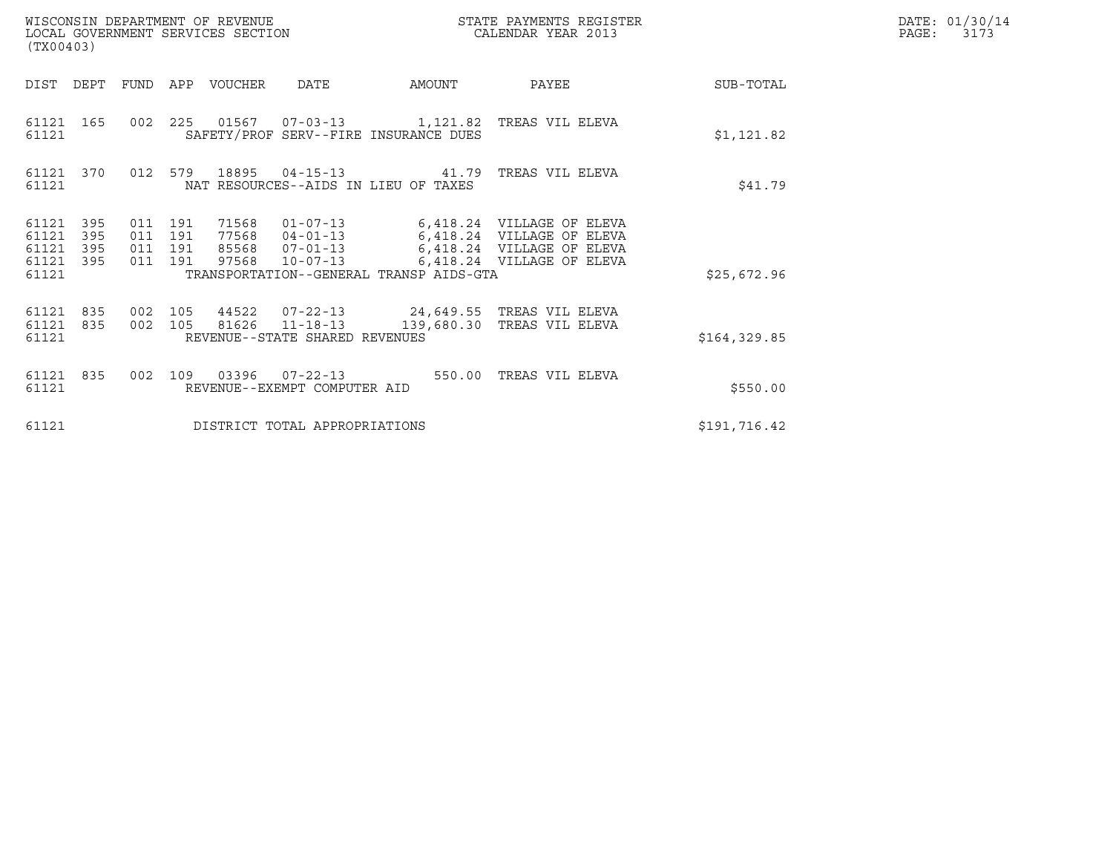| (TX00403)                                 |                          |                                          |     | WISCONSIN DEPARTMENT OF REVENUE<br>LOCAL GOVERNMENT SERVICES SECTION |                                                  |                                         | STATE PAYMENTS REGISTER<br>CALENDAR YEAR 2013                                                                                                           |               | DATE: 01/30/14<br>$\mathtt{PAGE:}$<br>3173 |
|-------------------------------------------|--------------------------|------------------------------------------|-----|----------------------------------------------------------------------|--------------------------------------------------|-----------------------------------------|---------------------------------------------------------------------------------------------------------------------------------------------------------|---------------|--------------------------------------------|
| DIST DEPT                                 |                          | FUND                                     |     | APP VOUCHER                                                          | <b>DATE</b>                                      | AMOUNT                                  | PAYEE                                                                                                                                                   | SUB-TOTAL     |                                            |
| 61121<br>61121                            | 165                      |                                          |     |                                                                      |                                                  | SAFETY/PROF SERV--FIRE INSURANCE DUES   | 002  225  01567  07-03-13  1,121.82  TREAS VIL ELEVA                                                                                                    | \$1,121.82    |                                            |
| 61121 370<br>61121                        |                          | 012 579                                  |     | 18895                                                                |                                                  | NAT RESOURCES--AIDS IN LIEU OF TAXES    | 04-15-13  41.79 TREAS VIL ELEVA                                                                                                                         | \$41.79       |                                            |
| 61121<br>61121<br>61121<br>61121<br>61121 | 395<br>395<br>395<br>395 | 011 191<br>011 191<br>011 191<br>011 191 |     | 97568                                                                | 85568 07-01-13<br>$10 - 07 - 13$                 | TRANSPORTATION--GENERAL TRANSP AIDS-GTA | 71568  01-07-13   6,418.24  VILLAGE OF ELEVA<br>77568  04-01-13   6,418.24   VILLAGE OF ELEVA<br>6,418.24 VILLAGE OF ELEVA<br>6,418.24 VILLAGE OF ELEVA | \$25,672.96   |                                            |
| 61121 835<br>61121<br>61121               | 835                      | 002 105<br>002 105                       |     |                                                                      | 81626 11-18-13<br>REVENUE--STATE SHARED REVENUES |                                         | 44522  07-22-13  24,649.55  TREAS VIL ELEVA<br>139,680.30 TREAS VIL ELEVA                                                                               | \$164, 329.85 |                                            |
| 61121<br>61121                            | 835                      | 002                                      | 109 |                                                                      | REVENUE--EXEMPT COMPUTER AID                     | 550.00                                  | TREAS VIL ELEVA                                                                                                                                         | \$550.00      |                                            |
| 61121                                     |                          |                                          |     |                                                                      | DISTRICT TOTAL APPROPRIATIONS                    |                                         |                                                                                                                                                         | \$191,716.42  |                                            |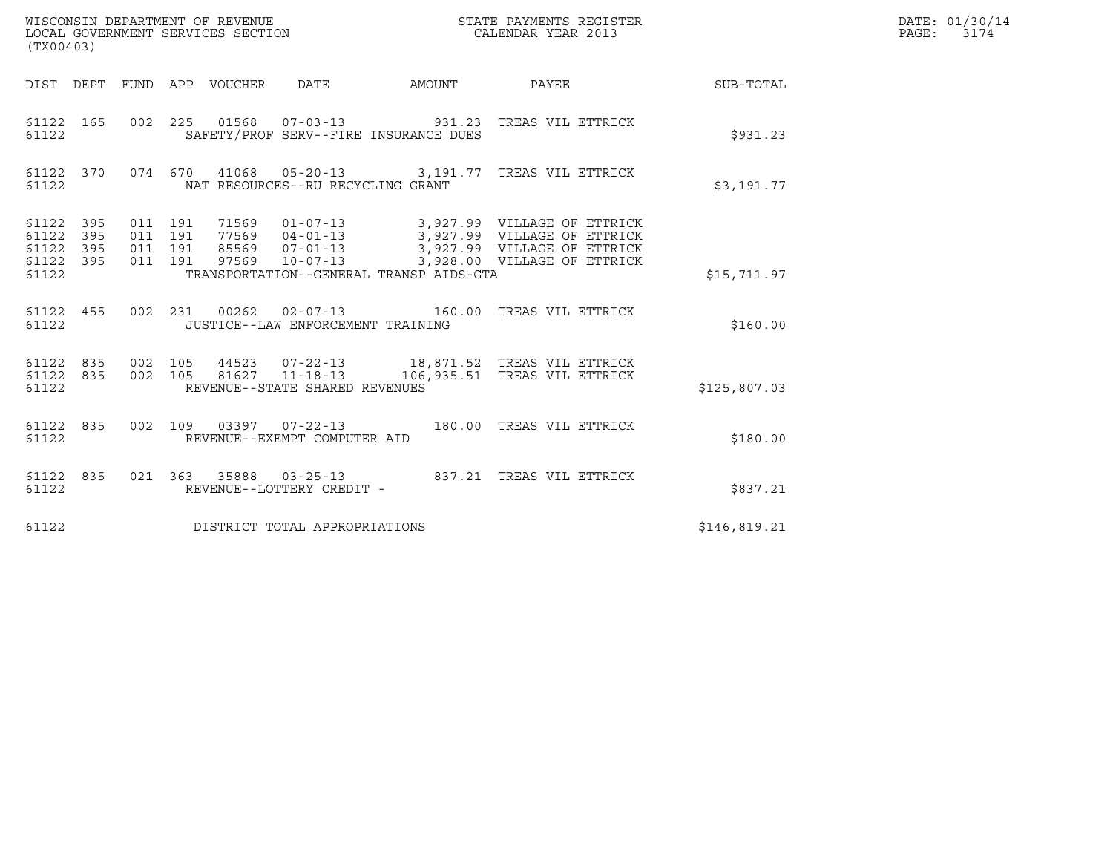| WISCONSIN DEPARTMENT OF REVENUE<br>LOCAL GOVERNMENT SERVICES SECTION | STATE PAYMENTS REGISTER<br>CALENDAR YEAR 2013 | DATE: 01/30/14<br>PAGE:<br>3174 |
|----------------------------------------------------------------------|-----------------------------------------------|---------------------------------|

| (TX00403)                                                             |                                                                                                                                                                                      |                                                                                                                          |              |
|-----------------------------------------------------------------------|--------------------------------------------------------------------------------------------------------------------------------------------------------------------------------------|--------------------------------------------------------------------------------------------------------------------------|--------------|
| <b>DIST</b><br>DEPT<br>FUND                                           | APP VOUCHER<br><b>DATE</b>                                                                                                                                                           | AMOUNT<br>PAYEE                                                                                                          | SUB-TOTAL    |
| 165<br>61122<br>61122                                                 | 225<br>01568  07-03-13  931.23<br>002<br>SAFETY/PROF SERV--FIRE INSURANCE DUES                                                                                                       | TREAS VIL ETTRICK                                                                                                        | \$931.23     |
| 61122<br>370<br>61122                                                 | 074 670<br>NAT RESOURCES--RU RECYCLING GRANT                                                                                                                                         | 41068  05-20-13  3,191.77  TREAS VIL ETTRICK                                                                             | \$3,191.77   |
| 61122<br>395<br>395<br>61122<br>61122<br>395<br>61122<br>395<br>61122 | 71569 01-07-13<br>011<br>191<br>191<br>$77569$ $04-01-13$<br>011<br>85569 07-01-13<br>191<br>011<br>97569<br>191<br>$10 - 07 - 13$<br>011<br>TRANSPORTATION--GENERAL TRANSP AIDS-GTA | 3,927.99 VILLAGE OF ETTRICK<br>3,927.99 VILLAGE OF ETTRICK<br>3,927.99 VILLAGE OF ETTRICK<br>3,928.00 VILLAGE OF ETTRICK | \$15,711.97  |
| 61122<br>455<br>61122                                                 | 002<br>231<br>00262<br>JUSTICE--LAW ENFORCEMENT TRAINING                                                                                                                             | TREAS VIL ETTRICK<br>$02 - 07 - 13$ 160.00                                                                               | \$160.00     |
| 61122<br>835<br>61122<br>835<br>61122                                 | 002<br>105<br>$44523$ $07-22-13$<br>81627 11-18-13<br>002<br>105<br>REVENUE--STATE SHARED REVENUES                                                                                   | 18,871.52 TREAS VIL ETTRICK<br>106,935.51<br>TREAS VIL ETTRICK                                                           | \$125,807.03 |
| 61122<br>835<br>61122                                                 | 109<br>002<br>03397<br>$07 - 22 - 13$<br>REVENUE--EXEMPT COMPUTER AID                                                                                                                | 180.00<br>TREAS VIL ETTRICK                                                                                              | \$180.00     |
| 835<br>61122<br>61122                                                 | 021<br>363<br>35888<br>REVENUE--LOTTERY CREDIT -                                                                                                                                     | $03 - 25 - 13$ 837.21<br>TREAS VIL ETTRICK                                                                               | \$837.21     |
| 61122                                                                 | DISTRICT TOTAL APPROPRIATIONS                                                                                                                                                        |                                                                                                                          | \$146,819.21 |

(TX00403)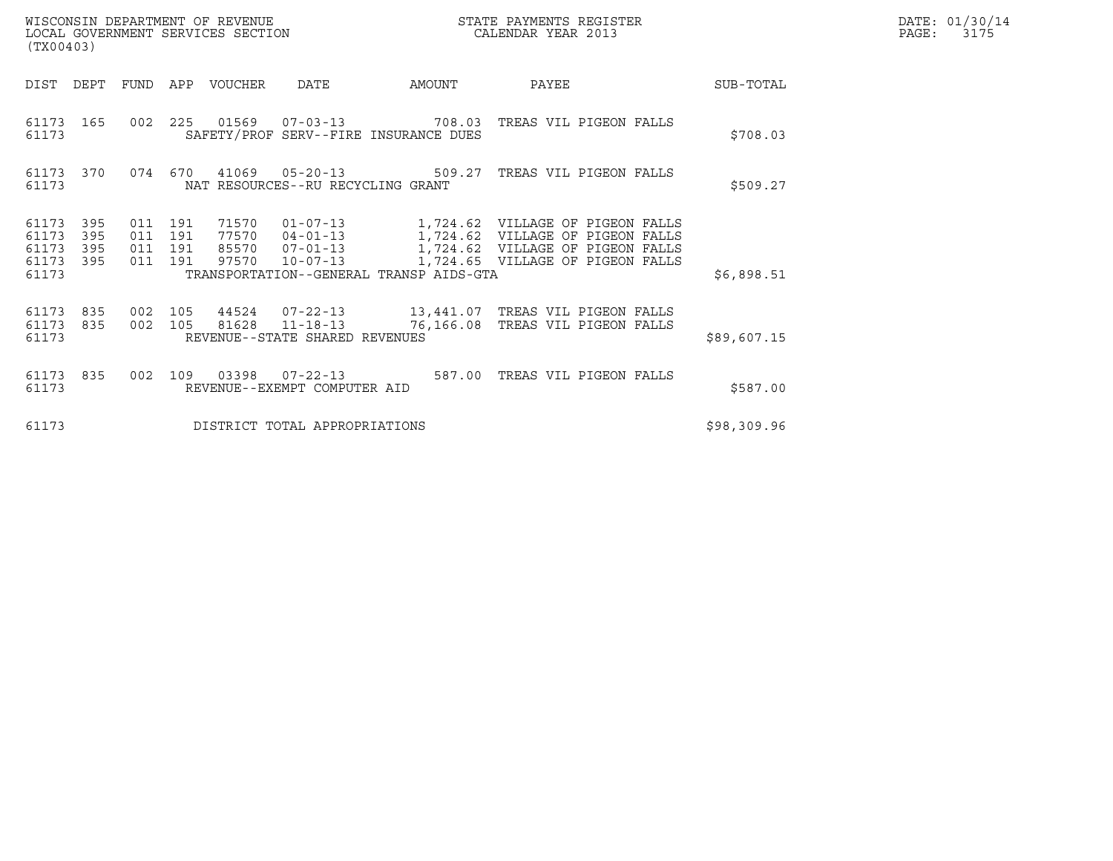| WISCONSIN DEPARTMENT OF REVENUE   | STATE PAYMENTS REGISTER | DATE: 01/30/14            |
|-----------------------------------|-------------------------|---------------------------|
| LOCAL GOVERNMENT SERVICES SECTION | CALENDAR YEAR 2013      | $\mathtt{PAGE}$ :<br>3175 |

| (TX00403)                                     |                   |                    |                    |                                 |                                   | DATE: 01/30/14<br>PAGE: 3175            |                                                                                                                                                                                                                          |             |  |
|-----------------------------------------------|-------------------|--------------------|--------------------|---------------------------------|-----------------------------------|-----------------------------------------|--------------------------------------------------------------------------------------------------------------------------------------------------------------------------------------------------------------------------|-------------|--|
|                                               |                   |                    |                    | DIST DEPT FUND APP VOUCHER DATE |                                   | AMOUNT                                  | <b>PAYEE</b> PAYEE                                                                                                                                                                                                       | SUB-TOTAL   |  |
| 61173                                         |                   |                    |                    |                                 |                                   | SAFETY/PROF SERV--FIRE INSURANCE DUES   | 61173 165 002 225 01569 07-03-13 708.03 TREAS VIL PIGEON FALLS                                                                                                                                                           | \$708.03    |  |
| 61173 370<br>61173                            |                   |                    |                    |                                 | NAT RESOURCES--RU RECYCLING GRANT |                                         | 074  670  41069  05-20-13  509.27  TREAS VIL PIGEON FALLS                                                                                                                                                                | \$509.27    |  |
| 61173<br>61173<br>61173<br>61173 395<br>61173 | 395<br>395<br>395 | 011 191<br>011 191 | 011 191<br>011 191 |                                 |                                   | TRANSPORTATION--GENERAL TRANSP AIDS-GTA | 71570  01-07-13   1,724.62  VILLAGE OF PIGEON FALLS<br>77570  04-01-13   1,724.62  VILLAGE OF PIGEON FALLS<br>85570  07-01-13   1,724.62  VILLAGE OF PIGEON FALLS<br>97570  10-07-13   1,724.65  VILLAGE OF PIGEON FALLS | \$6,898.51  |  |
| 61173                                         |                   |                    |                    |                                 | REVENUE--STATE SHARED REVENUES    |                                         | $\begin{array}{cccccc} 61173 & 835 & 002 & 105 & 44524 & 07-22-13 & & 13,441.07 & \text{TREAS VII PIGEON FALLS} \\ 61173 & 835 & 002 & 105 & 81628 & 11-18-13 & & 76,166.08 & \text{TREAS VII PIGEON FALLS} \end{array}$ | \$89,607.15 |  |
| 61173 835<br>61173                            |                   |                    |                    |                                 | REVENUE--EXEMPT COMPUTER AID      |                                         | 002 109 03398 07-22-13 587.00 TREAS VIL PIGEON FALLS                                                                                                                                                                     | \$587.00    |  |
| 61173                                         |                   |                    |                    |                                 | DISTRICT TOTAL APPROPRIATIONS     |                                         |                                                                                                                                                                                                                          | \$98,309.96 |  |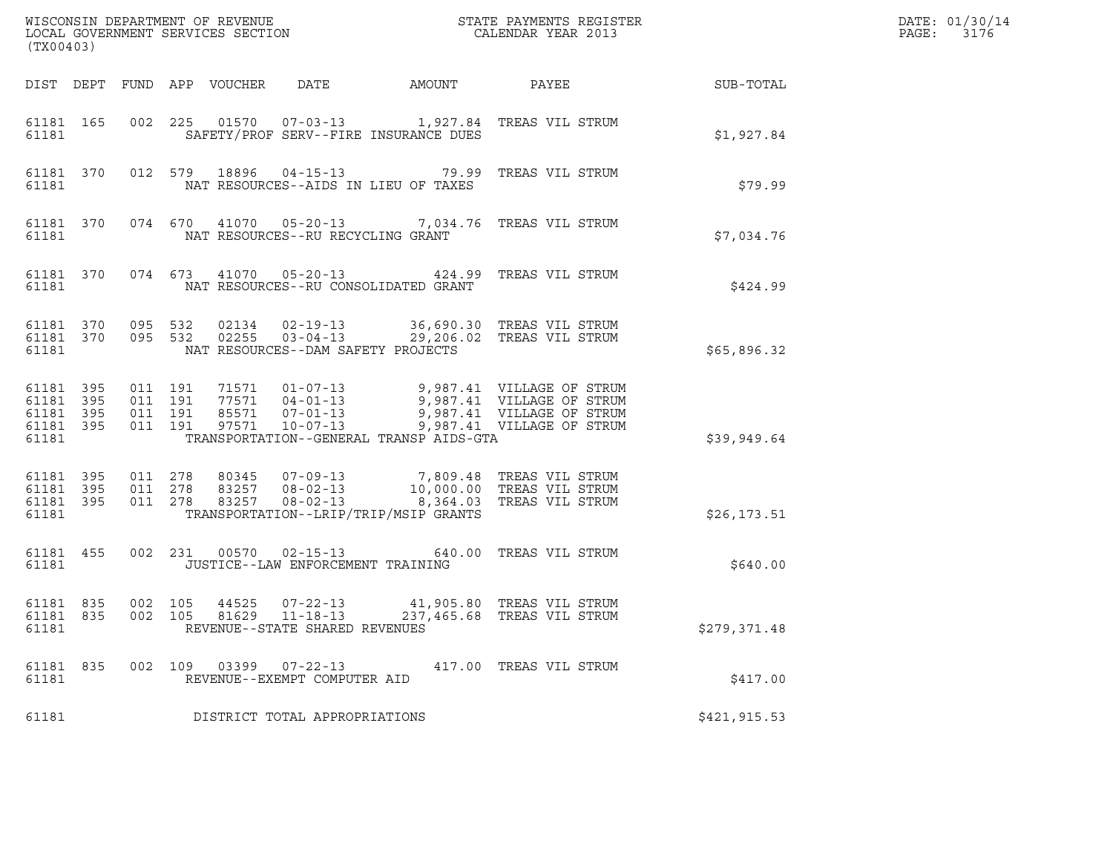| (TX00403)                                                 |           |                               |         |                            |                                                          |                                         | $\tt WISCONSIM DEPARTMENT OF REVENUE$ $\tt WISCONSIN DEPARTMENT SERVICES SECTION$ $\tt SERVICES SECTION$ $\tt CALENDAR YEAR$ $2013$ |                  | DATE: 01/30/14<br>PAGE:<br>3176 |
|-----------------------------------------------------------|-----------|-------------------------------|---------|----------------------------|----------------------------------------------------------|-----------------------------------------|-------------------------------------------------------------------------------------------------------------------------------------|------------------|---------------------------------|
|                                                           |           |                               |         | DIST DEPT FUND APP VOUCHER | DATE                                                     | AMOUNT                                  | PAYEE                                                                                                                               | <b>SUB-TOTAL</b> |                                 |
| 61181 165<br>61181                                        |           |                               |         |                            |                                                          | SAFETY/PROF SERV--FIRE INSURANCE DUES   | 002 225 01570 07-03-13 1,927.84 TREAS VIL STRUM                                                                                     | \$1,927.84       |                                 |
| 61181                                                     | 61181 370 |                               |         |                            |                                                          | NAT RESOURCES--AIDS IN LIEU OF TAXES    | 012 579 18896 04-15-13 79.99 TREAS VIL STRUM                                                                                        | \$79.99          |                                 |
| 61181                                                     | 61181 370 |                               |         |                            | NAT RESOURCES--RU RECYCLING GRANT                        |                                         | 074 670 41070 05-20-13 7,034.76 TREAS VIL STRUM                                                                                     | \$7,034.76       |                                 |
| 61181                                                     | 61181 370 |                               |         |                            |                                                          | NAT RESOURCES--RU CONSOLIDATED GRANT    | 074 673 41070 05-20-13 424.99 TREAS VIL STRUM                                                                                       | \$424.99         |                                 |
| 61181 370<br>61181                                        |           | 61181 370 095 532<br>095 532  |         |                            | NAT RESOURCES--DAM SAFETY PROJECTS                       |                                         | 02134  02-19-13  36,690.30  TREAS VIL STRUM<br>02255  03-04-13  29,206.02 TREAS VIL STRUM                                           | \$65,896.32      |                                 |
| 61181 395<br>61181 395<br>61181 395<br>61181 395<br>61181 |           | 011 191<br>011 191<br>011 191 | 011 191 |                            |                                                          | TRANSPORTATION--GENERAL TRANSP AIDS-GTA |                                                                                                                                     | \$39,949.64      |                                 |
| 61181 395<br>61181<br>61181 395<br>61181                  | - 395     | 011 278<br>011 278            | 011 278 | 83257                      |                                                          | TRANSPORTATION--LRIP/TRIP/MSIP GRANTS   | 80345  07-09-13  7,809.48  TREAS VIL STRUM<br>83257 08-02-13 10,000.00 TREAS VIL STRUM<br>08-02-13 8,364.03 TREAS VIL STRUM         | \$26, 173.51     |                                 |
| 61181                                                     | 61181 455 |                               |         |                            | JUSTICE--LAW ENFORCEMENT TRAINING                        |                                         | 002 231 00570 02-15-13 640.00 TREAS VIL STRUM                                                                                       | \$640.00         |                                 |
| 61181 835<br>61181 835<br>61181                           |           | 002 105                       |         |                            | 002 105 44525 07-22-13<br>REVENUE--STATE SHARED REVENUES |                                         | 41,905.80 TREAS VIL STRUM                                                                                                           | \$279,371.48     |                                 |
| 61181 835<br>61181                                        |           |                               |         |                            | 002 109 03399 07-22-13<br>REVENUE--EXEMPT COMPUTER AID   |                                         | 417.00 TREAS VIL STRUM                                                                                                              | \$417.00         |                                 |
| 61181                                                     |           |                               |         |                            | DISTRICT TOTAL APPROPRIATIONS                            |                                         |                                                                                                                                     | \$421,915.53     |                                 |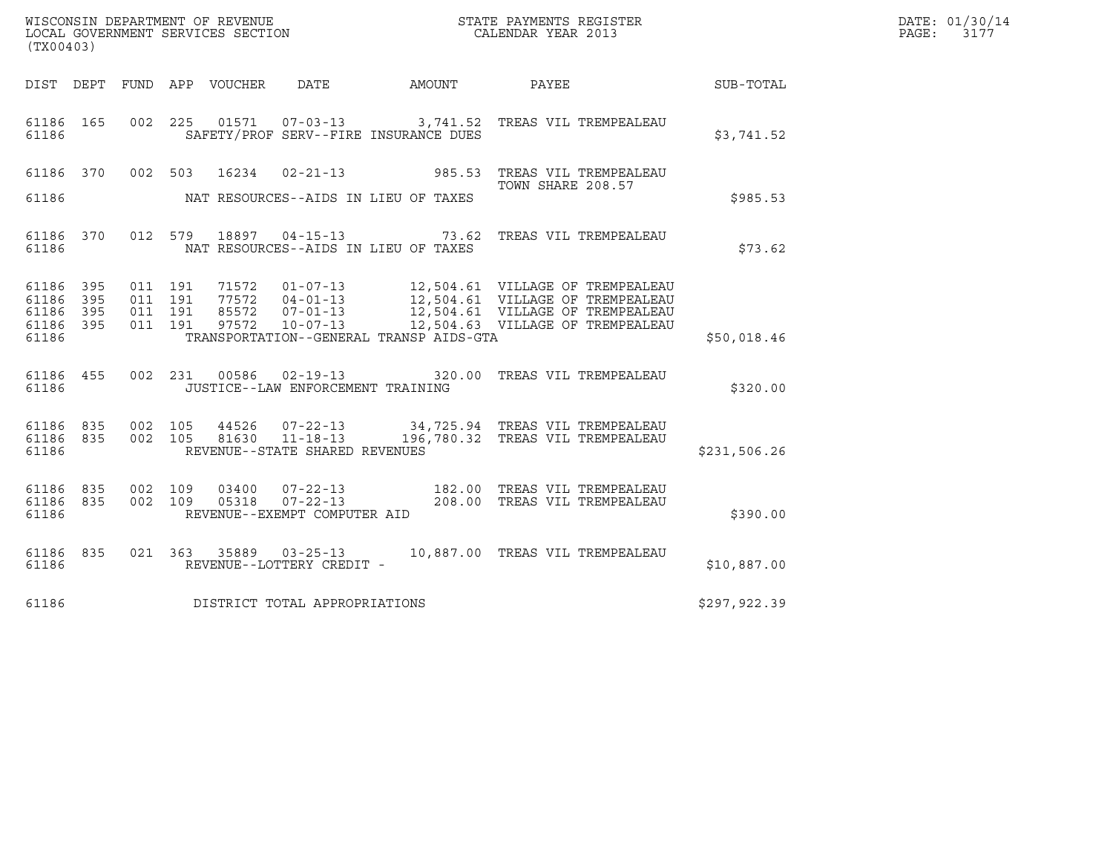| (TX00403)                                     |                   |                               |         |                |                                                |                                              | WISCONSIN DEPARTMENT OF REVENUE<br>LOCAL GOVERNMENT SERVICES SECTION CALENDAR YEAR 2013                   |                  | DATE: 01/30/14<br>PAGE:<br>3177 |
|-----------------------------------------------|-------------------|-------------------------------|---------|----------------|------------------------------------------------|----------------------------------------------|-----------------------------------------------------------------------------------------------------------|------------------|---------------------------------|
|                                               |                   |                               |         |                |                                                | DIST DEPT FUND APP VOUCHER DATE AMOUNT PAYEE |                                                                                                           | <b>SUB-TOTAL</b> |                                 |
| 61186 165<br>61186                            |                   |                               |         |                |                                                | SAFETY/PROF SERV--FIRE INSURANCE DUES        | 002 225 01571 07-03-13 3,741.52 TREAS VIL TREMPEALEAU                                                     | \$3.741.52       |                                 |
| 61186 370<br>61186                            |                   |                               | 002 503 | 16234          |                                                | NAT RESOURCES--AIDS IN LIEU OF TAXES         | 02-21-13 985.53 TREAS VIL TREMPEALEAU<br>TOWN SHARE 208.57                                                | \$985.53         |                                 |
| 61186 370<br>61186                            |                   |                               |         |                |                                                | NAT RESOURCES--AIDS IN LIEU OF TAXES         | 012 579 18897 04-15-13 73.62 TREAS VIL TREMPEALEAU                                                        | \$73.62          |                                 |
| 61186 395<br>61186<br>61186<br>61186<br>61186 | 395<br>395<br>395 | 011 191<br>011 191<br>011 191 | 011 191 |                |                                                | TRANSPORTATION--GENERAL TRANSP AIDS-GTA      |                                                                                                           | \$50,018.46      |                                 |
| 61186 455<br>61186                            |                   |                               |         |                | JUSTICE--LAW ENFORCEMENT TRAINING              |                                              | 002  231  00586  02-19-13  320.00  TREAS VIL TREMPEALEAU                                                  | \$320.00         |                                 |
| 61186 835<br>61186                            | 61186 835         | 002 105                       | 002 105 |                | REVENUE--STATE SHARED REVENUES                 |                                              | 44526  07-22-13  34,725.94  TREAS  VIL TREMPEALEAU<br>81630  11-18-13  196,780.32  TREAS  VIL TREMPEALEAU | \$231,506.26     |                                 |
| 61186 835<br>61186<br>61186                   | 835               | 002 109<br>002 109            |         | 03400<br>05318 | $07 - 22 - 13$<br>REVENUE--EXEMPT COMPUTER AID |                                              | 07-22-13 182.00 TREAS VIL TREMPEALEAU<br>208.00 TREAS VIL TREMPEALEAU                                     | \$390.00         |                                 |
| 61186 835<br>61186                            |                   |                               |         |                | REVENUE--LOTTERY CREDIT -                      |                                              | 021  363  35889  03-25-13  10,887.00  TREAS VIL TREMPEALEAU                                               | \$10,887.00      |                                 |
| 61186                                         |                   |                               |         |                | DISTRICT TOTAL APPROPRIATIONS                  |                                              |                                                                                                           | \$297,922.39     |                                 |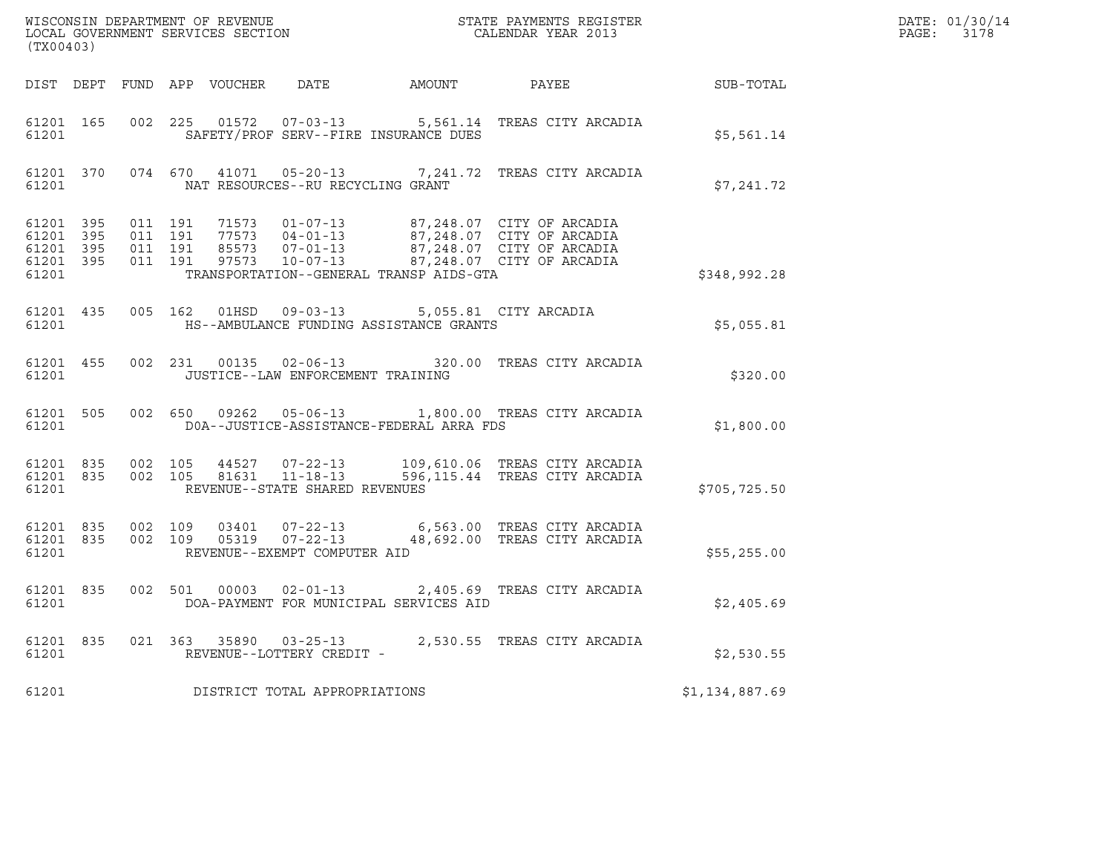| (TX00403)      |     |      |     | WISCONSIN DEPARTMENT OF REVENUE<br>LOCAL GOVERNMENT SERVICES SECTION |          |                                       | STATE PAYMENTS REGISTER<br>CALENDAR YEAR 2013 |            | DATE: 01/30/14<br>PAGE:<br>3178 |
|----------------|-----|------|-----|----------------------------------------------------------------------|----------|---------------------------------------|-----------------------------------------------|------------|---------------------------------|
| DIST DEPT      |     | FUND | APP | <b>VOUCHER</b>                                                       | DATE     | AMOUNT                                | PAYEE                                         | SUB-TOTAL  |                                 |
| 61201<br>61201 | 165 | 002  | 225 | 01572                                                                | 07-03-13 | SAFETY/PROF SERV--FIRE INSURANCE DUES | 5,561.14 TREAS CITY ARCADIA                   | \$5,561.14 |                                 |
|                |     |      |     |                                                                      |          |                                       |                                               |            |                                 |

| DIST                                          |                   |     |         | DEPT FUND APP VOUCHER  DATE                                                        | AMOUNT | PAYEE                                                                                                                                                                                                                                                 | SUB-TOTAL      |  |
|-----------------------------------------------|-------------------|-----|---------|------------------------------------------------------------------------------------|--------|-------------------------------------------------------------------------------------------------------------------------------------------------------------------------------------------------------------------------------------------------------|----------------|--|
| 61201 165<br>61201                            |                   | 002 |         | SAFETY/PROF SERV--FIRE INSURANCE DUES                                              |        | 225  01572  07-03-13  5,561.14  TREAS CITY ARCADIA                                                                                                                                                                                                    | \$5,561.14     |  |
| 61201                                         | 61201 370         |     |         | NAT RESOURCES--RU RECYCLING GRANT                                                  |        | 074 670 41071 05-20-13 7,241.72 TREAS CITY ARCADIA                                                                                                                                                                                                    | \$7,241.72     |  |
| 61201 395<br>61201<br>61201<br>61201<br>61201 | 395<br>395<br>395 |     |         | TRANSPORTATION--GENERAL TRANSP AIDS-GTA                                            |        |                                                                                                                                                                                                                                                       | \$348,992.28   |  |
| 61201 435<br>61201                            |                   |     | 005 162 | 01HSD  09-03-13  5,055.81  CITY ARCADIA<br>HS--AMBULANCE FUNDING ASSISTANCE GRANTS |        |                                                                                                                                                                                                                                                       | \$5,055.81     |  |
| 61201 455<br>61201                            |                   |     | 002 231 | JUSTICE--LAW ENFORCEMENT TRAINING                                                  |        | 00135  02-06-13  320.00  TREAS CITY ARCADIA                                                                                                                                                                                                           | \$320.00       |  |
| 61201 505<br>61201                            |                   |     | 002 650 | DOA--JUSTICE-ASSISTANCE-FEDERAL ARRA FDS                                           |        | 09262  05-06-13  1,800.00 TREAS CITY ARCADIA                                                                                                                                                                                                          | \$1,800.00     |  |
| 61201 835<br>61201<br>61201                   | 835               |     |         | REVENUE--STATE SHARED REVENUES                                                     |        | 002 105 44527 07-22-13 109,610.06 TREAS CITY ARCADIA<br>002 105 81631 11-18-13 596,115.44 TREAS CITY ARCADIA                                                                                                                                          | \$705,725.50   |  |
| 61201 835<br>61201<br>61201                   | 835               |     |         | REVENUE--EXEMPT COMPUTER AID                                                       |        | $\begin{array}{cccc} 002 & 109 & 03401 & 07\text{-}22\text{-}13 \\ 002 & 109 & 05319 & 07\text{-}22\text{-}13 \\ \end{array} \qquad \begin{array}{cccc} 6,563.00 & \text{TREAS CITY ARCHDIA} \\ 48,692.00 & \text{TREAS CITY ARCHDIA} \\ \end{array}$ | \$55, 255.00   |  |
| 61201<br>61201                                | 835               |     |         | DOA-PAYMENT FOR MUNICIPAL SERVICES AID                                             |        | 002 501 00003 02-01-13 2,405.69 TREAS CITY ARCADIA                                                                                                                                                                                                    | \$2,405.69     |  |
| 61201 835<br>61201                            |                   |     |         | REVENUE--LOTTERY CREDIT -                                                          |        | 021  363  35890  03-25-13  2,530.55  TREAS CITY ARCADIA                                                                                                                                                                                               | \$2,530.55     |  |
| 61201                                         |                   |     |         | DISTRICT TOTAL APPROPRIATIONS                                                      |        |                                                                                                                                                                                                                                                       | \$1,134,887.69 |  |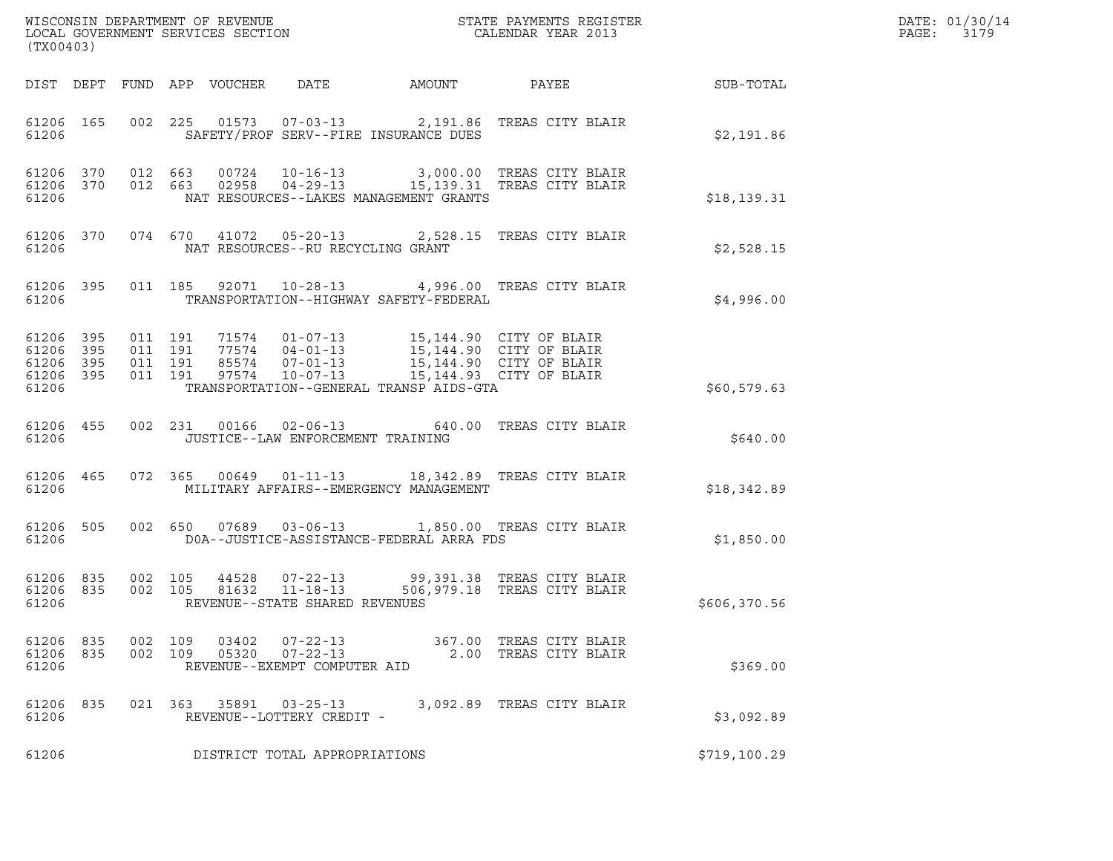| (TX00403)                                 |                          |                    |                |                                                            |                                          | $\tt WISCONSIM DEPARTMENT OF REVENUE$ $\tt WISCONMIN S REGISTER$ $\tt LOCAL BIDAR YEAR$ $2013$                            |              | DATE: 01/30/14<br>$\mathtt{PAGE:}$<br>3179 |
|-------------------------------------------|--------------------------|--------------------|----------------|------------------------------------------------------------|------------------------------------------|---------------------------------------------------------------------------------------------------------------------------|--------------|--------------------------------------------|
|                                           |                          |                    |                |                                                            |                                          |                                                                                                                           |              |                                            |
| 61206 165<br>61206                        |                          |                    |                |                                                            | SAFETY/PROF SERV--FIRE INSURANCE DUES    | 002 225 01573 07-03-13 2,191.86 TREAS CITY BLAIR                                                                          | \$2,191.86   |                                            |
| 61206                                     |                          |                    |                |                                                            | NAT RESOURCES--LAKES MANAGEMENT GRANTS   | 61206 370 012 663 00724 10-16-13 3,000.00 TREAS CITY BLAIR<br>61206 370 012 663 02958 04-29-13 15,139.31 TREAS CITY BLAIR | \$18, 139.31 |                                            |
| 61206 370<br>61206                        |                          |                    |                | NAT RESOURCES--RU RECYCLING GRANT                          |                                          | 074 670 41072 05-20-13 2,528.15 TREAS CITY BLAIR                                                                          | \$2,528.15   |                                            |
| 61206 395<br>61206                        |                          |                    |                |                                                            | TRANSPORTATION--HIGHWAY SAFETY-FEDERAL   | 011 185 92071 10-28-13 4,996.00 TREAS CITY BLAIR                                                                          | \$4,996.00   |                                            |
| 61206<br>61206<br>61206<br>61206<br>61206 | 395<br>395<br>395<br>395 |                    |                |                                                            | TRANSPORTATION--GENERAL TRANSP AIDS-GTA  |                                                                                                                           | \$60,579.63  |                                            |
| 61206 455<br>61206                        |                          |                    |                | JUSTICE--LAW ENFORCEMENT TRAINING                          |                                          | 002 231 00166 02-06-13 640.00 TREAS CITY BLAIR                                                                            | \$640.00     |                                            |
| 61206 465<br>61206                        |                          |                    |                |                                                            | MILITARY AFFAIRS--EMERGENCY MANAGEMENT   | 072 365 00649 01-11-13 18,342.89 TREAS CITY BLAIR                                                                         | \$18,342.89  |                                            |
| 61206 505<br>61206                        |                          |                    |                |                                                            | DOA--JUSTICE-ASSISTANCE-FEDERAL ARRA FDS | 002 650 07689 03-06-13 1,850.00 TREAS CITY BLAIR                                                                          | \$1,850.00   |                                            |
| 61206 835<br>61206 835<br>61206           |                          |                    |                | REVENUE--STATE SHARED REVENUES                             |                                          | 002 105  44528  07-22-13  99,391.38 TREAS CITY BLAIR<br>002  105  81632  11-18-13  506,979.18 TREAS CITY BLAIR            | \$606,370.56 |                                            |
| 61206<br>61206<br>61206                   | 835<br>835               | 002 109<br>002 109 | 03402<br>05320 | $07 - 22 - 13$<br>07-22-13<br>REVENUE--EXEMPT COMPUTER AID |                                          | 367.00 TREAS CITY BLAIR<br>2.00 TREAS CITY BLAIR                                                                          | \$369.00     |                                            |
| 61206<br>61206                            | 835                      | 021 363            | 35891          | $03 - 25 - 13$<br>REVENUE--LOTTERY CREDIT -                |                                          | 3,092.89 TREAS CITY BLAIR                                                                                                 | \$3,092.89   |                                            |
| 61206                                     |                          |                    |                | DISTRICT TOTAL APPROPRIATIONS                              |                                          |                                                                                                                           | \$719,100.29 |                                            |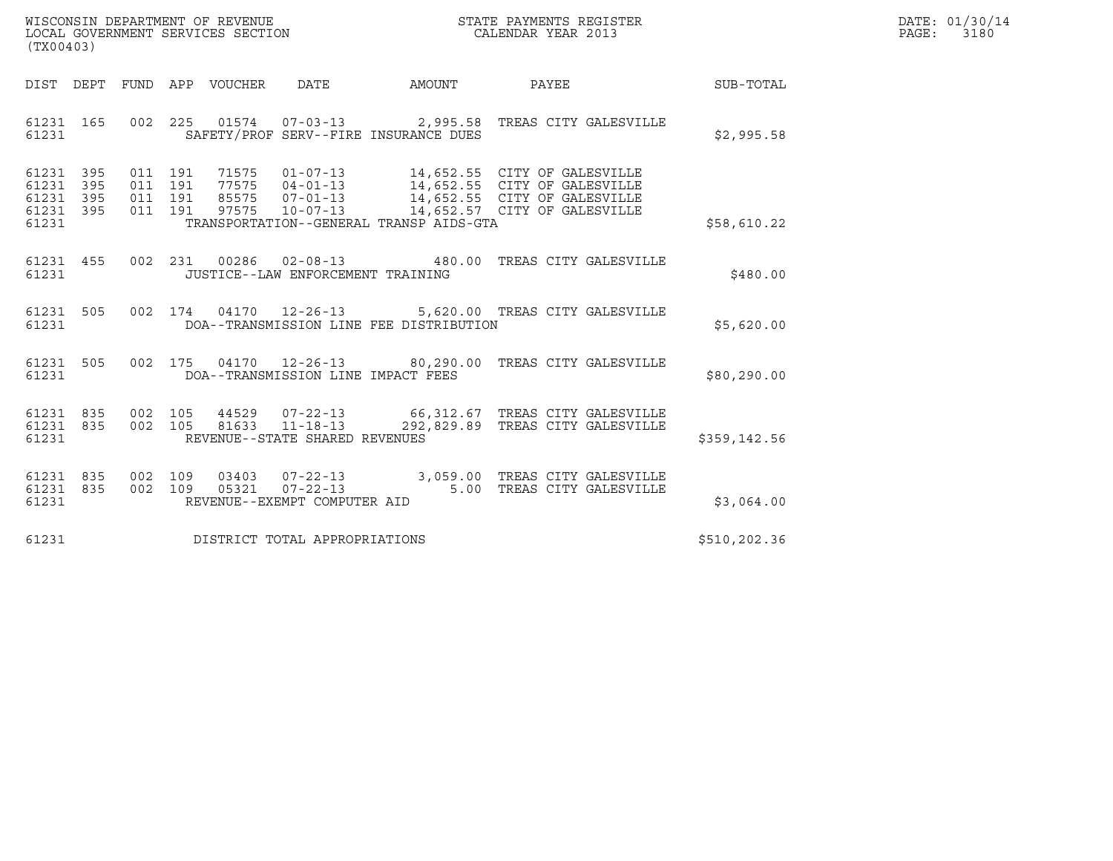| WISCONSIN DEPARTMENT OF REVENUE   | STATE PAYMENTS REGISTER | DATE: 01/30/14 |
|-----------------------------------|-------------------------|----------------|
| LOCAL GOVERNMENT SERVICES SECTION | CALENDAR YEAR 2013      | PAGE:<br>3180  |

| (TX00403)                                                          |                                                                                                                                                                               |                                                                                                                              |              |
|--------------------------------------------------------------------|-------------------------------------------------------------------------------------------------------------------------------------------------------------------------------|------------------------------------------------------------------------------------------------------------------------------|--------------|
| DIST<br>DEPT<br>FUND                                               | APP VOUCHER<br>DATE                                                                                                                                                           | AMOUNT<br>PAYEE                                                                                                              | SUB-TOTAL    |
| 61231 165<br>61231                                                 | 002 225<br>SAFETY/PROF SERV--FIRE INSURANCE DUES                                                                                                                              | 01574  07-03-13  2,995.58  TREAS CITY GALESVILLE                                                                             | \$2,995.58   |
| 61231<br>395<br>395<br>61231<br>61231<br>395<br>61231 395<br>61231 | 011 191<br>71575<br>$01 - 07 - 13$<br>77575 04-01-13<br>011 191<br>85575 07-01-13<br>011 191<br>011 191<br>97575<br>$10 - 07 - 13$<br>TRANSPORTATION--GENERAL TRANSP AIDS-GTA | 14,652.55 CITY OF GALESVILLE<br>14,652.55 CITY OF GALESVILLE<br>14,652.55 CITY OF GALESVILLE<br>14,652.57 CITY OF GALESVILLE | \$58,610.22  |
| 002<br>61231 455<br>61231                                          | 231<br>00286<br>$02 - 08 - 13$<br>JUSTICE--LAW ENFORCEMENT TRAINING                                                                                                           | TREAS CITY GALESVILLE<br>480.00                                                                                              | \$480.00     |
| 61231<br>505<br>61231                                              | 002 174<br>DOA--TRANSMISSION LINE FEE DISTRIBUTION                                                                                                                            | 04170  12-26-13  5,620.00 TREAS CITY GALESVILLE                                                                              | \$5,620.00   |
| 505<br>002<br>61231<br>61231                                       | 175<br>04170  12-26-13  80,290.00<br>DOA--TRANSMISSION LINE IMPACT FEES                                                                                                       | TREAS CITY GALESVILLE                                                                                                        | \$80,290.00  |
| 61231 835<br>61231 835<br>61231                                    | 002 105<br>44529 07-22-13<br>81633 11-18-13<br>002 105<br>REVENUE--STATE SHARED REVENUES                                                                                      | 66,312.67 TREAS CITY GALESVILLE<br>292,829.89 TREAS CITY GALESVILLE                                                          | \$359,142.56 |
| 002<br>61231<br>835<br>002<br>61231<br>835<br>61231                | 109<br>03403<br>$07 - 22 - 13$<br>109<br>05321<br>REVENUE--EXEMPT COMPUTER AID                                                                                                | 07-22-13 3,059.00 TREAS CITY GALESVILLE<br>5.00<br>TREAS CITY GALESVILLE                                                     | \$3,064.00   |
| 61231                                                              | DISTRICT TOTAL APPROPRIATIONS                                                                                                                                                 |                                                                                                                              | \$510,202.36 |

(TX00403)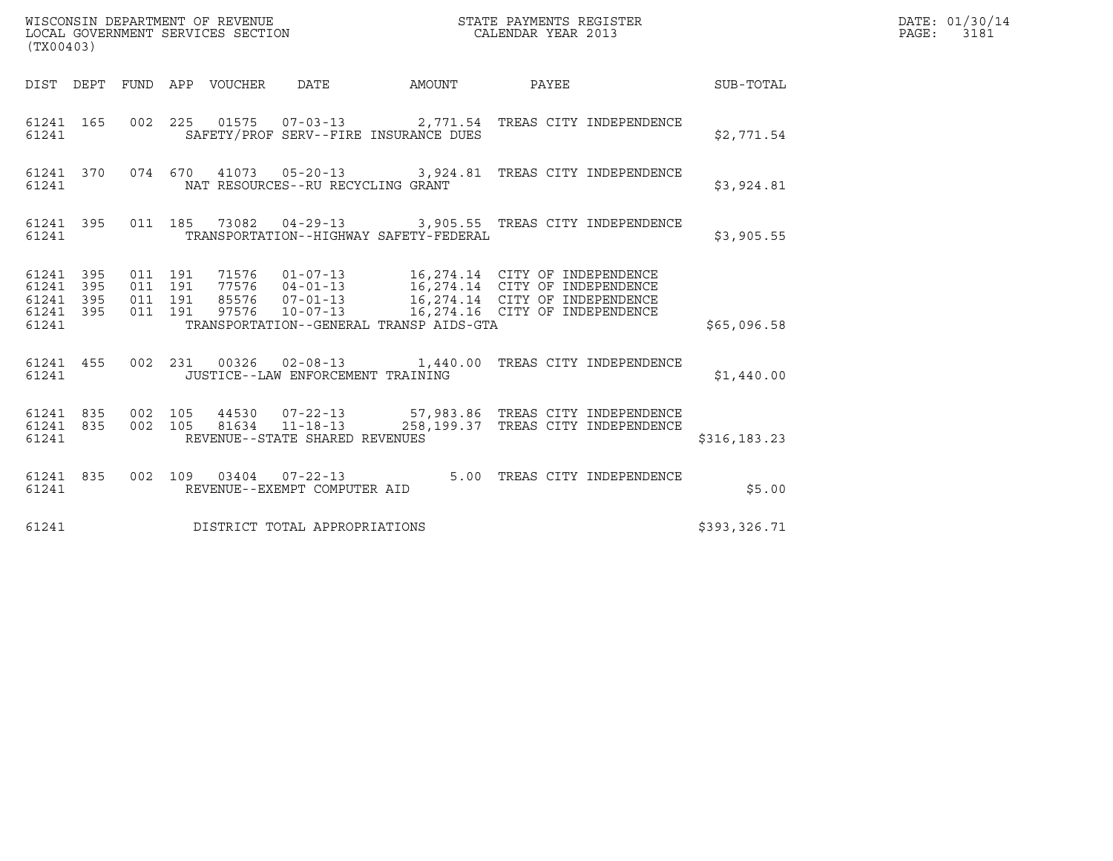| (TX00403)                                             |                        |                               |         |  |                                                        |                                                                                                                                                                                                                                     |               | DATE: 01/30/14<br>PAGE: 3181 |
|-------------------------------------------------------|------------------------|-------------------------------|---------|--|--------------------------------------------------------|-------------------------------------------------------------------------------------------------------------------------------------------------------------------------------------------------------------------------------------|---------------|------------------------------|
|                                                       |                        |                               |         |  | DIST DEPT FUND APP VOUCHER DATE AMOUNT                 | <b>PAYEE</b> FOR THE STATE OF THE STATE OF THE STATE OF THE STATE OF THE STATE OF THE STATE OF THE STATE OF THE STATE OF THE STATE OF THE STATE OF THE STATE OF THE STATE OF THE STATE OF THE STATE OF THE STATE OF THE STATE OF TH | SUB-TOTAL     |                              |
| 61241                                                 |                        |                               |         |  | SAFETY/PROF SERV--FIRE INSURANCE DUES                  | 61241 165 002 225 01575 07-03-13 2,771.54 TREAS CITY INDEPENDENCE                                                                                                                                                                   | \$2,771.54    |                              |
| 61241                                                 | 61241 370              |                               |         |  | NAT RESOURCES--RU RECYCLING GRANT                      | 074 670 41073 05-20-13 3,924.81 TREAS CITY INDEPENDENCE                                                                                                                                                                             | \$3,924.81    |                              |
| 61241                                                 | 61241 395              |                               |         |  | TRANSPORTATION--HIGHWAY SAFETY-FEDERAL                 | 011 185 73082 04-29-13 3,905.55 TREAS CITY INDEPENDENCE                                                                                                                                                                             | \$3,905.55    |                              |
| 61241 395<br>61241 395<br>61241<br>61241 395<br>61241 | 395                    | 011 191<br>011 191<br>011 191 | 011 191 |  | TRANSPORTATION--GENERAL TRANSP AIDS-GTA                | 71576  01-07-13  16,274.14  CITY OF INDEPENDENCE<br>77576  04-01-13  16,274.14  CITY OF INDEPENDENCE<br>85576  07-01-13  16,274.14  CITY OF INDEPENDENCE<br>97576  10-07-13  16,274.16  CITY OF INDEPENDENCE                        | \$65,096.58   |                              |
| 61241                                                 | 61241 455              |                               |         |  | JUSTICE--LAW ENFORCEMENT TRAINING                      | 002 231 00326 02-08-13 1,440.00 TREAS CITY INDEPENDENCE                                                                                                                                                                             | \$1,440.00    |                              |
| 61241                                                 | 61241 835<br>61241 835 | 002 105<br>002 105            |         |  | 81634 11-18-13<br>REVENUE--STATE SHARED REVENUES       | 44530  07-22-13  57,983.86  TREAS CITY INDEPENDENCE<br>258,199.37 TREAS CITY INDEPENDENCE                                                                                                                                           | \$316, 183.23 |                              |
| 61241                                                 | 61241 835              |                               |         |  | 002 109 03404 07-22-13<br>REVENUE--EXEMPT COMPUTER AID | 5.00 TREAS CITY INDEPENDENCE                                                                                                                                                                                                        | \$5.00        |                              |
| 61241                                                 |                        |                               |         |  | DISTRICT TOTAL APPROPRIATIONS                          |                                                                                                                                                                                                                                     | \$393,326.71  |                              |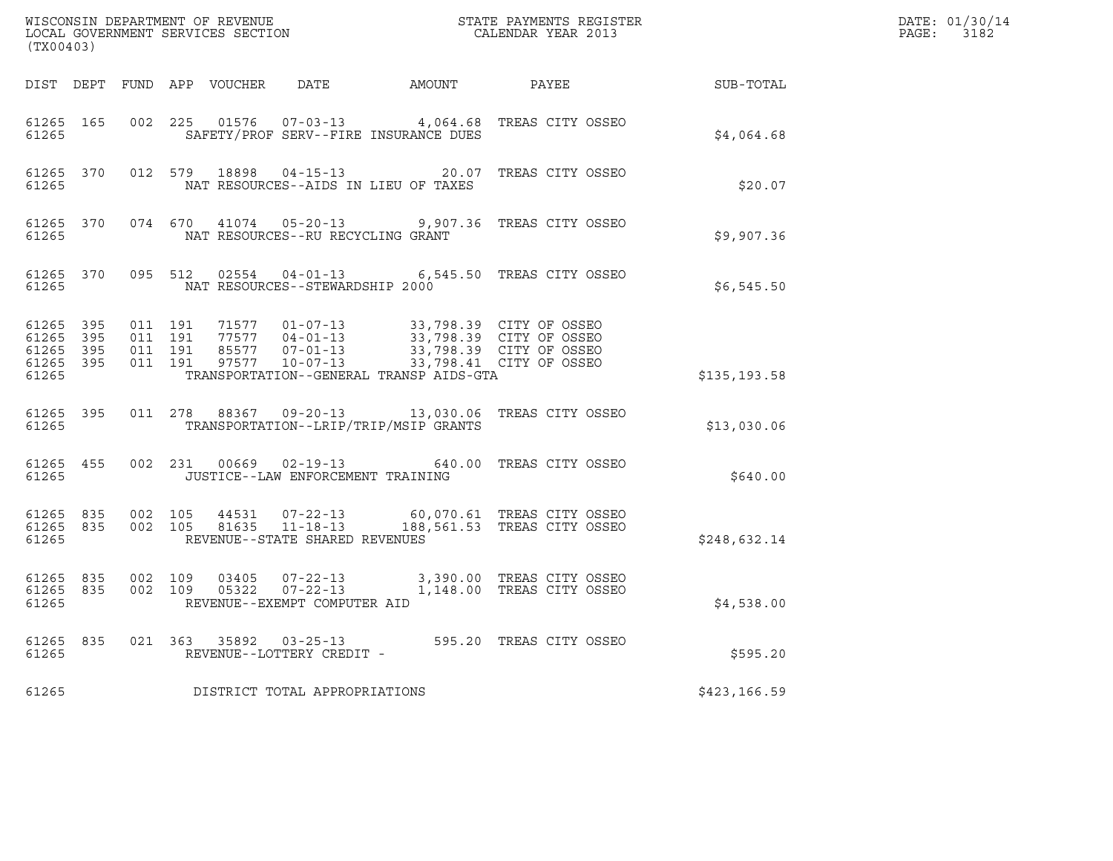| (TX00403) |                                                  |                               |                               |  |                                       |                                         |                                                                                                                                                                                                             |               | DATE: 01/30/14<br>PAGE: 3182 |
|-----------|--------------------------------------------------|-------------------------------|-------------------------------|--|---------------------------------------|-----------------------------------------|-------------------------------------------------------------------------------------------------------------------------------------------------------------------------------------------------------------|---------------|------------------------------|
|           |                                                  |                               |                               |  |                                       |                                         | DIST DEPT FUND APP VOUCHER DATE AMOUNT PAYEE TO SUB-TOTAL                                                                                                                                                   |               |                              |
| 61265     |                                                  |                               |                               |  |                                       | SAFETY/PROF SERV--FIRE INSURANCE DUES   | 61265 165 002 225 01576 07-03-13 4,064.68 TREAS CITY OSSEO                                                                                                                                                  | \$4,064.68    |                              |
| 61265     |                                                  |                               |                               |  | NAT RESOURCES--AIDS IN LIEU OF TAXES  |                                         | 61265 370 012 579 18898 04-15-13 20.07 TREAS CITY OSSEO                                                                                                                                                     | \$20.07       |                              |
|           |                                                  | 61265 720                     |                               |  | NAT RESOURCES--RU RECYCLING GRANT     |                                         | 61265 370 074 670 41074 05-20-13 9,907.36 TREAS CITY OSSEO                                                                                                                                                  | \$9,907.36    |                              |
|           |                                                  |                               |                               |  | 61265 NAT RESOURCES--STEWARDSHIP 2000 |                                         | 61265 370 095 512 02554 04-01-13 6,545.50 TREAS CITY OSSEO                                                                                                                                                  | \$6,545.50    |                              |
| 61265     | 61265 395<br>61265 395<br>61265 395<br>61265 395 | 011 191                       | 011 191<br>011 191<br>011 191 |  |                                       | TRANSPORTATION--GENERAL TRANSP AIDS-GTA | 71577  01-07-13  33,798.39  CITY OF OSSEO<br>77577  04-01-13  33,798.39  CITY OF OSSEO<br>85577  07-01-13  33,798.39  CITY OF OSSEO<br>97577  10-07-13  33,798.41  CITY OF OSSEO                            | \$135, 193.58 |                              |
|           | 61265                                            |                               |                               |  |                                       | TRANSPORTATION--LRIP/TRIP/MSIP GRANTS   | 61265 395 011 278 88367 09-20-13 13,030.06 TREAS CITY OSSEO                                                                                                                                                 | \$13,030.06   |                              |
| 61265     | 61265 455                                        |                               |                               |  | JUSTICE--LAW ENFORCEMENT TRAINING     |                                         | 002 231 00669 02-19-13 640.00 TREAS CITY OSSEO                                                                                                                                                              | \$640.00      |                              |
| 61265     |                                                  |                               |                               |  | REVENUE--STATE SHARED REVENUES        |                                         | $\begin{array}{cccccccc} 61265 & 835 & 002 & 105 & 44531 & 07-22-13 & 60,070.61 & \text{TREAS CITY OSSEO} \\ 61265 & 835 & 002 & 105 & 81635 & 11-18-13 & 188,561.53 & \text{TREAS CITY OSSEO} \end{array}$ | \$248,632.14  |                              |
| 61265     | 61265 835                                        | 61265 835 002 109             |                               |  | REVENUE--EXEMPT COMPUTER AID          |                                         | 002 109 03405 07-22-13 3,390.00 TREAS CITY OSSEO<br>002 109 05322 07-22-13 1,148.00 TREAS CITY OSSEO                                                                                                        | \$4,538.00    |                              |
|           |                                                  | 61265 and the state of $\sim$ |                               |  | REVENUE--LOTTERY CREDIT -             |                                         | 61265 835 021 363 35892 03-25-13 595.20 TREAS CITY OSSEO                                                                                                                                                    | \$595.20      |                              |
| 61265     |                                                  |                               |                               |  | DISTRICT TOTAL APPROPRIATIONS         |                                         |                                                                                                                                                                                                             | \$423,166.59  |                              |